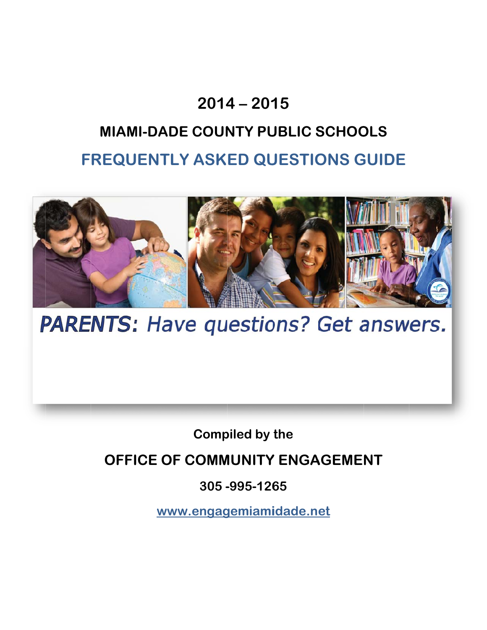### **2014 4 – 201 15**

## **FREQUENTLY ASKED QUESTIONS GUIDE MIAMI-DADE COUNTY PUBLIC SCHOOLS**



**PARENTS: Have questions? Get answers.** 

**Comp piled by the** 

**OFFICE OF COMMUNITY ENGAGEMENT** 

**305 - -995-126 65** 

www.engagemiamidade.net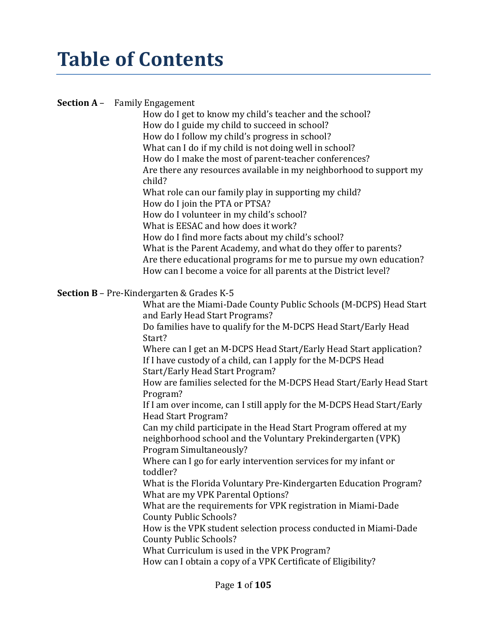# **Table of Contents**

#### **Section A** – Family Engagement

How do I get to know my child's teacher and the school? How do I guide my child to succeed in school? How do I follow my child's progress in school? What can I do if my child is not doing well in school? How do I make the most of parent-teacher conferences? Are there any resources available in my neighborhood to support my child? What role can our family play in supporting my child? How do I join the PTA or PTSA? How do I volunteer in my child's school? What is EESAC and how does it work? How do I find more facts about my child's school? What is the Parent Academy, and what do they offer to parents? Are there educational programs for me to pursue my own education? How can I become a voice for all parents at the District level?

#### **Section B** – Pre-Kindergarten & Grades K-5

What are the Miami-Dade County Public Schools (M-DCPS) Head Start and Early Head Start Programs?

Do families have to qualify for the M-DCPS Head Start/Early Head Start?

Where can I get an M-DCPS Head Start/Early Head Start application? If I have custody of a child, can I apply for the M-DCPS Head Start/Early Head Start Program?

How are families selected for the M-DCPS Head Start/Early Head Start Program?

If I am over income, can I still apply for the M-DCPS Head Start/Early Head Start Program?

Can my child participate in the Head Start Program offered at my neighborhood school and the Voluntary Prekindergarten (VPK) Program Simultaneously?

Where can I go for early intervention services for my infant or toddler?

What is the Florida Voluntary Pre-Kindergarten Education Program? What are my VPK Parental Options?

What are the requirements for VPK registration in Miami-Dade County Public Schools?

How is the VPK student selection process conducted in Miami-Dade County Public Schools?

What Curriculum is used in the VPK Program?

How can I obtain a copy of a VPK Certificate of Eligibility?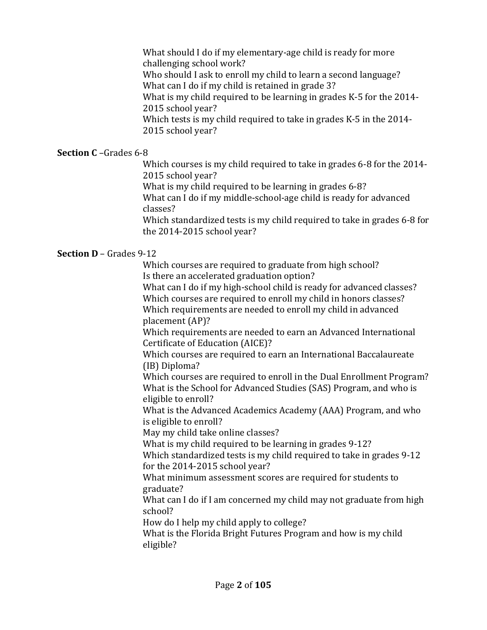What should I do if my elementary-age child is ready for more challenging school work?

Who should I ask to enroll my child to learn a second language? What can I do if my child is retained in grade 3?

What is my child required to be learning in grades K-5 for the 2014- 2015 school year?

Which tests is my child required to take in grades K-5 in the 2014- 2015 school year?

### **Section C** –Grades 6-8

Which courses is my child required to take in grades 6-8 for the 2014- 2015 school year?

What is my child required to be learning in grades 6-8?

What can I do if my middle-school-age child is ready for advanced classes?

Which standardized tests is my child required to take in grades 6-8 for the 2014-2015 school year?

### **Section D** – Grades 9-12

 Which courses are required to graduate from high school? Is there an accelerated graduation option?

 What can I do if my high-school child is ready for advanced classes? Which courses are required to enroll my child in honors classes? Which requirements are needed to enroll my child in advanced placement (AP)?

Which requirements are needed to earn an Advanced International Certificate of Education (AICE)?

Which courses are required to earn an International Baccalaureate (IB) Diploma?

Which courses are required to enroll in the Dual Enrollment Program? What is the School for Advanced Studies (SAS) Program, and who is eligible to enroll?

What is the Advanced Academics Academy (AAA) Program, and who is eligible to enroll?

May my child take online classes?

What is my child required to be learning in grades 9-12?

Which standardized tests is my child required to take in grades 9-12 for the 2014-2015 school year?

What minimum assessment scores are required for students to graduate?

What can I do if I am concerned my child may not graduate from high school?

How do I help my child apply to college?

What is the Florida Bright Futures Program and how is my child eligible?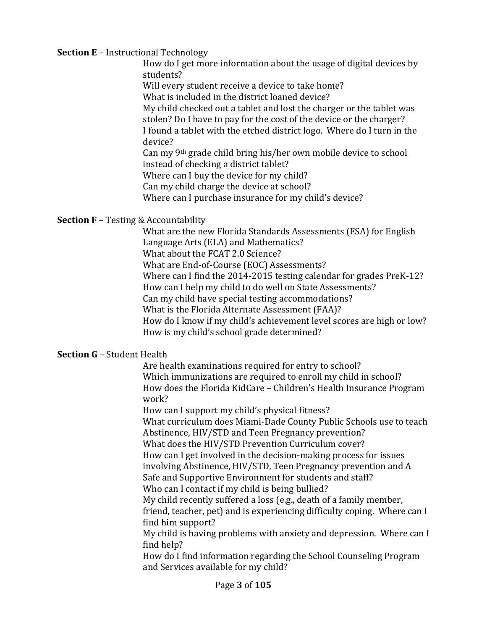#### **Section E** – Instructional Technology

How do I get more information about the usage of digital devices by students?

Will every student receive a device to take home?

What is included in the district loaned device?

My child checked out a tablet and lost the charger or the tablet was stolen? Do I have to pay for the cost of the device or the charger? I found a tablet with the etched district logo. Where do I turn in the device?

Can my 9th grade child bring his/her own mobile device to school instead of checking a district tablet?

Where can I buy the device for my child?

Can my child charge the device at school?

Where can I purchase insurance for my child's device?

### **Section F** – Testing & Accountability

What are the new Florida Standards Assessments (FSA) for English Language Arts (ELA) and Mathematics? What about the FCAT 2.0 Science? What are End-of-Course (EOC) Assessments? Where can I find the 2014-2015 testing calendar for grades PreK-12? How can I help my child to do well on State Assessments? Can my child have special testing accommodations? What is the Florida Alternate Assessment (FAA)? How do I know if my child's achievement level scores are high or low? How is my child's school grade determined?

### **Section G** – Student Health

 Are health examinations required for entry to school? Which immunizations are required to enroll my child in school? How does the Florida KidCare – Children's Health Insurance Program work?

How can I support my child's physical fitness?

What curriculum does Miami-Dade County Public Schools use to teach Abstinence, HIV/STD and Teen Pregnancy prevention?

What does the HIV/STD Prevention Curriculum cover? How can I get involved in the decision-making process for issues

involving Abstinence, HIV/STD, Teen Pregnancy prevention and A

Safe and Supportive Environment for students and staff?

Who can I contact if my child is being bullied?

My child recently suffered a loss (e.g., death of a family member, friend, teacher, pet) and is experiencing difficulty coping. Where can I find him support?

My child is having problems with anxiety and depression. Where can I find help?

How do I find information regarding the School Counseling Program and Services available for my child?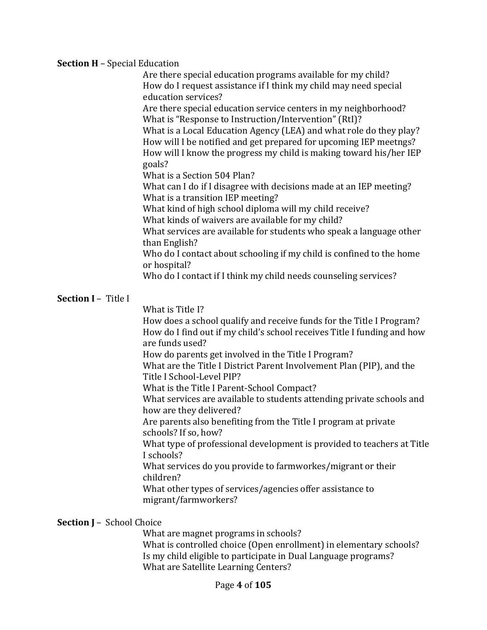#### **Section H** – Special Education

 Are there special education programs available for my child? How do I request assistance if I think my child may need special education services?

Are there special education service centers in my neighborhood? What is "Response to Instruction/Intervention" (RtI)?

What is a Local Education Agency (LEA) and what role do they play? How will I be notified and get prepared for upcoming IEP meetngs? How will I know the progress my child is making toward his/her IEP goals?

What is a Section 504 Plan?

What can I do if I disagree with decisions made at an IEP meeting? What is a transition IEP meeting?

What kind of high school diploma will my child receive?

What kinds of waivers are available for my child?

What services are available for students who speak a language other than English?

Who do I contact about schooling if my child is confined to the home or hospital?

Who do I contact if I think my child needs counseling services?

#### **Section I** – Title I

What is Title I?

 How does a school qualify and receive funds for the Title I Program? How do I find out if my child's school receives Title I funding and how are funds used?

How do parents get involved in the Title I Program?

What are the Title I District Parent Involvement Plan (PIP), and the Title I School-Level PIP?

What is the Title I Parent-School Compact?

What services are available to students attending private schools and how are they delivered?

Are parents also benefiting from the Title I program at private schools? If so, how?

What type of professional development is provided to teachers at Title I schools?

What services do you provide to farmworkes/migrant or their children?

What other types of services/agencies offer assistance to migrant/farmworkers?

#### **Section J** – School Choice

 What are magnet programs in schools? What is controlled choice (Open enrollment) in elementary schools? Is my child eligible to participate in Dual Language programs? What are Satellite Learning Centers?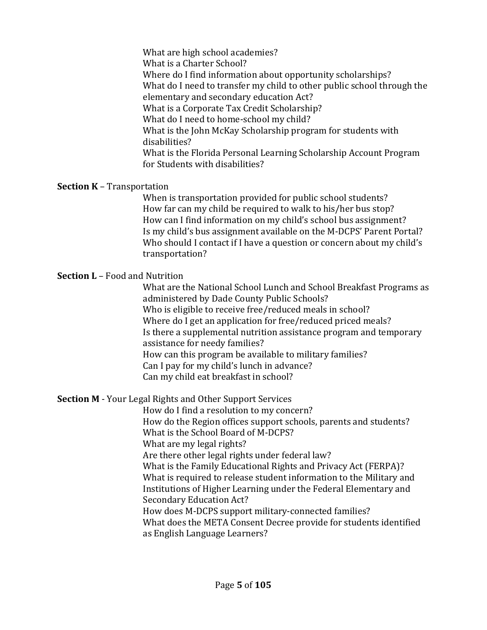What are high school academies? What is a Charter School? Where do I find information about opportunity scholarships? What do I need to transfer my child to other public school through the elementary and secondary education Act? What is a Corporate Tax Credit Scholarship? What do I need to home-school my child? What is the John McKay Scholarship program for students with disabilities? What is the Florida Personal Learning Scholarship Account Program for Students with disabilities?

#### **Section K** – Transportation

 When is transportation provided for public school students? How far can my child be required to walk to his/her bus stop? How can I find information on my child's school bus assignment? Is my child's bus assignment available on the M-DCPS' Parent Portal? Who should I contact if I have a question or concern about my child's transportation?

#### **Section L** – Food and Nutrition

What are the National School Lunch and School Breakfast Programs as administered by Dade County Public Schools? Who is eligible to receive free/reduced meals in school? Where do I get an application for free/reduced priced meals? Is there a supplemental nutrition assistance program and temporary assistance for needy families? How can this program be available to military families? Can I pay for my child's lunch in advance? Can my child eat breakfast in school?

### **Section M** - Your Legal Rights and Other Support Services

 How do I find a resolution to my concern? How do the Region offices support schools, parents and students? What is the School Board of M-DCPS? What are my legal rights? Are there other legal rights under federal law? What is the Family Educational Rights and Privacy Act (FERPA)? What is required to release student information to the Military and Institutions of Higher Learning under the Federal Elementary and Secondary Education Act? How does M-DCPS support military-connected families?

What does the META Consent Decree provide for students identified as English Language Learners?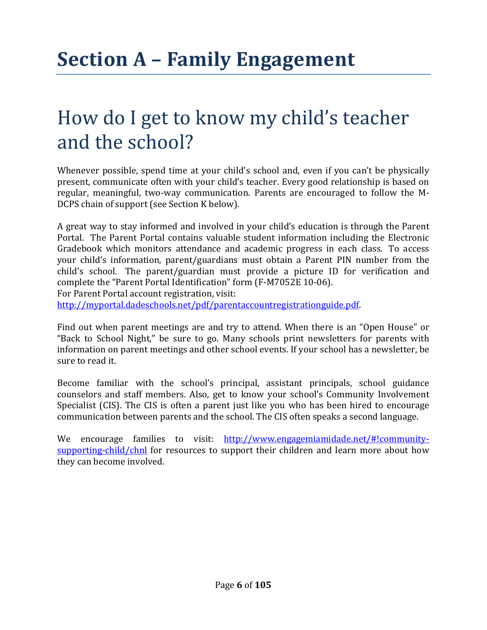## How do I get to know my child's teacher and the school?

Whenever possible, spend time at your child's school and, even if you can't be physically present, communicate often with your child's teacher. Every good relationship is based on regular, meaningful, two-way communication. Parents are encouraged to follow the M-DCPS chain of support (see Section K below).

A great way to stay informed and involved in your child's education is through the Parent Portal. The Parent Portal contains valuable student information including the Electronic Gradebook which monitors attendance and academic progress in each class. To access your child's information, parent/guardians must obtain a Parent PIN number from the child's school. The parent/guardian must provide a picture ID for verification and complete the "Parent Portal Identification" form (F-M7052E 10-06). For Parent Portal account registration, visit: http://myportal.dadeschools.net/pdf/parentaccountregistrationguide.pdf.

Find out when parent meetings are and try to attend. When there is an "Open House" or "Back to School Night," be sure to go. Many schools print newsletters for parents with information on parent meetings and other school events. If your school has a newsletter, be sure to read it.

Become familiar with the school's principal, assistant principals, school guidance counselors and staff members. Also, get to know your school's Community Involvement Specialist (CIS). The CIS is often a parent just like you who has been hired to encourage communication between parents and the school. The CIS often speaks a second language.

We encourage families to visit: http://www.engagemiamidade.net/#!communitysupporting-child/chnl for resources to support their children and learn more about how they can become involved.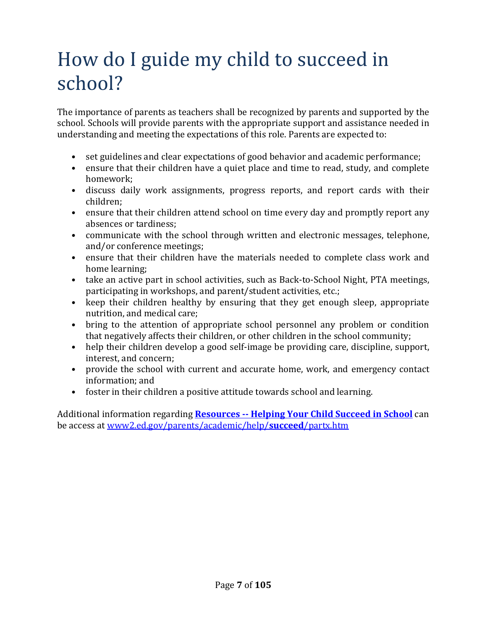# How do I guide my child to succeed in school?

The importance of parents as teachers shall be recognized by parents and supported by the school. Schools will provide parents with the appropriate support and assistance needed in understanding and meeting the expectations of this role. Parents are expected to:

- set guidelines and clear expectations of good behavior and academic performance;
- ensure that their children have a quiet place and time to read, study, and complete homework;
- discuss daily work assignments, progress reports, and report cards with their children;
- ensure that their children attend school on time every day and promptly report any absences or tardiness;
- communicate with the school through written and electronic messages, telephone, and/or conference meetings;
- ensure that their children have the materials needed to complete class work and home learning;
- take an active part in school activities, such as Back-to-School Night, PTA meetings, participating in workshops, and parent/student activities, etc.;
- keep their children healthy by ensuring that they get enough sleep, appropriate nutrition, and medical care;
- bring to the attention of appropriate school personnel any problem or condition that negatively affects their children, or other children in the school community;
- help their children develop a good self-image be providing care, discipline, support, interest, and concern;
- provide the school with current and accurate home, work, and emergency contact information; and
- foster in their children a positive attitude towards school and learning.

Additional information regarding **Resources -- Helping Your Child Succeed in School** can be access at www2.ed.gov/parents/academic/help/**succeed**/partx.htm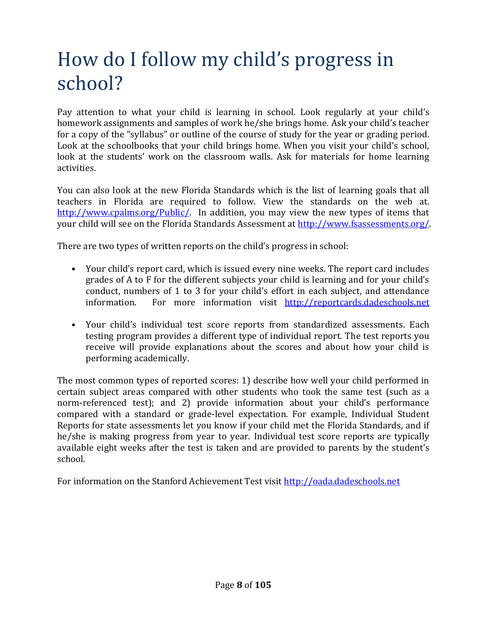# How do I follow my child's progress in school?

Pay attention to what your child is learning in school. Look regularly at your child's homework assignments and samples of work he/she brings home. Ask your child's teacher for a copy of the "syllabus" or outline of the course of study for the year or grading period. Look at the schoolbooks that your child brings home. When you visit your child's school, look at the students' work on the classroom walls. Ask for materials for home learning activities.

You can also look at the new Florida Standards which is the list of learning goals that all teachers in Florida are required to follow. View the standards on the web at. http://www.cpalms.org/Public/. In addition, you may view the new types of items that your child will see on the Florida Standards Assessment at http://www.fsassessments.org/.

There are two types of written reports on the child's progress in school:

- Your child's report card, which is issued every nine weeks. The report card includes grades of A to F for the different subjects your child is learning and for your child's conduct, numbers of 1 to 3 for your child's effort in each subject, and attendance information. For more information visit http://reportcards.dadeschools.net
- Your child's individual test score reports from standardized assessments. Each testing program provides a different type of individual report. The test reports you receive will provide explanations about the scores and about how your child is performing academically.

The most common types of reported scores: 1) describe how well your child performed in certain subject areas compared with other students who took the same test (such as a norm-referenced test); and 2) provide information about your child's performance compared with a standard or grade-level expectation. For example, Individual Student Reports for state assessments let you know if your child met the Florida Standards, and if he/she is making progress from year to year. Individual test score reports are typically available eight weeks after the test is taken and are provided to parents by the student's school.

For information on the Stanford Achievement Test visit http://oada.dadeschools.net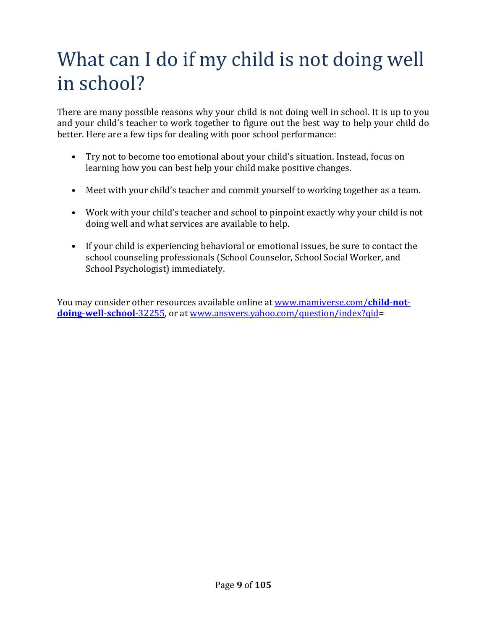# What can I do if my child is not doing well in school?

There are many possible reasons why your child is not doing well in school. It is up to you and your child's teacher to work together to figure out the best way to help your child do better. Here are a few tips for dealing with poor school performance:

- Try not to become too emotional about your child's situation. Instead, focus on learning how you can best help your child make positive changes.
- Meet with your child's teacher and commit yourself to working together as a team.
- Work with your child's teacher and school to pinpoint exactly why your child is not doing well and what services are available to help.
- If your child is experiencing behavioral or emotional issues, be sure to contact the school counseling professionals (School Counselor, School Social Worker, and School Psychologist) immediately.

You may consider other resources available online at www.mamiverse.com/**child**-**notdoing**-**well**-**school**-32255, or at www.answers.yahoo.com/question/index?qid=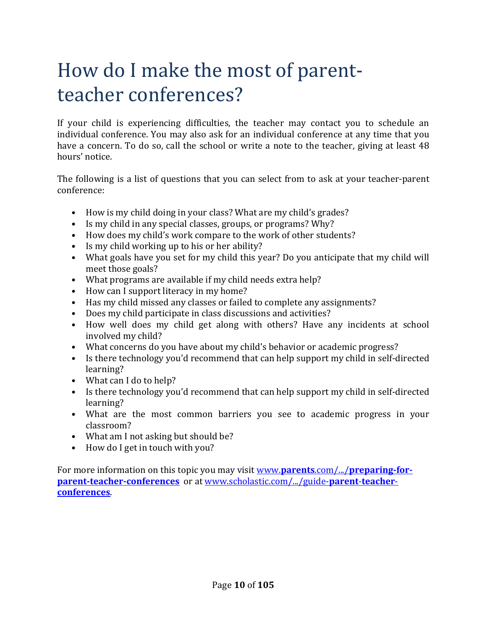# How do I make the most of parentteacher conferences?

If your child is experiencing difficulties, the teacher may contact you to schedule an individual conference. You may also ask for an individual conference at any time that you have a concern. To do so, call the school or write a note to the teacher, giving at least 48 hours' notice.

The following is a list of questions that you can select from to ask at your teacher-parent conference:

- How is my child doing in your class? What are my child's grades?
- Is my child in any special classes, groups, or programs? Why?
- How does my child's work compare to the work of other students?
- Is my child working up to his or her ability?
- What goals have you set for my child this year? Do you anticipate that my child will meet those goals?
- What programs are available if my child needs extra help?
- How can I support literacy in my home?
- Has my child missed any classes or failed to complete any assignments?
- Does my child participate in class discussions and activities?
- How well does my child get along with others? Have any incidents at school involved my child?
- What concerns do you have about my child's behavior or academic progress?
- Is there technology you'd recommend that can help support my child in self-directed learning?
- What can I do to help?
- Is there technology you'd recommend that can help support my child in self-directed learning?
- What are the most common barriers you see to academic progress in your classroom?
- What am I not asking but should be?
- How do I get in touch with you?

For more information on this topic you may visit www.**parents**.com/.../**preparing-forparent-teacher-conferences** or at www.scholastic.com/.../guide-**parent**-**teacherconferences**.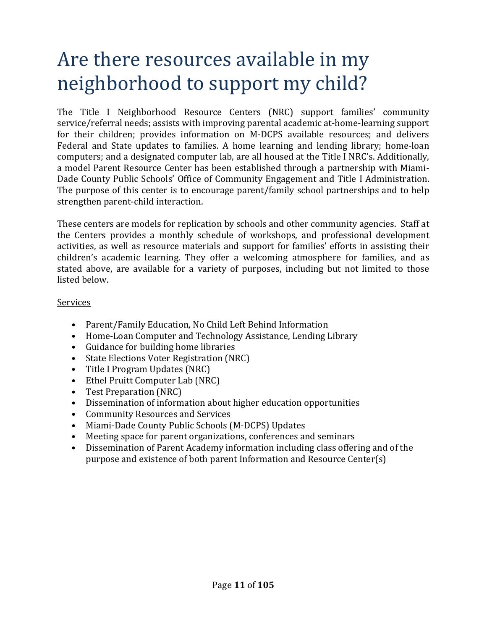### Are there resources available in my neighborhood to support my child?

The Title I Neighborhood Resource Centers (NRC) support families' community service/referral needs; assists with improving parental academic at-home-learning support for their children; provides information on M-DCPS available resources; and delivers Federal and State updates to families. A home learning and lending library; home-loan computers; and a designated computer lab, are all housed at the Title I NRC's. Additionally, a model Parent Resource Center has been established through a partnership with Miami-Dade County Public Schools' Office of Community Engagement and Title I Administration. The purpose of this center is to encourage parent/family school partnerships and to help strengthen parent-child interaction.

These centers are models for replication by schools and other community agencies. Staff at the Centers provides a monthly schedule of workshops, and professional development activities, as well as resource materials and support for families' efforts in assisting their children's academic learning. They offer a welcoming atmosphere for families, and as stated above, are available for a variety of purposes, including but not limited to those listed below.

#### Services

- Parent/Family Education, No Child Left Behind Information
- Home-Loan Computer and Technology Assistance, Lending Library
- Guidance for building home libraries
- State Elections Voter Registration (NRC)
- Title I Program Updates (NRC)
- Ethel Pruitt Computer Lab (NRC)
- Test Preparation (NRC)
- Dissemination of information about higher education opportunities
- Community Resources and Services
- Miami-Dade County Public Schools (M-DCPS) Updates
- Meeting space for parent organizations, conferences and seminars
- Dissemination of Parent Academy information including class offering and of the purpose and existence of both parent Information and Resource Center(s)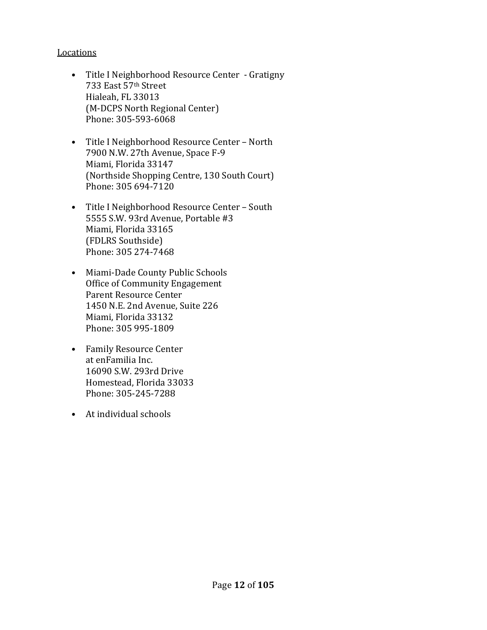#### Locations

- Title I Neighborhood Resource Center Gratigny 733 East 57th Street Hialeah, FL 33013 (M-DCPS North Regional Center) Phone: 305-593-6068
- Title I Neighborhood Resource Center North 7900 N.W. 27th Avenue, Space F-9 Miami, Florida 33147 (Northside Shopping Centre, 130 South Court) Phone: 305 694-7120
- Title I Neighborhood Resource Center South 5555 S.W. 93rd Avenue, Portable #3 Miami, Florida 33165 (FDLRS Southside) Phone: 305 274-7468
- Miami-Dade County Public Schools Office of Community Engagement Parent Resource Center 1450 N.E. 2nd Avenue, Suite 226 Miami, Florida 33132 Phone: 305 995-1809
- Family Resource Center at enFamilia Inc. 16090 S.W. 293rd Drive Homestead, Florida 33033 Phone: 305-245-7288
- At individual schools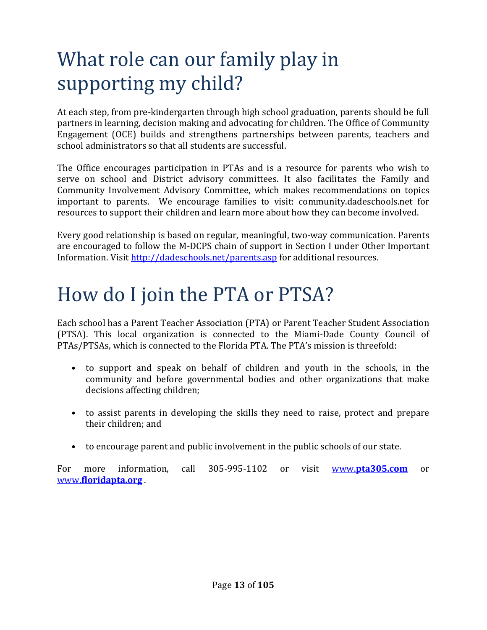# What role can our family play in supporting my child?

At each step, from pre-kindergarten through high school graduation, parents should be full partners in learning, decision making and advocating for children. The Office of Community Engagement (OCE) builds and strengthens partnerships between parents, teachers and school administrators so that all students are successful.

The Office encourages participation in PTAs and is a resource for parents who wish to serve on school and District advisory committees. It also facilitates the Family and Community Involvement Advisory Committee, which makes recommendations on topics important to parents. We encourage families to visit: community.dadeschools.net for resources to support their children and learn more about how they can become involved.

Every good relationship is based on regular, meaningful, two-way communication. Parents are encouraged to follow the M-DCPS chain of support in Section I under Other Important Information. Visit http://dadeschools.net/parents.asp for additional resources.

### How do I join the PTA or PTSA?

Each school has a Parent Teacher Association (PTA) or Parent Teacher Student Association (PTSA). This local organization is connected to the Miami-Dade County Council of PTAs/PTSAs, which is connected to the Florida PTA. The PTA's mission is threefold:

- to support and speak on behalf of children and youth in the schools, in the community and before governmental bodies and other organizations that make decisions affecting children;
- to assist parents in developing the skills they need to raise, protect and prepare their children; and
- to encourage parent and public involvement in the public schools of our state.

For more information, call 305-995-1102 or visit www.**pta305.com** or www.**floridapta.org** .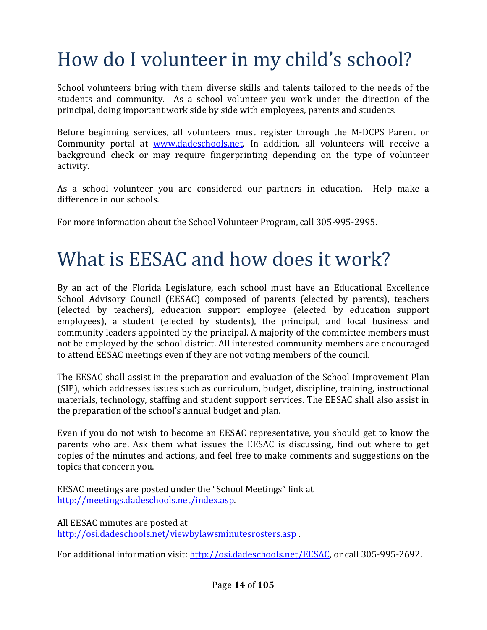# How do I volunteer in my child's school?

School volunteers bring with them diverse skills and talents tailored to the needs of the students and community. As a school volunteer you work under the direction of the principal, doing important work side by side with employees, parents and students.

Before beginning services, all volunteers must register through the M-DCPS Parent or Community portal at www.dadeschools.net. In addition, all volunteers will receive a background check or may require fingerprinting depending on the type of volunteer activity.

As a school volunteer you are considered our partners in education. Help make a difference in our schools.

For more information about the School Volunteer Program, call 305-995-2995.

### What is EESAC and how does it work?

By an act of the Florida Legislature, each school must have an Educational Excellence School Advisory Council (EESAC) composed of parents (elected by parents), teachers (elected by teachers), education support employee (elected by education support employees), a student (elected by students), the principal, and local business and community leaders appointed by the principal. A majority of the committee members must not be employed by the school district. All interested community members are encouraged to attend EESAC meetings even if they are not voting members of the council.

The EESAC shall assist in the preparation and evaluation of the School Improvement Plan (SIP), which addresses issues such as curriculum, budget, discipline, training, instructional materials, technology, staffing and student support services. The EESAC shall also assist in the preparation of the school's annual budget and plan.

Even if you do not wish to become an EESAC representative, you should get to know the parents who are. Ask them what issues the EESAC is discussing, find out where to get copies of the minutes and actions, and feel free to make comments and suggestions on the topics that concern you.

EESAC meetings are posted under the "School Meetings" link at http://meetings.dadeschools.net/index.asp.

All EESAC minutes are posted at http://osi.dadeschools.net/viewbylawsminutesrosters.asp .

For additional information visit: http://osi.dadeschools.net/EESAC, or call 305-995-2692.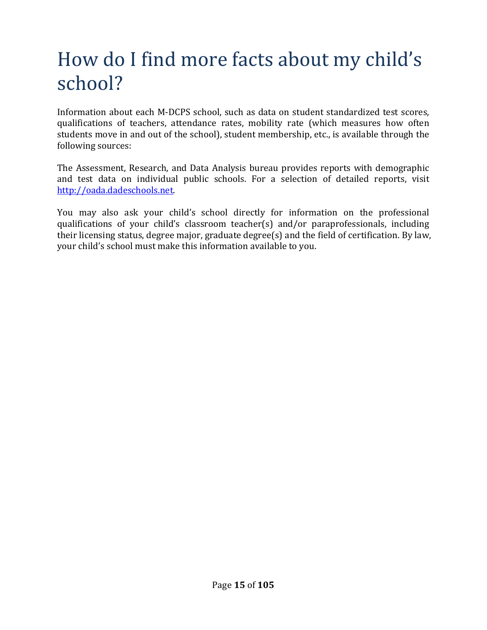# How do I find more facts about my child's school?

Information about each M-DCPS school, such as data on student standardized test scores, qualifications of teachers, attendance rates, mobility rate (which measures how often students move in and out of the school), student membership, etc., is available through the following sources:

The Assessment, Research, and Data Analysis bureau provides reports with demographic and test data on individual public schools. For a selection of detailed reports, visit http://oada.dadeschools.net.

You may also ask your child's school directly for information on the professional qualifications of your child's classroom teacher(s) and/or paraprofessionals, including their licensing status, degree major, graduate degree(s) and the field of certification. By law, your child's school must make this information available to you.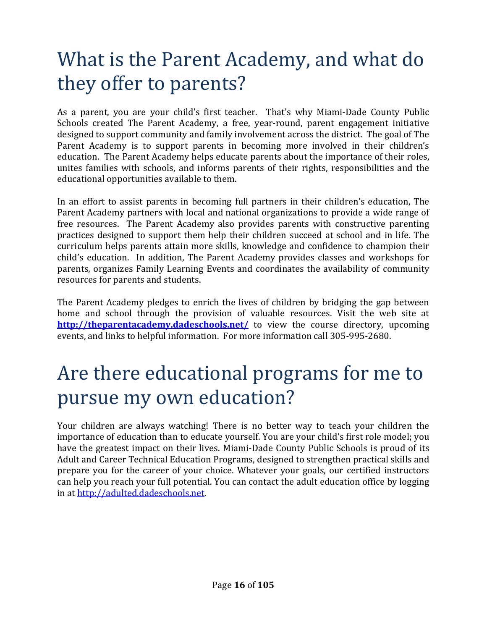### What is the Parent Academy, and what do they offer to parents?

As a parent, you are your child's first teacher. That's why Miami-Dade County Public Schools created The Parent Academy, a free, year-round, parent engagement initiative designed to support community and family involvement across the district. The goal of The Parent Academy is to support parents in becoming more involved in their children's education. The Parent Academy helps educate parents about the importance of their roles, unites families with schools, and informs parents of their rights, responsibilities and the educational opportunities available to them.

In an effort to assist parents in becoming full partners in their children's education, The Parent Academy partners with local and national organizations to provide a wide range of free resources. The Parent Academy also provides parents with constructive parenting practices designed to support them help their children succeed at school and in life. The curriculum helps parents attain more skills, knowledge and confidence to champion their child's education. In addition, The Parent Academy provides classes and workshops for parents, organizes Family Learning Events and coordinates the availability of community resources for parents and students.

The Parent Academy pledges to enrich the lives of children by bridging the gap between home and school through the provision of valuable resources. Visit the web site at **http://theparentacademy.dadeschools.net/** to view the course directory, upcoming events, and links to helpful information. For more information call 305-995-2680.

### Are there educational programs for me to pursue my own education?

Your children are always watching! There is no better way to teach your children the importance of education than to educate yourself. You are your child's first role model; you have the greatest impact on their lives. Miami-Dade County Public Schools is proud of its Adult and Career Technical Education Programs, designed to strengthen practical skills and prepare you for the career of your choice. Whatever your goals, our certified instructors can help you reach your full potential. You can contact the adult education office by logging in at http://adulted.dadeschools.net.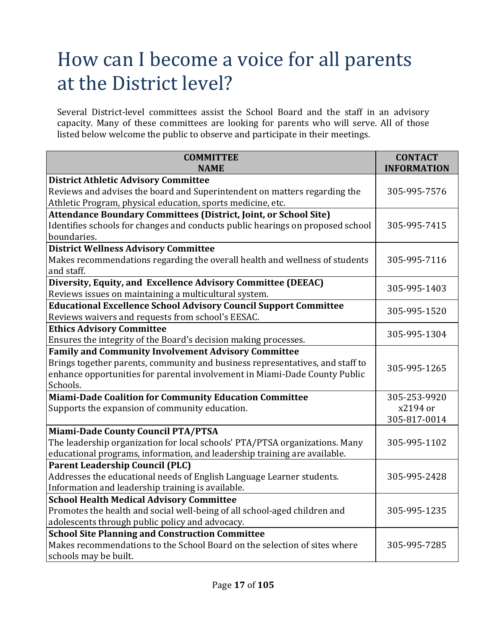### How can I become a voice for all parents at the District level?

Several District-level committees assist the School Board and the staff in an advisory capacity. Many of these committees are looking for parents who will serve. All of those listed below welcome the public to observe and participate in their meetings.

| <b>COMMITTEE</b>                                                               | <b>CONTACT</b>     |  |
|--------------------------------------------------------------------------------|--------------------|--|
| <b>NAME</b>                                                                    | <b>INFORMATION</b> |  |
| <b>District Athletic Advisory Committee</b>                                    |                    |  |
| Reviews and advises the board and Superintendent on matters regarding the      | 305-995-7576       |  |
| Athletic Program, physical education, sports medicine, etc.                    |                    |  |
| <b>Attendance Boundary Committees (District, Joint, or School Site)</b>        |                    |  |
| Identifies schools for changes and conducts public hearings on proposed school | 305-995-7415       |  |
| boundaries.                                                                    |                    |  |
| <b>District Wellness Advisory Committee</b>                                    |                    |  |
| Makes recommendations regarding the overall health and wellness of students    | 305-995-7116       |  |
| and staff.                                                                     |                    |  |
| Diversity, Equity, and Excellence Advisory Committee (DEEAC)                   | 305-995-1403       |  |
| Reviews issues on maintaining a multicultural system.                          |                    |  |
| <b>Educational Excellence School Advisory Council Support Committee</b>        | 305-995-1520       |  |
| Reviews waivers and requests from school's EESAC.                              |                    |  |
| <b>Ethics Advisory Committee</b>                                               |                    |  |
| Ensures the integrity of the Board's decision making processes.                | 305-995-1304       |  |
| <b>Family and Community Involvement Advisory Committee</b>                     |                    |  |
| Brings together parents, community and business representatives, and staff to  |                    |  |
| enhance opportunities for parental involvement in Miami-Dade County Public     | 305-995-1265       |  |
| Schools.                                                                       |                    |  |
| <b>Miami-Dade Coalition for Community Education Committee</b>                  | 305-253-9920       |  |
| Supports the expansion of community education.                                 | x2194 or           |  |
|                                                                                | 305-817-0014       |  |
| <b>Miami-Dade County Council PTA/PTSA</b>                                      |                    |  |
| The leadership organization for local schools' PTA/PTSA organizations. Many    | 305-995-1102       |  |
| educational programs, information, and leadership training are available.      |                    |  |
| <b>Parent Leadership Council (PLC)</b>                                         |                    |  |
| Addresses the educational needs of English Language Learner students.          | 305-995-2428       |  |
| Information and leadership training is available.                              |                    |  |
| <b>School Health Medical Advisory Committee</b>                                |                    |  |
| Promotes the health and social well-being of all school-aged children and      | 305-995-1235       |  |
| adolescents through public policy and advocacy.                                |                    |  |
| <b>School Site Planning and Construction Committee</b>                         |                    |  |
| Makes recommendations to the School Board on the selection of sites where      | 305-995-7285       |  |
| schools may be built.                                                          |                    |  |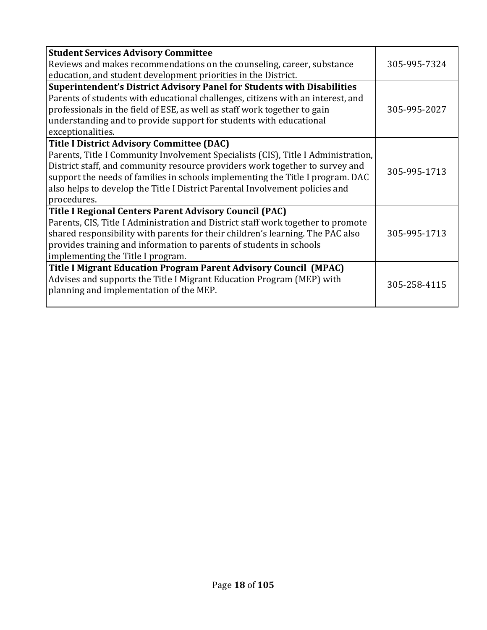| <b>Student Services Advisory Committee</b>                                             |              |
|----------------------------------------------------------------------------------------|--------------|
| Reviews and makes recommendations on the counseling, career, substance<br>305-995-7324 |              |
| education, and student development priorities in the District.                         |              |
| Superintendent's District Advisory Panel for Students with Disabilities                |              |
| Parents of students with educational challenges, citizens with an interest, and        |              |
| professionals in the field of ESE, as well as staff work together to gain              | 305-995-2027 |
| understanding and to provide support for students with educational                     |              |
| exceptionalities.                                                                      |              |
| <b>Title I District Advisory Committee (DAC)</b>                                       |              |
| Parents, Title I Community Involvement Specialists (CIS), Title I Administration,      |              |
| District staff, and community resource providers work together to survey and           | 305-995-1713 |
| support the needs of families in schools implementing the Title I program. DAC         |              |
| also helps to develop the Title I District Parental Involvement policies and           |              |
| procedures.                                                                            |              |
| <b>Title I Regional Centers Parent Advisory Council (PAC)</b>                          |              |
| Parents, CIS, Title I Administration and District staff work together to promote       |              |
| shared responsibility with parents for their children's learning. The PAC also         | 305-995-1713 |
| provides training and information to parents of students in schools                    |              |
| implementing the Title I program.                                                      |              |
| Title I Migrant Education Program Parent Advisory Council (MPAC)                       |              |
| Advises and supports the Title I Migrant Education Program (MEP) with                  | 305-258-4115 |
| planning and implementation of the MEP.                                                |              |
|                                                                                        |              |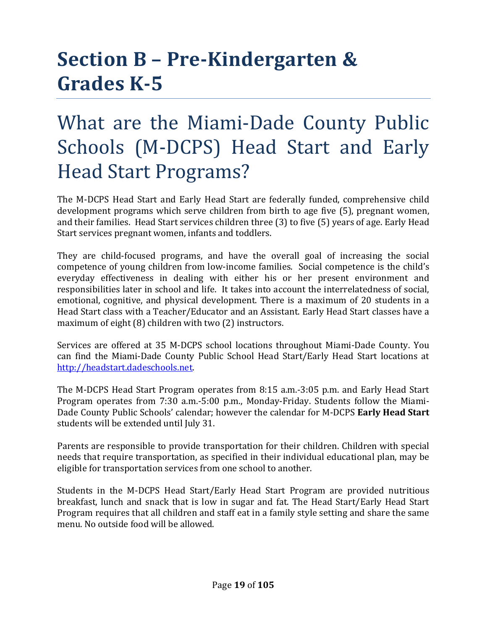# **Section B – Pre-Kindergarten & Grades K-5**

### What are the Miami-Dade County Public Schools (M-DCPS) Head Start and Early Head Start Programs?

The M-DCPS Head Start and Early Head Start are federally funded, comprehensive child development programs which serve children from birth to age five (5), pregnant women, and their families. Head Start services children three (3) to five (5) years of age. Early Head Start services pregnant women, infants and toddlers.

They are child-focused programs, and have the overall goal of increasing the social competence of young children from low-income families. Social competence is the child's everyday effectiveness in dealing with either his or her present environment and responsibilities later in school and life. It takes into account the interrelatedness of social, emotional, cognitive, and physical development. There is a maximum of 20 students in a Head Start class with a Teacher/Educator and an Assistant. Early Head Start classes have a maximum of eight (8) children with two (2) instructors.

Services are offered at 35 M-DCPS school locations throughout Miami-Dade County. You can find the Miami-Dade County Public School Head Start/Early Head Start locations at http://headstart.dadeschools.net.

The M-DCPS Head Start Program operates from 8:15 a.m.-3:05 p.m. and Early Head Start Program operates from 7:30 a.m.-5:00 p.m., Monday-Friday. Students follow the Miami-Dade County Public Schools' calendar; however the calendar for M-DCPS **Early Head Start** students will be extended until July 31.

Parents are responsible to provide transportation for their children. Children with special needs that require transportation, as specified in their individual educational plan, may be eligible for transportation services from one school to another.

Students in the M-DCPS Head Start/Early Head Start Program are provided nutritious breakfast, lunch and snack that is low in sugar and fat. The Head Start/Early Head Start Program requires that all children and staff eat in a family style setting and share the same menu. No outside food will be allowed.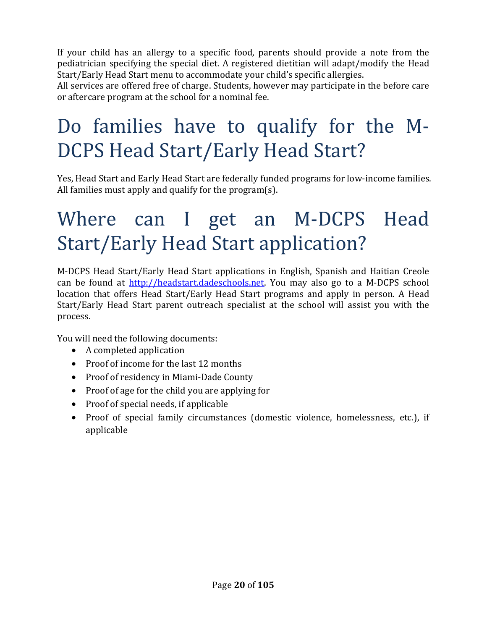If your child has an allergy to a specific food, parents should provide a note from the pediatrician specifying the special diet. A registered dietitian will adapt/modify the Head Start/Early Head Start menu to accommodate your child's specific allergies.

All services are offered free of charge. Students, however may participate in the before care or aftercare program at the school for a nominal fee.

# Do families have to qualify for the M-DCPS Head Start/Early Head Start?

Yes, Head Start and Early Head Start are federally funded programs for low-income families. All families must apply and qualify for the program(s).

# Where can I get an M-DCPS Head Start/Early Head Start application?

M-DCPS Head Start/Early Head Start applications in English, Spanish and Haitian Creole can be found at http://headstart.dadeschools.net. You may also go to a M-DCPS school location that offers Head Start/Early Head Start programs and apply in person. A Head Start/Early Head Start parent outreach specialist at the school will assist you with the process.

You will need the following documents:

- A completed application
- Proof of income for the last 12 months
- Proof of residency in Miami-Dade County
- Proof of age for the child you are applying for
- Proof of special needs, if applicable
- Proof of special family circumstances (domestic violence, homelessness, etc.), if applicable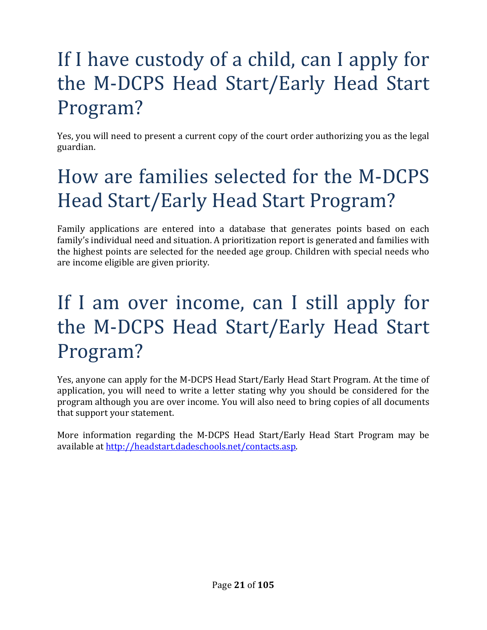# If I have custody of a child, can I apply for the M-DCPS Head Start/Early Head Start Program?

Yes, you will need to present a current copy of the court order authorizing you as the legal guardian.

# How are families selected for the M-DCPS Head Start/Early Head Start Program?

Family applications are entered into a database that generates points based on each family's individual need and situation. A prioritization report is generated and families with the highest points are selected for the needed age group. Children with special needs who are income eligible are given priority.

## If I am over income, can I still apply for the M-DCPS Head Start/Early Head Start Program?

Yes, anyone can apply for the M-DCPS Head Start/Early Head Start Program. At the time of application, you will need to write a letter stating why you should be considered for the program although you are over income. You will also need to bring copies of all documents that support your statement.

More information regarding the M-DCPS Head Start/Early Head Start Program may be available at http://headstart.dadeschools.net/contacts.asp.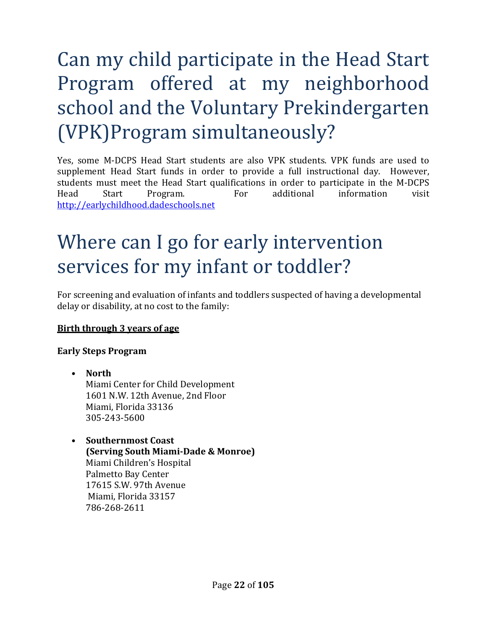# Can my child participate in the Head Start Program offered at my neighborhood school and the Voluntary Prekindergarten (VPK)Program simultaneously?

Yes, some M-DCPS Head Start students are also VPK students. VPK funds are used to supplement Head Start funds in order to provide a full instructional day. However, students must meet the Head Start qualifications in order to participate in the M-DCPS Head Start Program. For additional information visit http://earlychildhood.dadeschools.net

### Where can I go for early intervention services for my infant or toddler?

For screening and evaluation of infants and toddlers suspected of having a developmental delay or disability, at no cost to the family:

### **Birth through 3 years of age**

#### **Early Steps Program**

- **North** Miami Center for Child Development 1601 N.W. 12th Avenue, 2nd Floor Miami, Florida 33136 305-243-5600
- **Southernmost Coast (Serving South Miami-Dade & Monroe)** Miami Children's Hospital Palmetto Bay Center 17615 S.W. 97th Avenue Miami, Florida 33157 786-268-2611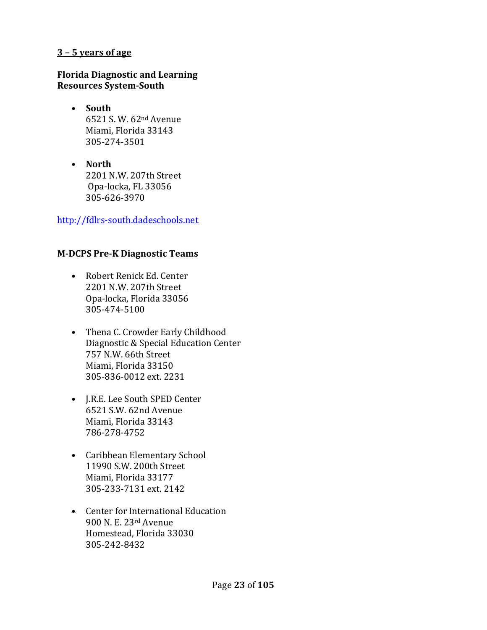#### **3 – 5 years of age**

#### **Florida Diagnostic and Learning Resources System-South**

- **South** 6521 S. W. 62nd Avenue Miami, Florida 33143 305-274-3501
- **North** 2201 N.W. 207th Street Opa-locka, FL 33056 305-626-3970

http://fdlrs-south.dadeschools.net

#### **M-DCPS Pre-K Diagnostic Teams**

- Robert Renick Ed. Center 2201 N.W. 207th Street Opa-locka, Florida 33056 305-474-5100
- Thena C. Crowder Early Childhood Diagnostic & Special Education Center 757 N.W. 66th Street Miami, Florida 33150 305-836-0012 ext. 2231
- J.R.E. Lee South SPED Center 6521 S.W. 62nd Avenue Miami, Florida 33143 786-278-4752
- Caribbean Elementary School 11990 S.W. 200th Street Miami, Florida 33177 305-233-7131 ext. 2142
- Center for International Education 900 N. E. 23rd Avenue Homestead, Florida 33030 305-242-8432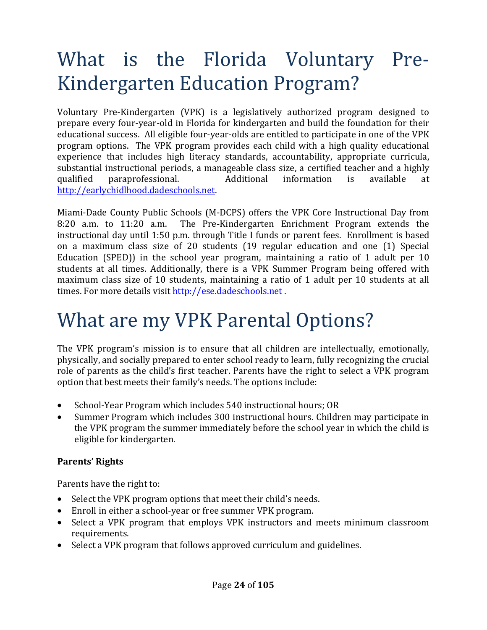# What is the Florida Voluntary Pre-Kindergarten Education Program?

Voluntary Pre-Kindergarten (VPK) is a legislatively authorized program designed to prepare every four-year-old in Florida for kindergarten and build the foundation for their educational success. All eligible four-year-olds are entitled to participate in one of the VPK program options. The VPK program provides each child with a high quality educational experience that includes high literacy standards, accountability, appropriate curricula, substantial instructional periods, a manageable class size, a certified teacher and a highly qualified paraprofessional. Additional information is available at http://earlychidlhood.dadeschools.net.

Miami-Dade County Public Schools (M-DCPS) offers the VPK Core Instructional Day from 8:20 a.m. to 11:20 a.m. The Pre-Kindergarten Enrichment Program extends the instructional day until 1:50 p.m. through Title I funds or parent fees. Enrollment is based on a maximum class size of 20 students (19 regular education and one (1) Special Education (SPED)) in the school year program, maintaining a ratio of 1 adult per 10 students at all times. Additionally, there is a VPK Summer Program being offered with maximum class size of 10 students, maintaining a ratio of 1 adult per 10 students at all times. For more details visit http://ese.dadeschools.net .

### What are my VPK Parental Options?

The VPK program's mission is to ensure that all children are intellectually, emotionally, physically, and socially prepared to enter school ready to learn, fully recognizing the crucial role of parents as the child's first teacher. Parents have the right to select a VPK program option that best meets their family's needs. The options include:

- School-Year Program which includes 540 instructional hours; OR
- Summer Program which includes 300 instructional hours. Children may participate in the VPK program the summer immediately before the school year in which the child is eligible for kindergarten.

### **Parents'** Rights

Parents have the right to:

- Select the VPK program options that meet their child's needs.
- Enroll in either a school-year or free summer VPK program.
- Select a VPK program that employs VPK instructors and meets minimum classroom requirements.
- Select a VPK program that follows approved curriculum and guidelines.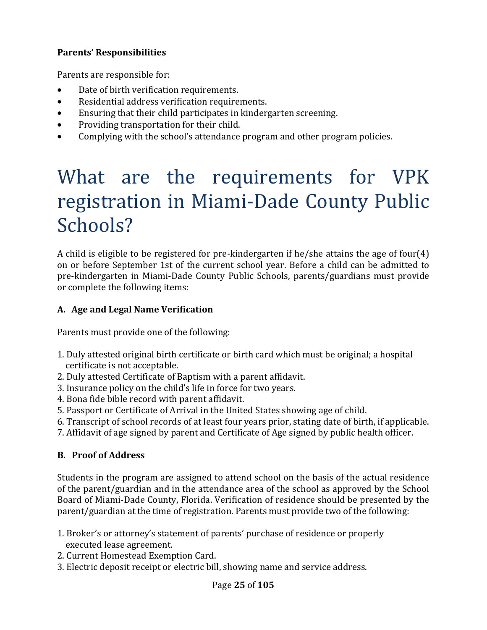### **Parents' Responsibilities**

Parents are responsible for:

- Date of birth verification requirements.
- Residential address verification requirements.
- Ensuring that their child participates in kindergarten screening.
- Providing transportation for their child.
- Complying with the school's attendance program and other program policies.

# What are the requirements for VPK registration in Miami-Dade County Public Schools?

A child is eligible to be registered for pre-kindergarten if he/she attains the age of four(4) on or before September 1st of the current school year. Before a child can be admitted to pre-kindergarten in Miami-Dade County Public Schools, parents/guardians must provide or complete the following items:

### **A. Age and Legal Name Verification**

Parents must provide one of the following:

- 1. Duly attested original birth certificate or birth card which must be original; a hospital certificate is not acceptable.
- 2. Duly attested Certificate of Baptism with a parent affidavit.
- 3. Insurance policy on the child's life in force for two years.
- 4. Bona fide bible record with parent affidavit.
- 5. Passport or Certificate of Arrival in the United States showing age of child.
- 6. Transcript of school records of at least four years prior, stating date of birth, if applicable.
- 7. Affidavit of age signed by parent and Certificate of Age signed by public health officer.

### **B. Proof of Address**

Students in the program are assigned to attend school on the basis of the actual residence of the parent/guardian and in the attendance area of the school as approved by the School Board of Miami-Dade County, Florida. Verification of residence should be presented by the parent/guardian at the time of registration. Parents must provide two of the following:

- 1. Broker's or attorney's statement of parents' purchase of residence or properly executed lease agreement.
- 2. Current Homestead Exemption Card.
- 3. Electric deposit receipt or electric bill, showing name and service address.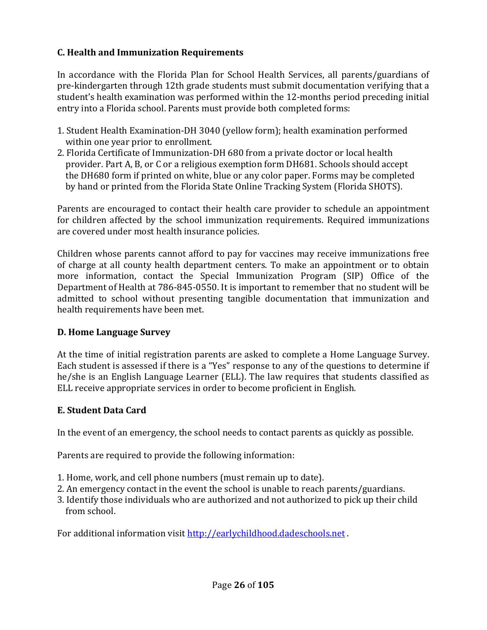### **C. Health and Immunization Requirements**

In accordance with the Florida Plan for School Health Services, all parents/guardians of pre-kindergarten through 12th grade students must submit documentation verifying that a student's health examination was performed within the 12-months period preceding initial entry into a Florida school. Parents must provide both completed forms:

- 1. Student Health Examination-DH 3040 (yellow form); health examination performed within one year prior to enrollment.
- 2. Florida Certificate of Immunization-DH 680 from a private doctor or local health provider. Part A, B, or C or a religious exemption form DH681. Schools should accept the DH680 form if printed on white, blue or any color paper. Forms may be completed by hand or printed from the Florida State Online Tracking System (Florida SHOTS).

Parents are encouraged to contact their health care provider to schedule an appointment for children affected by the school immunization requirements. Required immunizations are covered under most health insurance policies.

Children whose parents cannot afford to pay for vaccines may receive immunizations free of charge at all county health department centers. To make an appointment or to obtain more information, contact the Special Immunization Program (SIP) Office of the Department of Health at 786-845-0550. It is important to remember that no student will be admitted to school without presenting tangible documentation that immunization and health requirements have been met.

### **D. Home Language Survey**

At the time of initial registration parents are asked to complete a Home Language Survey. Each student is assessed if there is a "Yes" response to any of the questions to determine if he/she is an English Language Learner (ELL). The law requires that students classified as ELL receive appropriate services in order to become proficient in English.

#### **E.** Student Data Card

In the event of an emergency, the school needs to contact parents as quickly as possible.

Parents are required to provide the following information:

- 1. Home, work, and cell phone numbers (must remain up to date).
- 2. An emergency contact in the event the school is unable to reach parents/guardians.
- 3. Identify those individuals who are authorized and not authorized to pick up their child from school.

For additional information visit http://earlychildhood.dadeschools.net .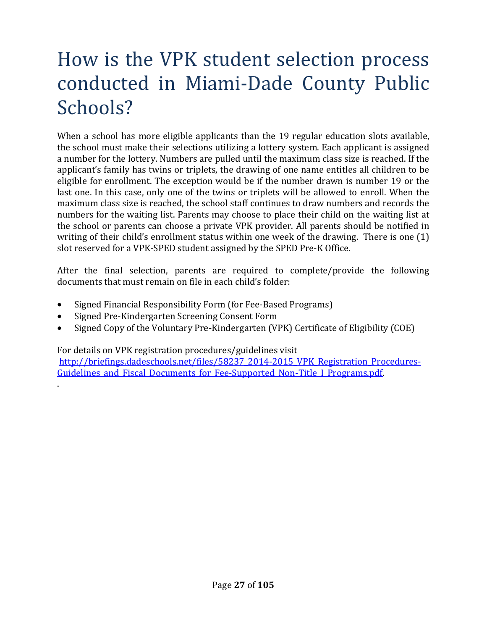# How is the VPK student selection process conducted in Miami-Dade County Public Schools?

When a school has more eligible applicants than the 19 regular education slots available, the school must make their selections utilizing a lottery system. Each applicant is assigned a number for the lottery. Numbers are pulled until the maximum class size is reached. If the applicant's family has twins or triplets, the drawing of one name entitles all children to be eligible for enrollment. The exception would be if the number drawn is number 19 or the last one. In this case, only one of the twins or triplets will be allowed to enroll. When the maximum class size is reached, the school staff continues to draw numbers and records the numbers for the waiting list. Parents may choose to place their child on the waiting list at the school or parents can choose a private VPK provider. All parents should be notified in writing of their child's enrollment status within one week of the drawing. There is one (1) slot reserved for a VPK-SPED student assigned by the SPED Pre-K Office.

After the final selection, parents are required to complete/provide the following documents that must remain on file in each child's folder:

- Signed Financial Responsibility Form (for Fee-Based Programs)
- Signed Pre-Kindergarten Screening Consent Form

.

• Signed Copy of the Voluntary Pre-Kindergarten (VPK) Certificate of Eligibility (COE)

For details on VPK registration procedures/guidelines visit

http://briefings.dadeschools.net/files/58237\_2014-2015\_VPK\_Registration\_Procedures-Guidelines and Fiscal Documents for Fee-Supported Non-Title I Programs.pdf.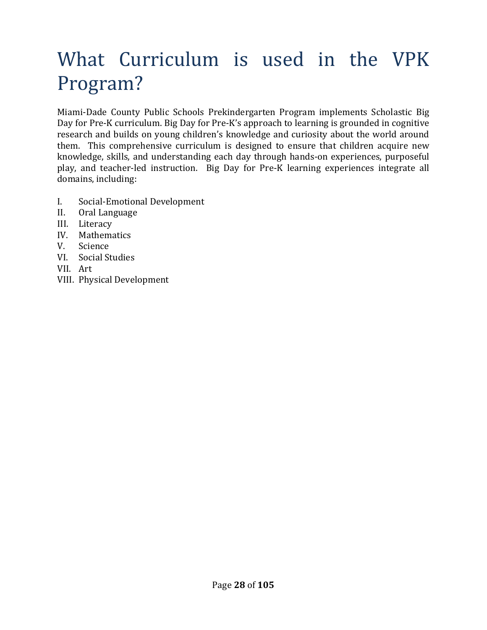# What Curriculum is used in the VPK Program?

Miami-Dade County Public Schools Prekindergarten Program implements Scholastic Big Day for Pre-K curriculum. Big Day for Pre-K's approach to learning is grounded in cognitive research and builds on young children's knowledge and curiosity about the world around them. This comprehensive curriculum is designed to ensure that children acquire new knowledge, skills, and understanding each day through hands-on experiences, purposeful play, and teacher-led instruction. Big Day for Pre-K learning experiences integrate all domains, including:

- I. Social-Emotional Development
- II. Oral Language
- III. Literacy
- IV. Mathematics
- V. Science
- VI. Social Studies
- VII. Art
- VIII. Physical Development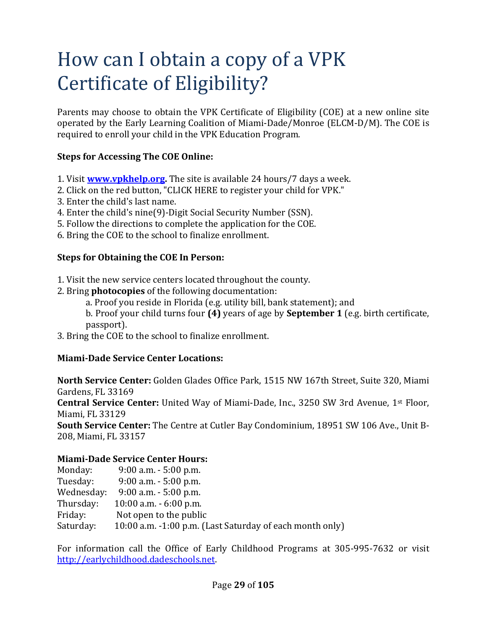# How can I obtain a copy of a VPK Certificate of Eligibility?

Parents may choose to obtain the VPK Certificate of Eligibility (COE) at a new online site operated by the Early Learning Coalition of Miami-Dade/Monroe (ELCM-D/M). The COE is required to enroll your child in the VPK Education Program.

#### **Steps for Accessing The COE Online:**

- 1. Visit **www.vpkhelp.org.** The site is available 24 hours/7 days a week.
- 2. Click on the red button, "CLICK HERE to register your child for VPK."
- 3. Enter the child's last name.
- 4. Enter the child's nine(9)-Digit Social Security Number (SSN).
- 5. Follow the directions to complete the application for the COE.
- 6. Bring the COE to the school to finalize enrollment.

#### **Steps for Obtaining the COE In Person:**

- 1. Visit the new service centers located throughout the county.
- 2. Bring **photocopies** of the following documentation:
	- a. Proof you reside in Florida (e.g. utility bill, bank statement); and
	- b. Proof your child turns four **(4)** years of age by **September 1** (e.g. birth certificate, passport).
- 3. Bring the COE to the school to finalize enrollment.

### **Miami-Dade Service Center Locations:**

**North Service Center:** Golden Glades Office Park, 1515 NW 167th Street, Suite 320, Miami Gardens, FL 33169

**Central Service Center:** United Way of Miami-Dade, Inc., 3250 SW 3rd Avenue, 1st Floor, Miami, FL 33129

**South Service Center:** The Centre at Cutler Bay Condominium, 18951 SW 106 Ave., Unit B-208, Miami, FL 33157

#### **Miami-Dade Service Center Hours:**

| Monday:    | $9:00$ a.m. $-5:00$ p.m.                                 |
|------------|----------------------------------------------------------|
| Tuesday:   | $9:00$ a.m. $-5:00$ p.m.                                 |
| Wednesday: | $9:00$ a.m. $-5:00$ p.m.                                 |
| Thursday:  | $10:00$ a.m. $-6:00$ p.m.                                |
| Friday:    | Not open to the public                                   |
| Saturday:  | 10:00 a.m. -1:00 p.m. (Last Saturday of each month only) |

For information call the Office of Early Childhood Programs at 305-995-7632 or visit http://earlychildhood.dadeschools.net.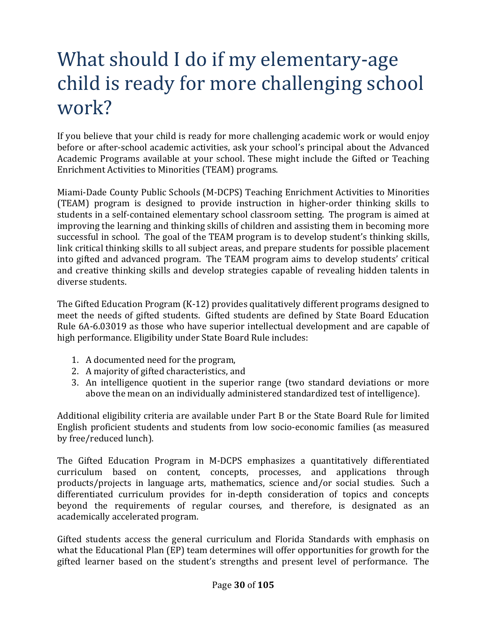# What should I do if my elementary-age child is ready for more challenging school work?

If you believe that your child is ready for more challenging academic work or would enjoy before or after-school academic activities, ask your school's principal about the Advanced Academic Programs available at your school. These might include the Gifted or Teaching Enrichment Activities to Minorities (TEAM) programs.

Miami-Dade County Public Schools (M-DCPS) Teaching Enrichment Activities to Minorities (TEAM) program is designed to provide instruction in higher-order thinking skills to students in a self-contained elementary school classroom setting. The program is aimed at improving the learning and thinking skills of children and assisting them in becoming more successful in school. The goal of the TEAM program is to develop student's thinking skills, link critical thinking skills to all subject areas, and prepare students for possible placement into gifted and advanced program. The TEAM program aims to develop students' critical and creative thinking skills and develop strategies capable of revealing hidden talents in diverse students.

The Gifted Education Program (K-12) provides qualitatively different programs designed to meet the needs of gifted students. Gifted students are defined by State Board Education Rule 6A-6.03019 as those who have superior intellectual development and are capable of high performance. Eligibility under State Board Rule includes:

- 1. A documented need for the program,
- 2. A majority of gifted characteristics, and
- 3. An intelligence quotient in the superior range (two standard deviations or more above the mean on an individually administered standardized test of intelligence).

Additional eligibility criteria are available under Part B or the State Board Rule for limited English proficient students and students from low socio-economic families (as measured by free/reduced lunch).

The Gifted Education Program in M-DCPS emphasizes a quantitatively differentiated curriculum based on content, concepts, processes, and applications through products/projects in language arts, mathematics, science and/or social studies. Such a differentiated curriculum provides for in-depth consideration of topics and concepts beyond the requirements of regular courses, and therefore, is designated as an academically accelerated program.

Gifted students access the general curriculum and Florida Standards with emphasis on what the Educational Plan (EP) team determines will offer opportunities for growth for the gifted learner based on the student's strengths and present level of performance. The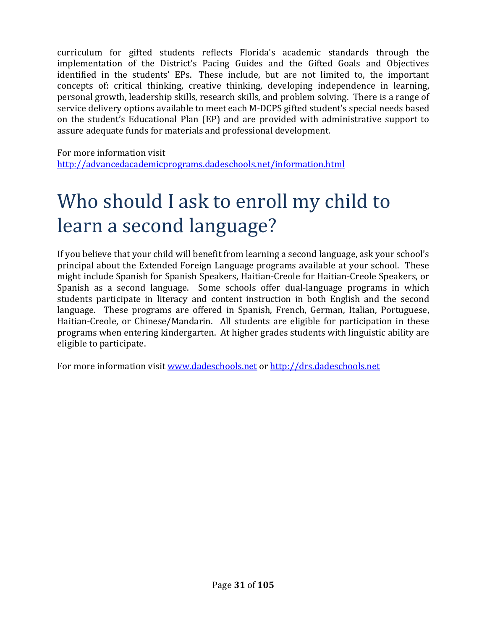curriculum for gifted students reflects Florida's academic standards through the implementation of the District's Pacing Guides and the Gifted Goals and Objectives identified in the students' EPs. These include, but are not limited to, the important concepts of: critical thinking, creative thinking, developing independence in learning, personal growth, leadership skills, research skills, and problem solving. There is a range of service delivery options available to meet each M-DCPS gifted student's special needs based on the student's Educational Plan (EP) and are provided with administrative support to assure adequate funds for materials and professional development.

For more information visit http://advancedacademicprograms.dadeschools.net/information.html

# Who should I ask to enroll my child to learn a second language?

If you believe that your child will benefit from learning a second language, ask your school's principal about the Extended Foreign Language programs available at your school. These might include Spanish for Spanish Speakers, Haitian-Creole for Haitian-Creole Speakers, or Spanish as a second language. Some schools offer dual-language programs in which students participate in literacy and content instruction in both English and the second language. These programs are offered in Spanish, French, German, Italian, Portuguese, Haitian-Creole, or Chinese/Mandarin. All students are eligible for participation in these programs when entering kindergarten. At higher grades students with linguistic ability are eligible to participate.

For more information visit www.dadeschools.net or http://drs.dadeschools.net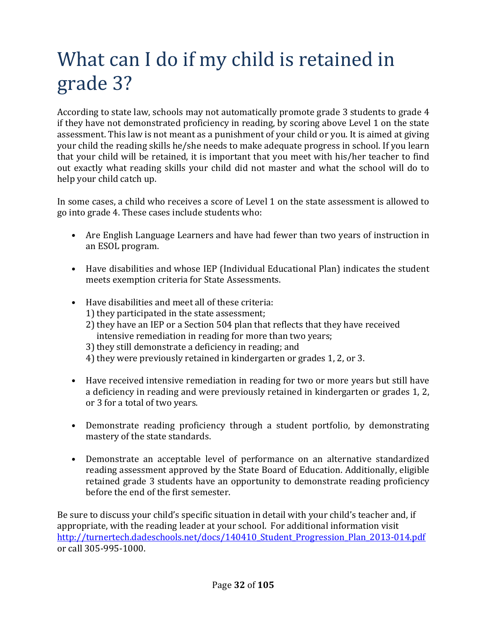# What can I do if my child is retained in grade 3?

According to state law, schools may not automatically promote grade 3 students to grade 4 if they have not demonstrated proficiency in reading, by scoring above Level 1 on the state assessment. This law is not meant as a punishment of your child or you. It is aimed at giving your child the reading skills he/she needs to make adequate progress in school. If you learn that your child will be retained, it is important that you meet with his/her teacher to find out exactly what reading skills your child did not master and what the school will do to help your child catch up.

In some cases, a child who receives a score of Level 1 on the state assessment is allowed to go into grade 4. These cases include students who:

- Are English Language Learners and have had fewer than two years of instruction in an ESOL program.
- Have disabilities and whose IEP (Individual Educational Plan) indicates the student meets exemption criteria for State Assessments.
- Have disabilities and meet all of these criteria:
	- 1) they participated in the state assessment;
	- 2) they have an IEP or a Section 504 plan that reflects that they have received intensive remediation in reading for more than two years;
	- 3) they still demonstrate a deficiency in reading; and
	- 4) they were previously retained in kindergarten or grades 1, 2, or 3.
- Have received intensive remediation in reading for two or more years but still have a deficiency in reading and were previously retained in kindergarten or grades 1, 2, or 3 for a total of two years.
- Demonstrate reading proficiency through a student portfolio, by demonstrating mastery of the state standards.
- Demonstrate an acceptable level of performance on an alternative standardized reading assessment approved by the State Board of Education. Additionally, eligible retained grade 3 students have an opportunity to demonstrate reading proficiency before the end of the first semester.

Be sure to discuss your child's specific situation in detail with your child's teacher and, if appropriate, with the reading leader at your school. For additional information visit http://turnertech.dadeschools.net/docs/140410\_Student\_Progression\_Plan\_2013-014.pdf or call 305-995-1000.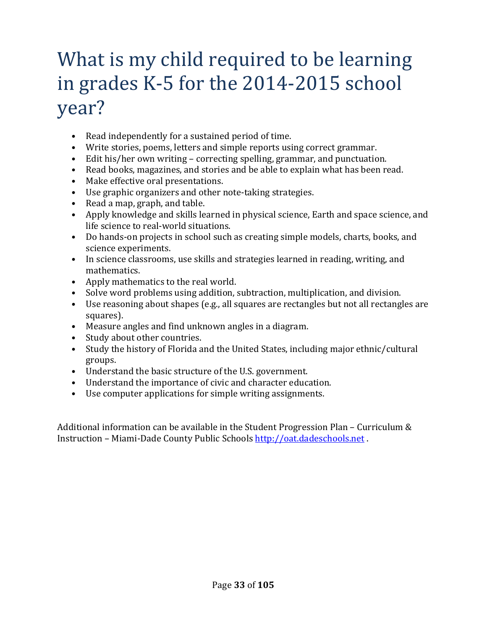# What is my child required to be learning in grades K-5 for the 2014-2015 school year?

- Read independently for a sustained period of time.
- Write stories, poems, letters and simple reports using correct grammar.
- Edit his/her own writing correcting spelling, grammar, and punctuation.
- Read books, magazines, and stories and be able to explain what has been read.
- Make effective oral presentations.
- Use graphic organizers and other note-taking strategies.
- Read a map, graph, and table.
- Apply knowledge and skills learned in physical science, Earth and space science, and life science to real-world situations.
- Do hands-on projects in school such as creating simple models, charts, books, and science experiments.
- In science classrooms, use skills and strategies learned in reading, writing, and mathematics.
- Apply mathematics to the real world.
- Solve word problems using addition, subtraction, multiplication, and division.
- Use reasoning about shapes (e.g., all squares are rectangles but not all rectangles are squares).
- Measure angles and find unknown angles in a diagram.
- Study about other countries.
- Study the history of Florida and the United States, including major ethnic/cultural groups.
- Understand the basic structure of the U.S. government.
- Understand the importance of civic and character education.
- Use computer applications for simple writing assignments.

Additional information can be available in the Student Progression Plan – Curriculum & Instruction – Miami-Dade County Public Schools http://oat.dadeschools.net .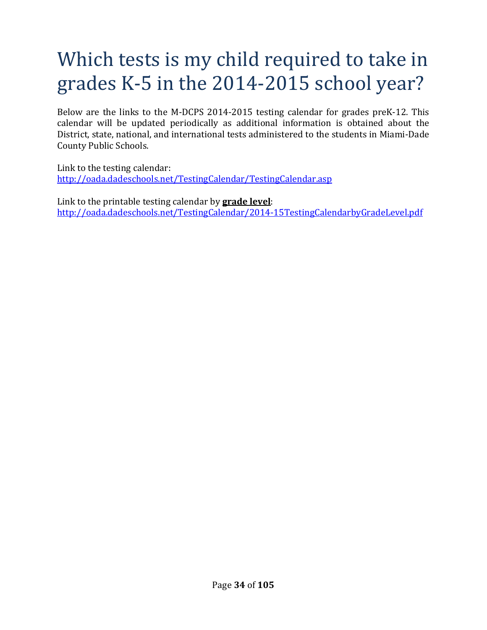# Which tests is my child required to take in grades K-5 in the 2014-2015 school year?

Below are the links to the M-DCPS 2014-2015 testing calendar for grades preK-12. This calendar will be updated periodically as additional information is obtained about the District, state, national, and international tests administered to the students in Miami-Dade County Public Schools.

Link to the testing calendar: http://oada.dadeschools.net/TestingCalendar/TestingCalendar.asp

Link to the printable testing calendar by **grade level**: http://oada.dadeschools.net/TestingCalendar/2014-15TestingCalendarbyGradeLevel.pdf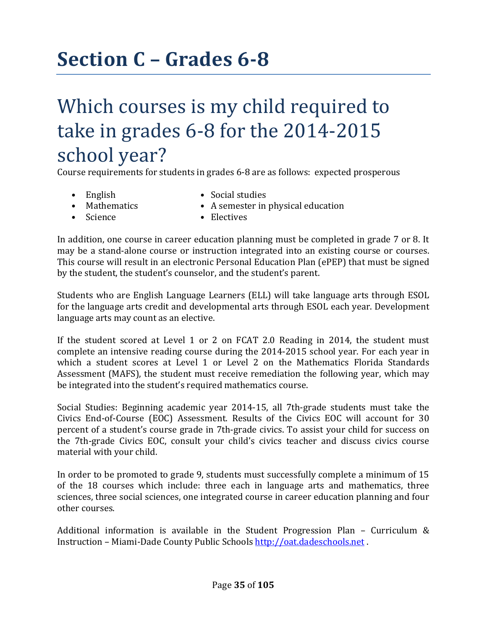# **Section C – Grades 6-8**

### Which courses is my child required to take in grades 6-8 for the 2014-2015 school year?

Course requirements for students in grades 6-8 are as follows: expected prosperous

- 
- English Social studies
- 
- Science Electives
- 
- Mathematics A semester in physical education
	-

In addition, one course in career education planning must be completed in grade 7 or 8. It may be a stand-alone course or instruction integrated into an existing course or courses. This course will result in an electronic Personal Education Plan (ePEP) that must be signed by the student, the student's counselor, and the student's parent.

Students who are English Language Learners (ELL) will take language arts through ESOL for the language arts credit and developmental arts through ESOL each year. Development language arts may count as an elective.

If the student scored at Level 1 or 2 on FCAT 2.0 Reading in 2014, the student must complete an intensive reading course during the 2014-2015 school year. For each year in which a student scores at Level 1 or Level 2 on the Mathematics Florida Standards Assessment (MAFS), the student must receive remediation the following year, which may be integrated into the student's required mathematics course.

Social Studies: Beginning academic year 2014-15, all 7th-grade students must take the Civics End-of-Course (EOC) Assessment. Results of the Civics EOC will account for 30 percent of a student's course grade in 7th-grade civics. To assist your child for success on the 7th-grade Civics EOC, consult your child's civics teacher and discuss civics course material with your child.

In order to be promoted to grade 9, students must successfully complete a minimum of 15 of the 18 courses which include: three each in language arts and mathematics, three sciences, three social sciences, one integrated course in career education planning and four other courses.

Additional information is available in the Student Progression Plan – Curriculum & Instruction – Miami-Dade County Public Schools http://oat.dadeschools.net .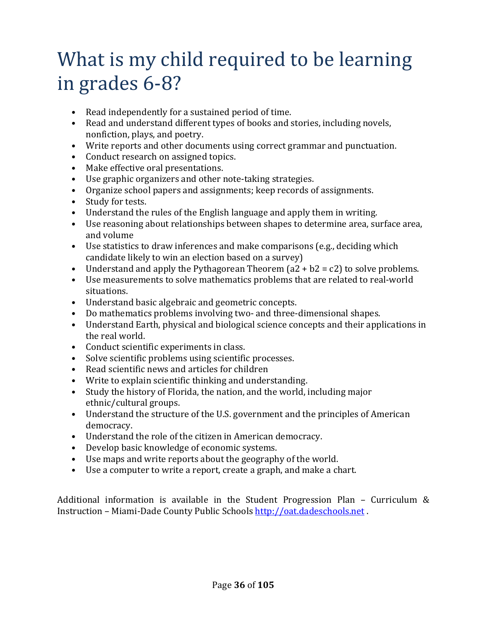## What is my child required to be learning in grades 6-8?

- Read independently for a sustained period of time.
- Read and understand different types of books and stories, including novels, nonfiction, plays, and poetry.
- Write reports and other documents using correct grammar and punctuation.
- Conduct research on assigned topics.
- Make effective oral presentations.
- Use graphic organizers and other note-taking strategies.
- Organize school papers and assignments; keep records of assignments.
- Study for tests.
- Understand the rules of the English language and apply them in writing.
- Use reasoning about relationships between shapes to determine area, surface area, and volume
- Use statistics to draw inferences and make comparisons (e.g., deciding which candidate likely to win an election based on a survey)
- Understand and apply the Pythagorean Theorem  $(a2 + b2 = c2)$  to solve problems.
- Use measurements to solve mathematics problems that are related to real-world situations.
- Understand basic algebraic and geometric concepts.
- Do mathematics problems involving two- and three-dimensional shapes.
- Understand Earth, physical and biological science concepts and their applications in the real world.
- Conduct scientific experiments in class.
- Solve scientific problems using scientific processes.
- Read scientific news and articles for children
- Write to explain scientific thinking and understanding.
- Study the history of Florida, the nation, and the world, including major ethnic/cultural groups.
- Understand the structure of the U.S. government and the principles of American democracy.
- Understand the role of the citizen in American democracy.
- Develop basic knowledge of economic systems.
- Use maps and write reports about the geography of the world.
- Use a computer to write a report, create a graph, and make a chart.

Additional information is available in the Student Progression Plan – Curriculum & Instruction – Miami-Dade County Public Schools http://oat.dadeschools.net .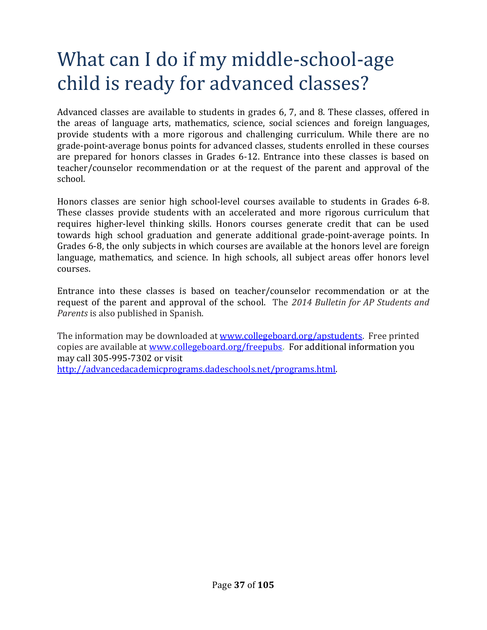## What can I do if my middle-school-age child is ready for advanced classes?

Advanced classes are available to students in grades 6, 7, and 8. These classes, offered in the areas of language arts, mathematics, science, social sciences and foreign languages, provide students with a more rigorous and challenging curriculum. While there are no grade-point-average bonus points for advanced classes, students enrolled in these courses are prepared for honors classes in Grades 6-12. Entrance into these classes is based on teacher/counselor recommendation or at the request of the parent and approval of the school.

Honors classes are senior high school-level courses available to students in Grades 6-8. These classes provide students with an accelerated and more rigorous curriculum that requires higher-level thinking skills. Honors courses generate credit that can be used towards high school graduation and generate additional grade-point-average points. In Grades 6-8, the only subjects in which courses are available at the honors level are foreign language, mathematics, and science. In high schools, all subject areas offer honors level courses.

Entrance into these classes is based on teacher/counselor recommendation or at the request of the parent and approval of the school. The *2014 Bulletin for AP Students and Parents* is also published in Spanish.

The information may be downloaded at www.collegeboard.org/apstudents. Free printed copies are available at www.collegeboard.org/freepubs**.** For additional information you may call 305-995-7302 or visit http://advancedacademicprograms.dadeschools.net/programs.html.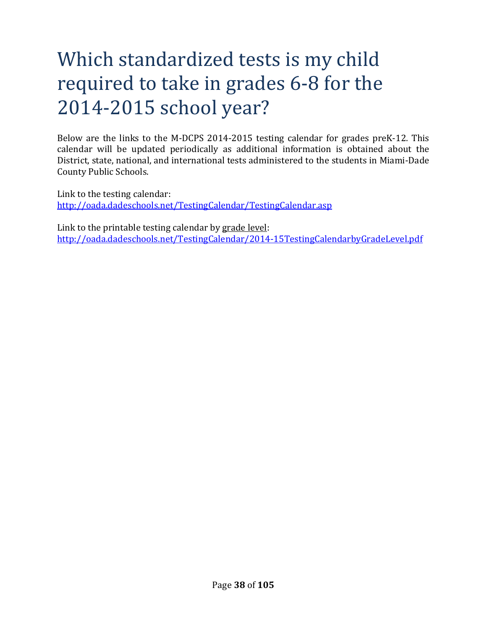# Which standardized tests is my child required to take in grades 6-8 for the 2014-2015 school year?

Below are the links to the M-DCPS 2014-2015 testing calendar for grades preK-12. This calendar will be updated periodically as additional information is obtained about the District, state, national, and international tests administered to the students in Miami-Dade County Public Schools.

Link to the testing calendar: http://oada.dadeschools.net/TestingCalendar/TestingCalendar.asp

Link to the printable testing calendar by grade level: http://oada.dadeschools.net/TestingCalendar/2014-15TestingCalendarbyGradeLevel.pdf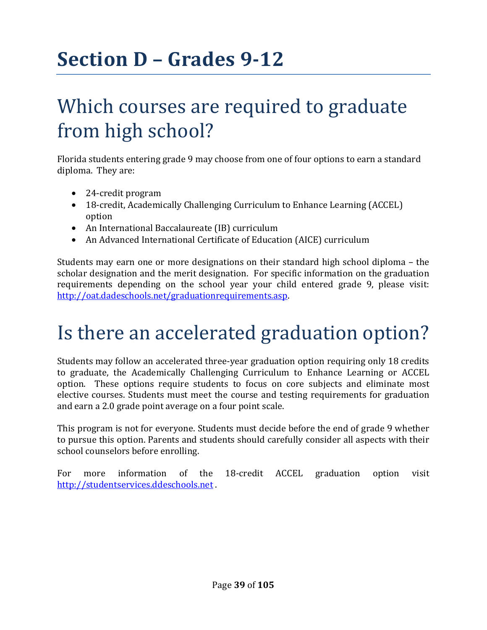# **Section D – Grades 9-12**

## Which courses are required to graduate from high school?

Florida students entering grade 9 may choose from one of four options to earn a standard diploma. They are:

- 24-credit program
- 18-credit, Academically Challenging Curriculum to Enhance Learning (ACCEL) option
- An International Baccalaureate (IB) curriculum
- An Advanced International Certificate of Education (AICE) curriculum

Students may earn one or more designations on their standard high school diploma – the scholar designation and the merit designation. For specific information on the graduation requirements depending on the school year your child entered grade 9, please visit: http://oat.dadeschools.net/graduationrequirements.asp.

# Is there an accelerated graduation option?

Students may follow an accelerated three-year graduation option requiring only 18 credits to graduate, the Academically Challenging Curriculum to Enhance Learning or ACCEL option. These options require students to focus on core subjects and eliminate most elective courses. Students must meet the course and testing requirements for graduation and earn a 2.0 grade point average on a four point scale.

This program is not for everyone. Students must decide before the end of grade 9 whether to pursue this option. Parents and students should carefully consider all aspects with their school counselors before enrolling.

For more information of the 18-credit ACCEL graduation option visit http://studentservices.ddeschools.net .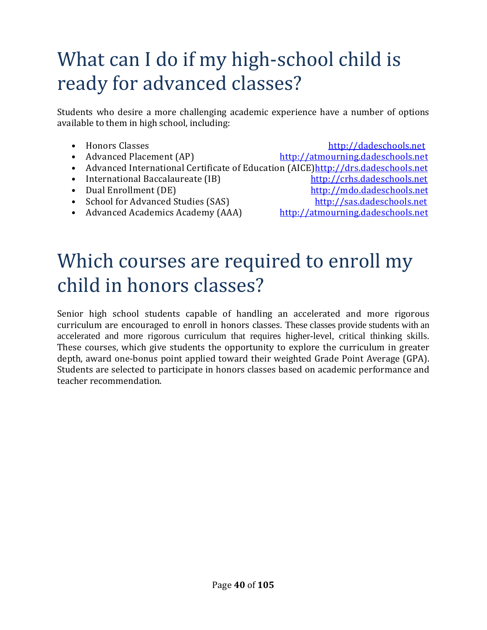# What can I do if my high-school child is ready for advanced classes?

Students who desire a more challenging academic experience have a number of options available to them in high school, including:

• Honors Classes http://dadeschools.net • Advanced Placement (AP) http://atmourning.dadeschools.net • Advanced International Certificate of Education (AICE)http://drs.dadeschools.net • International Baccalaureate (IB) http://crhs.dadeschools.net • Dual Enrollment (DE) http://mdo.dadeschools.net • School for Advanced Studies (SAS) http://sas.dadeschools.net • Advanced Academics Academy (AAA) http://atmourning.dadeschools.net

# Which courses are required to enroll my child in honors classes?

Senior high school students capable of handling an accelerated and more rigorous curriculum are encouraged to enroll in honors classes. These classes provide students with an accelerated and more rigorous curriculum that requires higher-level, critical thinking skills. These courses, which give students the opportunity to explore the curriculum in greater depth, award one-bonus point applied toward their weighted Grade Point Average (GPA). Students are selected to participate in honors classes based on academic performance and teacher recommendation.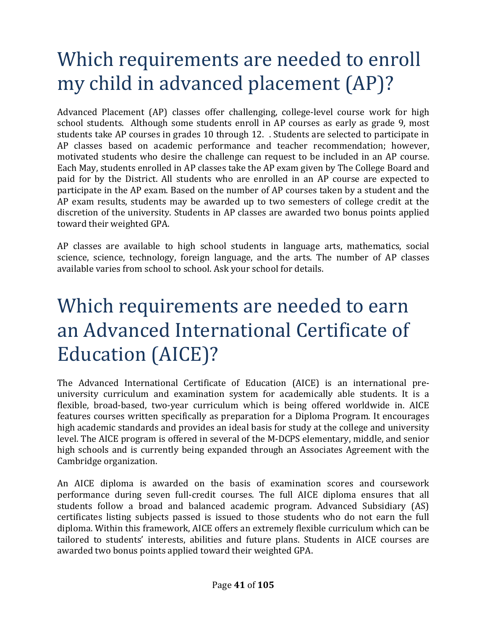# Which requirements are needed to enroll my child in advanced placement (AP)?

Advanced Placement (AP) classes offer challenging, college-level course work for high school students. Although some students enroll in AP courses as early as grade 9, most students take AP courses in grades 10 through 12. . Students are selected to participate in AP classes based on academic performance and teacher recommendation; however, motivated students who desire the challenge can request to be included in an AP course. Each May, students enrolled in AP classes take the AP exam given by The College Board and paid for by the District. All students who are enrolled in an AP course are expected to participate in the AP exam. Based on the number of AP courses taken by a student and the AP exam results, students may be awarded up to two semesters of college credit at the discretion of the university. Students in AP classes are awarded two bonus points applied toward their weighted GPA.

AP classes are available to high school students in language arts, mathematics, social science, science, technology, foreign language, and the arts. The number of AP classes available varies from school to school. Ask your school for details.

## Which requirements are needed to earn an Advanced International Certificate of Education (AICE)?

The Advanced International Certificate of Education (AICE) is an international preuniversity curriculum and examination system for academically able students. It is a flexible, broad-based, two-year curriculum which is being offered worldwide in. AICE features courses written specifically as preparation for a Diploma Program. It encourages high academic standards and provides an ideal basis for study at the college and university level. The AICE program is offered in several of the M-DCPS elementary, middle, and senior high schools and is currently being expanded through an Associates Agreement with the Cambridge organization.

An AICE diploma is awarded on the basis of examination scores and coursework performance during seven full-credit courses. The full AICE diploma ensures that all students follow a broad and balanced academic program. Advanced Subsidiary (AS) certificates listing subjects passed is issued to those students who do not earn the full diploma. Within this framework, AICE offers an extremely flexible curriculum which can be tailored to students' interests, abilities and future plans. Students in AICE courses are awarded two bonus points applied toward their weighted GPA.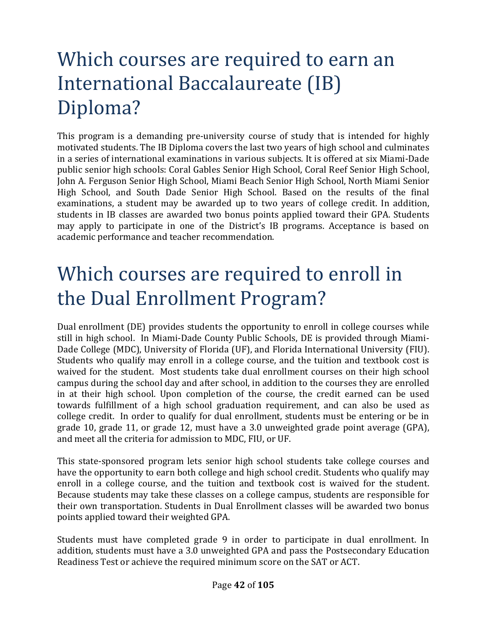## Which courses are required to earn an International Baccalaureate (IB) Diploma?

This program is a demanding pre-university course of study that is intended for highly motivated students. The IB Diploma covers the last two years of high school and culminates in a series of international examinations in various subjects. It is offered at six Miami-Dade public senior high schools: Coral Gables Senior High School, Coral Reef Senior High School, John A. Ferguson Senior High School, Miami Beach Senior High School, North Miami Senior High School, and South Dade Senior High School. Based on the results of the final examinations, a student may be awarded up to two years of college credit. In addition, students in IB classes are awarded two bonus points applied toward their GPA. Students may apply to participate in one of the District's IB programs. Acceptance is based on academic performance and teacher recommendation.

## Which courses are required to enroll in the Dual Enrollment Program?

Dual enrollment (DE) provides students the opportunity to enroll in college courses while still in high school. In Miami-Dade County Public Schools, DE is provided through Miami-Dade College (MDC), University of Florida (UF), and Florida International University (FIU). Students who qualify may enroll in a college course, and the tuition and textbook cost is waived for the student. Most students take dual enrollment courses on their high school campus during the school day and after school, in addition to the courses they are enrolled in at their high school. Upon completion of the course, the credit earned can be used towards fulfillment of a high school graduation requirement, and can also be used as college credit. In order to qualify for dual enrollment, students must be entering or be in grade 10, grade 11, or grade 12, must have a 3.0 unweighted grade point average (GPA), and meet all the criteria for admission to MDC, FIU, or UF.

This state-sponsored program lets senior high school students take college courses and have the opportunity to earn both college and high school credit. Students who qualify may enroll in a college course, and the tuition and textbook cost is waived for the student. Because students may take these classes on a college campus, students are responsible for their own transportation. Students in Dual Enrollment classes will be awarded two bonus points applied toward their weighted GPA.

Students must have completed grade 9 in order to participate in dual enrollment. In addition, students must have a 3.0 unweighted GPA and pass the Postsecondary Education Readiness Test or achieve the required minimum score on the SAT or ACT.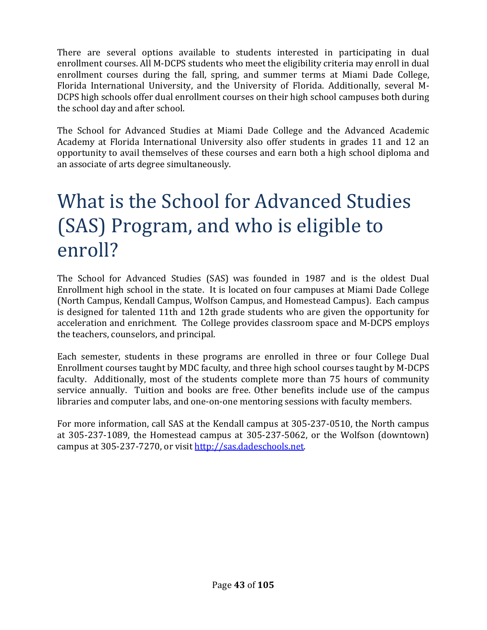There are several options available to students interested in participating in dual enrollment courses. All M-DCPS students who meet the eligibility criteria may enroll in dual enrollment courses during the fall, spring, and summer terms at Miami Dade College, Florida International University, and the University of Florida. Additionally, several M-DCPS high schools offer dual enrollment courses on their high school campuses both during the school day and after school.

The School for Advanced Studies at Miami Dade College and the Advanced Academic Academy at Florida International University also offer students in grades 11 and 12 an opportunity to avail themselves of these courses and earn both a high school diploma and an associate of arts degree simultaneously.

## What is the School for Advanced Studies (SAS) Program, and who is eligible to enroll?

The School for Advanced Studies (SAS) was founded in 1987 and is the oldest Dual Enrollment high school in the state. It is located on four campuses at Miami Dade College (North Campus, Kendall Campus, Wolfson Campus, and Homestead Campus). Each campus is designed for talented 11th and 12th grade students who are given the opportunity for acceleration and enrichment. The College provides classroom space and M-DCPS employs the teachers, counselors, and principal.

Each semester, students in these programs are enrolled in three or four College Dual Enrollment courses taught by MDC faculty, and three high school courses taught by M-DCPS faculty. Additionally, most of the students complete more than 75 hours of community service annually. Tuition and books are free. Other benefits include use of the campus libraries and computer labs, and one-on-one mentoring sessions with faculty members.

For more information, call SAS at the Kendall campus at 305-237-0510, the North campus at 305-237-1089, the Homestead campus at 305-237-5062, or the Wolfson (downtown) campus at 305-237-7270, or visit http://sas.dadeschools.net.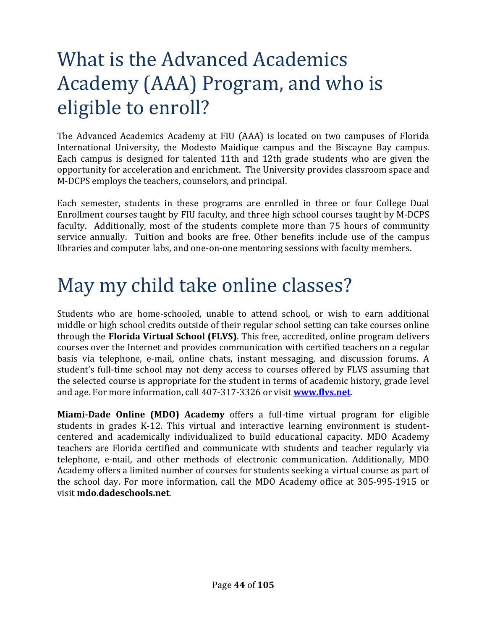# What is the Advanced Academics Academy (AAA) Program, and who is eligible to enroll?

The Advanced Academics Academy at FIU (AAA) is located on two campuses of Florida International University, the Modesto Maidique campus and the Biscayne Bay campus. Each campus is designed for talented 11th and 12th grade students who are given the opportunity for acceleration and enrichment. The University provides classroom space and M-DCPS employs the teachers, counselors, and principal.

Each semester, students in these programs are enrolled in three or four College Dual Enrollment courses taught by FIU faculty, and three high school courses taught by M-DCPS faculty. Additionally, most of the students complete more than 75 hours of community service annually. Tuition and books are free. Other benefits include use of the campus libraries and computer labs, and one-on-one mentoring sessions with faculty members.

## May my child take online classes?

Students who are home-schooled, unable to attend school, or wish to earn additional middle or high school credits outside of their regular school setting can take courses online through the **Florida Virtual School (FLVS)**. This free, accredited, online program delivers courses over the Internet and provides communication with certified teachers on a regular basis via telephone, e-mail, online chats, instant messaging, and discussion forums. A student's full-time school may not deny access to courses offered by FLVS assuming that the selected course is appropriate for the student in terms of academic history, grade level and age. For more information, call 407-317-3326 or visit **www.flvs.net**.

**Miami-Dade Online (MDO) Academy** offers a full-time virtual program for eligible students in grades K-12. This virtual and interactive learning environment is studentcentered and academically individualized to build educational capacity. MDO Academy teachers are Florida certified and communicate with students and teacher regularly via telephone, e-mail, and other methods of electronic communication. Additionally, MDO Academy offers a limited number of courses for students seeking a virtual course as part of the school day. For more information, call the MDO Academy office at 305-995-1915 or visit **mdo.dadeschools.net**.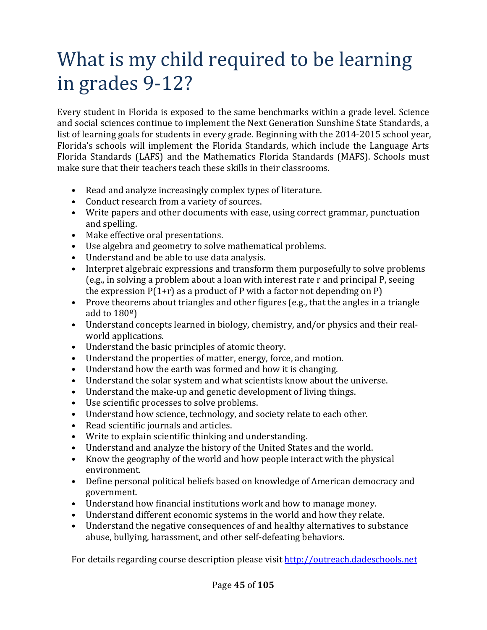# What is my child required to be learning in grades 9-12?

Every student in Florida is exposed to the same benchmarks within a grade level. Science and social sciences continue to implement the Next Generation Sunshine State Standards, a list of learning goals for students in every grade. Beginning with the 2014-2015 school year, Florida's schools will implement the Florida Standards, which include the Language Arts Florida Standards (LAFS) and the Mathematics Florida Standards (MAFS). Schools must make sure that their teachers teach these skills in their classrooms.

- Read and analyze increasingly complex types of literature.
- Conduct research from a variety of sources.
- Write papers and other documents with ease, using correct grammar, punctuation and spelling.
- Make effective oral presentations.
- Use algebra and geometry to solve mathematical problems.
- Understand and be able to use data analysis.
- Interpret algebraic expressions and transform them purposefully to solve problems (e.g., in solving a problem about a loan with interest rate r and principal P, seeing the expression  $P(1+r)$  as a product of P with a factor not depending on P)
- Prove theorems about triangles and other figures (e.g., that the angles in a triangle add to  $180^\circ$ )
- Understand concepts learned in biology, chemistry, and/or physics and their realworld applications.
- Understand the basic principles of atomic theory.
- Understand the properties of matter, energy, force, and motion.
- Understand how the earth was formed and how it is changing.
- Understand the solar system and what scientists know about the universe.
- Understand the make-up and genetic development of living things.
- Use scientific processes to solve problems.
- Understand how science, technology, and society relate to each other.
- Read scientific journals and articles.
- Write to explain scientific thinking and understanding.
- Understand and analyze the history of the United States and the world.
- Know the geography of the world and how people interact with the physical environment.
- Define personal political beliefs based on knowledge of American democracy and government.
- Understand how financial institutions work and how to manage money.
- Understand different economic systems in the world and how they relate.
- Understand the negative consequences of and healthy alternatives to substance abuse, bullying, harassment, and other self-defeating behaviors.

For details regarding course description please visit http://outreach.dadeschools.net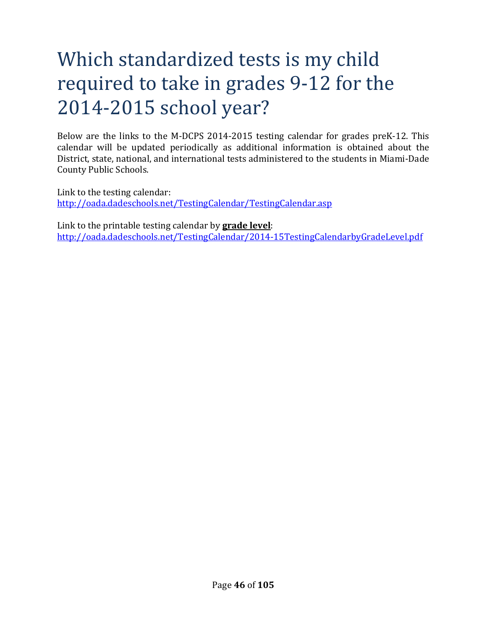# Which standardized tests is my child required to take in grades 9-12 for the 2014-2015 school year?

Below are the links to the M-DCPS 2014-2015 testing calendar for grades preK-12. This calendar will be updated periodically as additional information is obtained about the District, state, national, and international tests administered to the students in Miami-Dade County Public Schools.

Link to the testing calendar: http://oada.dadeschools.net/TestingCalendar/TestingCalendar.asp

Link to the printable testing calendar by **grade level**: http://oada.dadeschools.net/TestingCalendar/2014-15TestingCalendarbyGradeLevel.pdf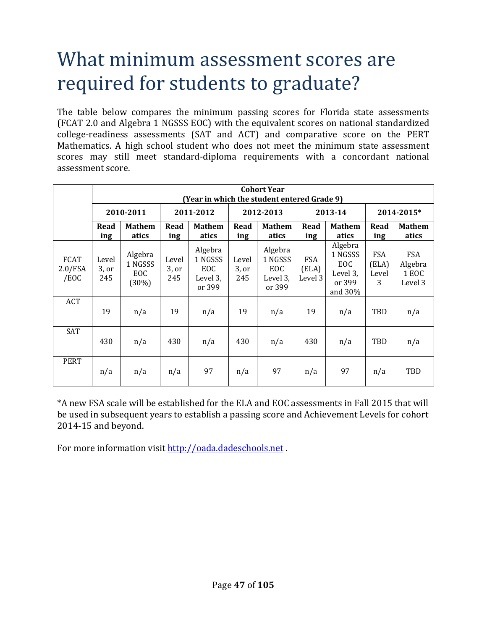#### What minimum assessment scores are required for students to graduate?

The table below compares the minimum passing scores for Florida state assessments (FCAT 2.0 and Algebra 1 NGSSS EOC) with the equivalent scores on national standardized college-readiness assessments (SAT and ACT) and comparative score on the PERT Mathematics. A high school student who does not meet the minimum state assessment scores may still meet standard-diploma requirements with a concordant national assessment score.

|                                | <b>Cohort Year</b><br>(Year in which the student entered Grade 9) |                                    |                       |                                                 |                       |                                                 |                                |                                                               |                                   |                                           |
|--------------------------------|-------------------------------------------------------------------|------------------------------------|-----------------------|-------------------------------------------------|-----------------------|-------------------------------------------------|--------------------------------|---------------------------------------------------------------|-----------------------------------|-------------------------------------------|
|                                | 2010-2011                                                         |                                    | 2011-2012             |                                                 | 2012-2013             |                                                 | 2013-14                        |                                                               | 2014-2015*                        |                                           |
|                                | Read<br>ing                                                       | <b>Mathem</b><br>atics             | Read<br>ing           | <b>Mathem</b><br>atics                          | Read<br>ing           | <b>Mathem</b><br>atics                          | Read<br>ing                    | <b>Mathem</b><br>atics                                        | Read<br>ing                       | <b>Mathem</b><br>atics                    |
| <b>FCAT</b><br>2.0/FSA<br>/EOC | Level<br>3, or<br>245                                             | Algebra<br>1 NGSSS<br>EOC<br>(30%) | Level<br>3, or<br>245 | Algebra<br>1 NGSSS<br>EOC<br>Level 3,<br>or 399 | Level<br>3, or<br>245 | Algebra<br>1 NGSSS<br>EOC<br>Level 3,<br>or 399 | <b>FSA</b><br>(ELA)<br>Level 3 | Algebra<br>1 NGSSS<br>EOC<br>Level 3,<br>or 399<br>and $30\%$ | <b>FSA</b><br>(ELA)<br>Level<br>3 | <b>FSA</b><br>Algebra<br>1 EOC<br>Level 3 |
| ACT                            | 19                                                                | n/a                                | 19                    | n/a                                             | 19                    | n/a                                             | 19                             | n/a                                                           | TBD                               | n/a                                       |
| SAT                            | 430                                                               | n/a                                | 430                   | n/a                                             | 430                   | n/a                                             | 430                            | n/a                                                           | TBD                               | n/a                                       |
| <b>PERT</b>                    | n/a                                                               | n/a                                | n/a                   | 97                                              | n/a                   | 97                                              | n/a                            | 97                                                            | n/a                               | TBD                                       |

\*A new FSA scale will be established for the ELA and EOC assessments in Fall 2015 that will be used in subsequent years to establish a passing score and Achievement Levels for cohort 2014-15 and beyond.

For more information visit http://oada.dadeschools.net.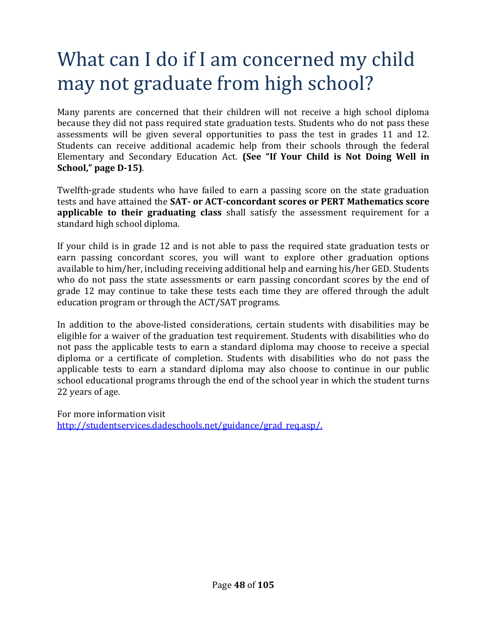# What can I do if I am concerned my child may not graduate from high school?

Many parents are concerned that their children will not receive a high school diploma because they did not pass required state graduation tests. Students who do not pass these assessments will be given several opportunities to pass the test in grades 11 and 12. Students can receive additional academic help from their schools through the federal Elementary and Secondary Education Act. **(See "If Your Child is Not Doing Well in School," page D-15)**.

Twelfth-grade students who have failed to earn a passing score on the state graduation tests and have attained the **SAT- or ACT-concordant scores or PERT Mathematics score applicable to their graduating class** shall satisfy the assessment requirement for a standard high school diploma.

If your child is in grade 12 and is not able to pass the required state graduation tests or earn passing concordant scores, you will want to explore other graduation options available to him/her, including receiving additional help and earning his/her GED. Students who do not pass the state assessments or earn passing concordant scores by the end of grade 12 may continue to take these tests each time they are offered through the adult education program or through the ACT/SAT programs.

In addition to the above-listed considerations, certain students with disabilities may be eligible for a waiver of the graduation test requirement. Students with disabilities who do not pass the applicable tests to earn a standard diploma may choose to receive a special diploma or a certificate of completion. Students with disabilities who do not pass the applicable tests to earn a standard diploma may also choose to continue in our public school educational programs through the end of the school year in which the student turns 22 years of age.

For more information visit http://studentservices.dadeschools.net/guidance/grad\_req.asp/.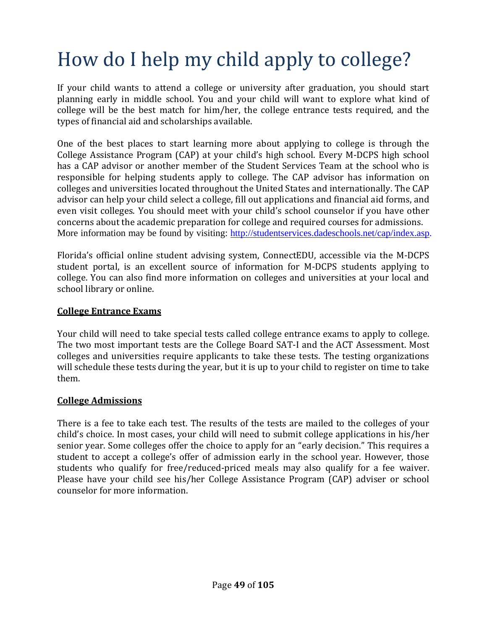# How do I help my child apply to college?

If your child wants to attend a college or university after graduation, you should start planning early in middle school. You and your child will want to explore what kind of college will be the best match for him/her, the college entrance tests required, and the types of financial aid and scholarships available.

One of the best places to start learning more about applying to college is through the College Assistance Program (CAP) at your child's high school. Every M-DCPS high school has a CAP advisor or another member of the Student Services Team at the school who is responsible for helping students apply to college. The CAP advisor has information on colleges and universities located throughout the United States and internationally. The CAP advisor can help your child select a college, fill out applications and financial aid forms, and even visit colleges. You should meet with your child's school counselor if you have other concerns about the academic preparation for college and required courses for admissions. More information may be found by visiting: http://studentservices.dadeschools.net/cap/index.asp.

Florida's official online student advising system, ConnectEDU, accessible via the M-DCPS student portal, is an excellent source of information for M-DCPS students applying to college. You can also find more information on colleges and universities at your local and school library or online.

#### **College Entrance Exams**

Your child will need to take special tests called college entrance exams to apply to college. The two most important tests are the College Board SAT-I and the ACT Assessment. Most colleges and universities require applicants to take these tests. The testing organizations will schedule these tests during the year, but it is up to your child to register on time to take them.

#### **College Admissions**

There is a fee to take each test. The results of the tests are mailed to the colleges of your child's choice. In most cases, your child will need to submit college applications in his/her senior year. Some colleges offer the choice to apply for an "early decision." This requires a student to accept a college's offer of admission early in the school year. However, those students who qualify for free/reduced-priced meals may also qualify for a fee waiver. Please have your child see his/her College Assistance Program (CAP) adviser or school counselor for more information.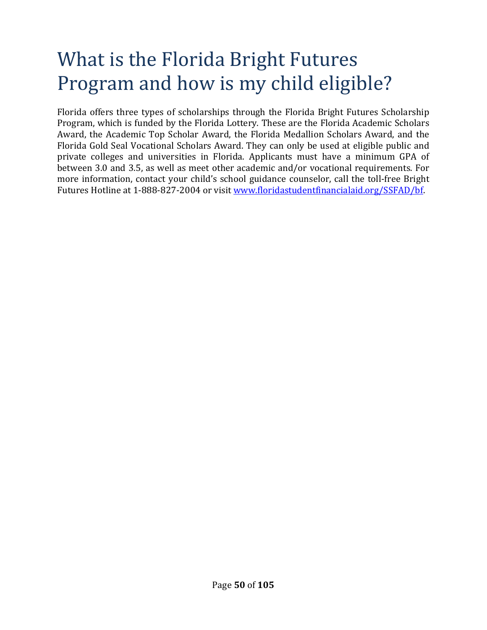## What is the Florida Bright Futures Program and how is my child eligible?

Florida offers three types of scholarships through the Florida Bright Futures Scholarship Program, which is funded by the Florida Lottery. These are the Florida Academic Scholars Award, the Academic Top Scholar Award, the Florida Medallion Scholars Award, and the Florida Gold Seal Vocational Scholars Award. They can only be used at eligible public and private colleges and universities in Florida. Applicants must have a minimum GPA of between 3.0 and 3.5, as well as meet other academic and/or vocational requirements. For more information, contact your child's school guidance counselor, call the toll-free Bright Futures Hotline at 1-888-827-2004 or visit www.floridastudentfinancialaid.org/SSFAD/bf.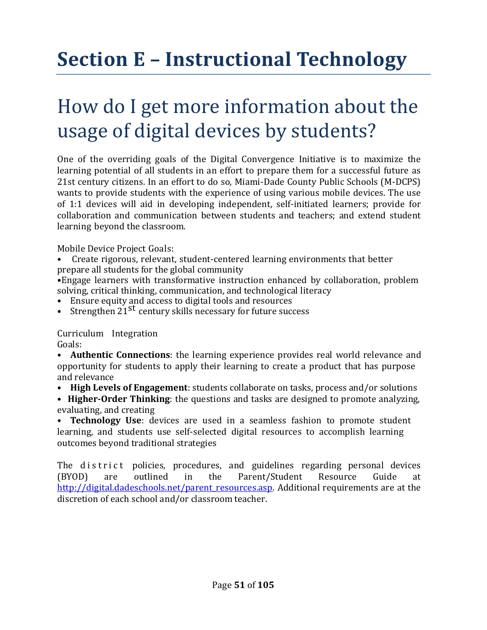# **Section E – Instructional Technology**

## How do I get more information about the usage of digital devices by students?

One of the overriding goals of the Digital Convergence Initiative is to maximize the learning potential of all students in an effort to prepare them for a successful future as 21st century citizens. In an effort to do so, Miami-Dade County Public Schools (M-DCPS) wants to provide students with the experience of using various mobile devices. The use of 1:1 devices will aid in developing independent, self-initiated learners; provide for collaboration and communication between students and teachers; and extend student learning beyond the classroom.

Mobile Device Project Goals:

• Create rigorous, relevant, student-centered learning environments that better prepare all students for the global community

•Engage learners with transformative instruction enhanced by collaboration, problem solving, critical thinking, communication, and technological literacy

- Ensure equity and access to digital tools and resources
- Strengthen  $21$ <sup>st</sup> century skills necessary for future success

Curriculum Integration

Goals:

• **Authentic Connections**: the learning experience provides real world relevance and opportunity for students to apply their learning to create a product that has purpose and relevance

• **High Levels of Engagement**: students collaborate on tasks, process and/or solutions

• **Higher-Order Thinking**: the questions and tasks are designed to promote analyzing, evaluating, and creating

• **Technology Use**: devices are used in a seamless fashion to promote student learning, and students use self-selected digital resources to accomplish learning outcomes beyond traditional strategies

The district policies, procedures, and guidelines regarding personal devices (BYOD) are outlined in the Parent/Student Resource Guide at http://digital.dadeschools.net/parent\_resources.asp. Additional requirements are at the discretion of each school and/or classroom teacher.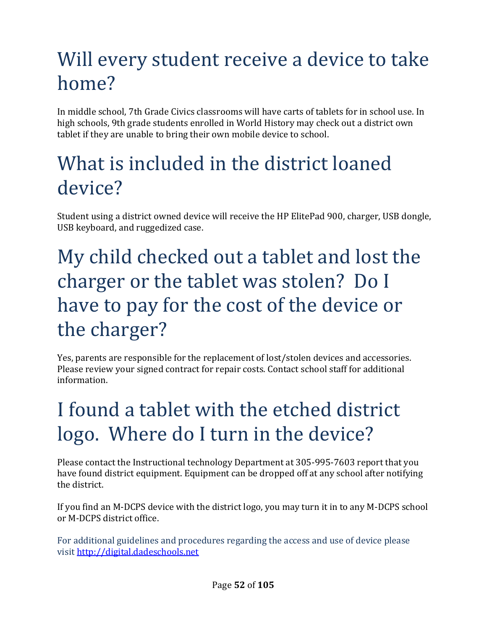# Will every student receive a device to take home?

In middle school, 7th Grade Civics classrooms will have carts of tablets for in school use. In high schools, 9th grade students enrolled in World History may check out a district own tablet if they are unable to bring their own mobile device to school.

## What is included in the district loaned device?

Student using a district owned device will receive the HP ElitePad 900, charger, USB dongle, USB keyboard, and ruggedized case.

# My child checked out a tablet and lost the charger or the tablet was stolen? Do I have to pay for the cost of the device or the charger?

Yes, parents are responsible for the replacement of lost/stolen devices and accessories. Please review your signed contract for repair costs. Contact school staff for additional information.

# I found a tablet with the etched district logo. Where do I turn in the device?

Please contact the Instructional technology Department at 305-995-7603 report that you have found district equipment. Equipment can be dropped off at any school after notifying the district.

If you find an M-DCPS device with the district logo, you may turn it in to any M-DCPS school or M-DCPS district office.

For additional guidelines and procedures regarding the access and use of device please visit http://digital.dadeschools.net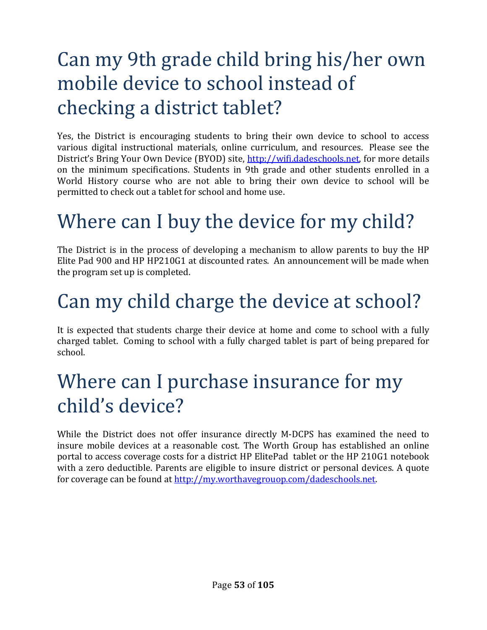# Can my 9th grade child bring his/her own mobile device to school instead of checking a district tablet?

Yes, the District is encouraging students to bring their own device to school to access various digital instructional materials, online curriculum, and resources. Please see the District's Bring Your Own Device (BYOD) site, http://wifi.dadeschools.net, for more details on the minimum specifications. Students in 9th grade and other students enrolled in a World History course who are not able to bring their own device to school will be permitted to check out a tablet for school and home use.

# Where can I buy the device for my child?

The District is in the process of developing a mechanism to allow parents to buy the HP Elite Pad 900 and HP HP210G1 at discounted rates. An announcement will be made when the program set up is completed.

# Can my child charge the device at school?

It is expected that students charge their device at home and come to school with a fully charged tablet. Coming to school with a fully charged tablet is part of being prepared for school.

## Where can I purchase insurance for my child's device?

While the District does not offer insurance directly M-DCPS has examined the need to insure mobile devices at a reasonable cost. The Worth Group has established an online portal to access coverage costs for a district HP ElitePad tablet or the HP 210G1 notebook with a zero deductible. Parents are eligible to insure district or personal devices. A quote for coverage can be found at http://my.worthavegrouop.com/dadeschools.net.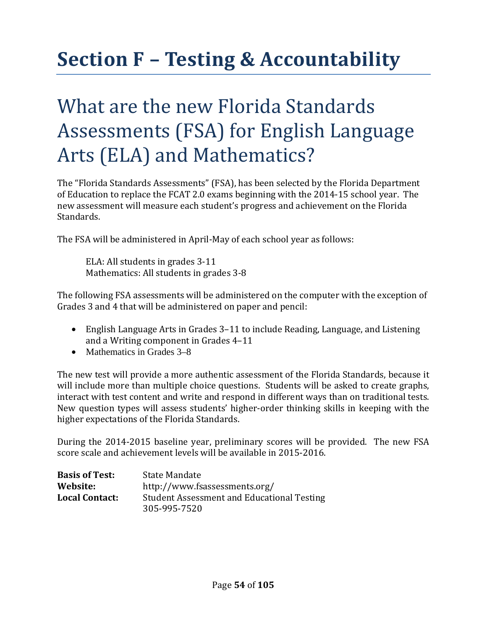# **Section F – Testing & Accountability**

## What are the new Florida Standards Assessments (FSA) for English Language Arts (ELA) and Mathematics?

The "Florida Standards Assessments" (FSA), has been selected by the Florida Department of Education to replace the FCAT 2.0 exams beginning with the 2014-15 school year. The new assessment will measure each student's progress and achievement on the Florida Standards.

The FSA will be administered in April-May of each school year as follows:

ELA: All students in grades 3-11 Mathematics: All students in grades 3-8

The following FSA assessments will be administered on the computer with the exception of Grades 3 and 4 that will be administered on paper and pencil:

- English Language Arts in Grades 3–11 to include Reading, Language, and Listening and a Writing component in Grades 4–11
- Mathematics in Grades 3–8

The new test will provide a more authentic assessment of the Florida Standards, because it will include more than multiple choice questions. Students will be asked to create graphs, interact with test content and write and respond in different ways than on traditional tests. New question types will assess students' higher-order thinking skills in keeping with the higher expectations of the Florida Standards.

During the 2014-2015 baseline year, preliminary scores will be provided. The new FSA score scale and achievement levels will be available in 2015-2016.

| <b>Basis of Test:</b> | State Mandate                                     |
|-----------------------|---------------------------------------------------|
| Website:              | http://www.fsassessments.org/                     |
| <b>Local Contact:</b> | <b>Student Assessment and Educational Testing</b> |
|                       | 305-995-7520                                      |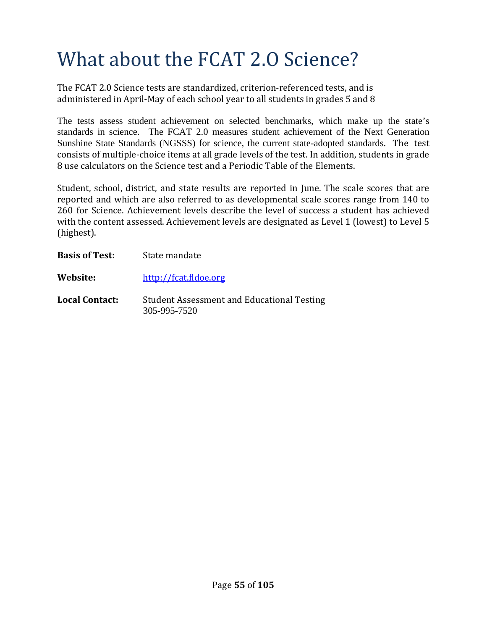# What about the FCAT 2.O Science?

The FCAT 2.0 Science tests are standardized, criterion-referenced tests, and is administered in April-May of each school year to all students in grades 5 and 8

The tests assess student achievement on selected benchmarks, which make up the state's standards in science.The FCAT 2.0 measures student achievement of the Next Generation Sunshine State Standards (NGSSS) for science, the current state-adopted standards. The test consists of multiple-choice items at all grade levels of the test. In addition, students in grade 8 use calculators on the Science test and a Periodic Table of the Elements.

Student, school, district, and state results are reported in June. The scale scores that are reported and which are also referred to as developmental scale scores range from 140 to 260 for Science. Achievement levels describe the level of success a student has achieved with the content assessed. Achievement levels are designated as Level 1 (lowest) to Level 5 (highest).

| <b>Basis of Test:</b> | State mandate                                                     |
|-----------------------|-------------------------------------------------------------------|
| Website:              | http://fcat.fldoe.org                                             |
| <b>Local Contact:</b> | <b>Student Assessment and Educational Testing</b><br>305-995-7520 |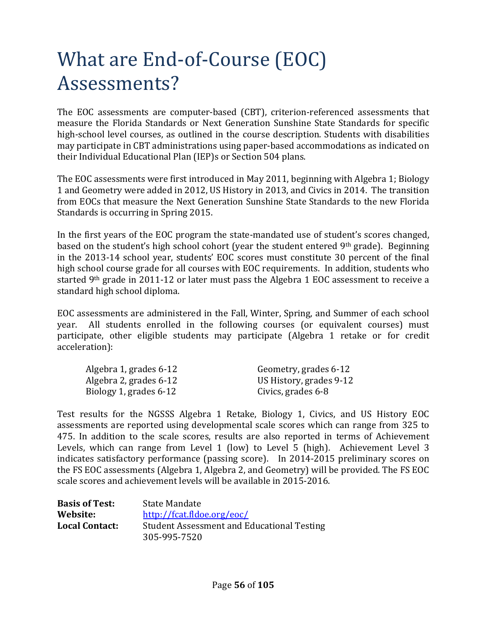# What are End-of-Course (EOC) Assessments?

The EOC assessments are computer-based (CBT), criterion-referenced assessments that measure the Florida Standards or Next Generation Sunshine State Standards for specific high-school level courses, as outlined in the course description. Students with disabilities may participate in CBT administrations using paper-based accommodations as indicated on their Individual Educational Plan (IEP)s or Section 504 plans.

The EOC assessments were first introduced in May 2011, beginning with Algebra 1; Biology 1 and Geometry were added in 2012, US History in 2013, and Civics in 2014. The transition from EOCs that measure the Next Generation Sunshine State Standards to the new Florida Standards is occurring in Spring 2015.

In the first years of the EOC program the state-mandated use of student's scores changed, based on the student's high school cohort (year the student entered 9th grade). Beginning in the 2013-14 school year, students' EOC scores must constitute 30 percent of the final high school course grade for all courses with EOC requirements. In addition, students who started 9<sup>th</sup> grade in 2011-12 or later must pass the Algebra 1 EOC assessment to receive a standard high school diploma.

EOC assessments are administered in the Fall, Winter, Spring, and Summer of each school year. All students enrolled in the following courses (or equivalent courses) must participate, other eligible students may participate (Algebra 1 retake or for credit acceleration):

| Algebra 1, grades 6-12 | Geometry, grades 6-12   |
|------------------------|-------------------------|
| Algebra 2, grades 6-12 | US History, grades 9-12 |
| Biology 1, grades 6-12 | Civics, grades 6-8      |

Test results for the NGSSS Algebra 1 Retake, Biology 1, Civics, and US History EOC assessments are reported using developmental scale scores which can range from 325 to 475. In addition to the scale scores, results are also reported in terms of Achievement Levels, which can range from Level 1 (low) to Level 5 (high). Achievement Level 3 indicates satisfactory performance (passing score). In 2014-2015 preliminary scores on the FS EOC assessments (Algebra 1, Algebra 2, and Geometry) will be provided. The FS EOC scale scores and achievement levels will be available in 2015-2016.

| <b>Basis of Test:</b> | State Mandate                                     |
|-----------------------|---------------------------------------------------|
| Website:              | http://fcat.fldoe.org/eoc/                        |
| <b>Local Contact:</b> | <b>Student Assessment and Educational Testing</b> |
|                       | 305-995-7520                                      |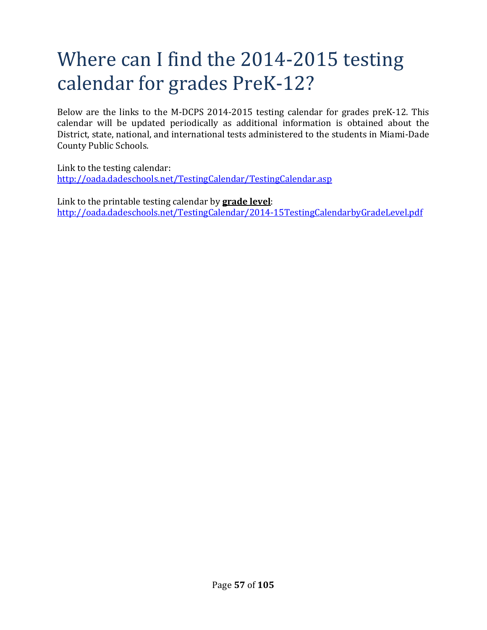## Where can I find the 2014-2015 testing calendar for grades PreK-12?

Below are the links to the M-DCPS 2014-2015 testing calendar for grades preK-12. This calendar will be updated periodically as additional information is obtained about the District, state, national, and international tests administered to the students in Miami-Dade County Public Schools.

Link to the testing calendar: http://oada.dadeschools.net/TestingCalendar/TestingCalendar.asp

Link to the printable testing calendar by **grade level**: http://oada.dadeschools.net/TestingCalendar/2014-15TestingCalendarbyGradeLevel.pdf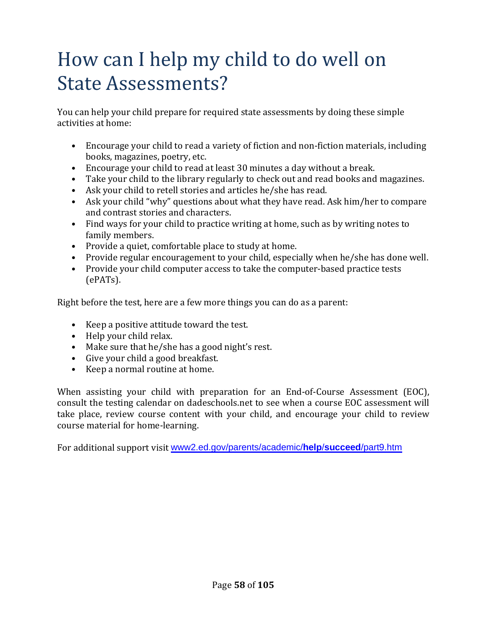## How can I help my child to do well on State Assessments?

You can help your child prepare for required state assessments by doing these simple activities at home:

- Encourage your child to read a variety of fiction and non-fiction materials, including books, magazines, poetry, etc.
- Encourage your child to read at least 30 minutes a day without a break.
- Take your child to the library regularly to check out and read books and magazines.
- Ask your child to retell stories and articles he/she has read.
- Ask your child "why" questions about what they have read. Ask him/her to compare and contrast stories and characters.
- Find ways for your child to practice writing at home, such as by writing notes to family members.
- Provide a quiet, comfortable place to study at home.
- Provide regular encouragement to your child, especially when he/she has done well.
- Provide your child computer access to take the computer-based practice tests (ePATs).

Right before the test, here are a few more things you can do as a parent:

- Keep a positive attitude toward the test.
- Help your child relax.
- Make sure that he/she has a good night's rest.
- Give your child a good breakfast.
- Keep a normal routine at home.

When assisting your child with preparation for an End-of-Course Assessment (EOC), consult the testing calendar on dadeschools.net to see when a course EOC assessment will take place, review course content with your child, and encourage your child to review course material for home-learning.

For additional support visit www2.ed.gov/parents/academic/**help**/**succeed**/part9.htm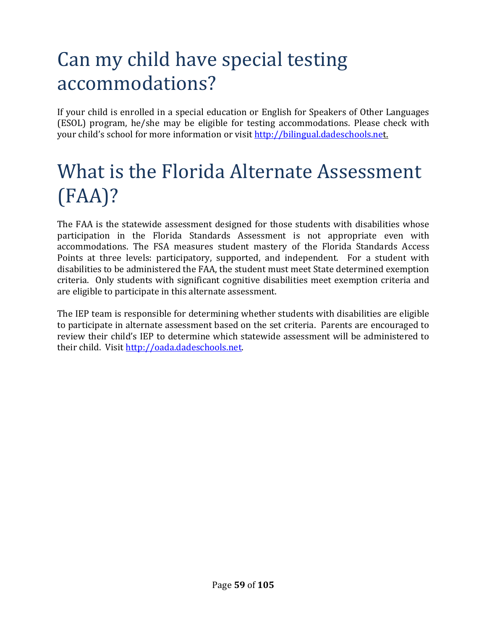# Can my child have special testing accommodations?

If your child is enrolled in a special education or English for Speakers of Other Languages (ESOL) program, he/she may be eligible for testing accommodations. Please check with your child's school for more information or visit http://bilingual.dadeschools.net.

# What is the Florida Alternate Assessment (FAA)?

The FAA is the statewide assessment designed for those students with disabilities whose participation in the Florida Standards Assessment is not appropriate even with accommodations. The FSA measures student mastery of the Florida Standards Access Points at three levels: participatory, supported, and independent. For a student with disabilities to be administered the FAA, the student must meet State determined exemption criteria. Only students with significant cognitive disabilities meet exemption criteria and are eligible to participate in this alternate assessment.

The IEP team is responsible for determining whether students with disabilities are eligible to participate in alternate assessment based on the set criteria. Parents are encouraged to review their child's IEP to determine which statewide assessment will be administered to their child. Visit http://oada.dadeschools.net.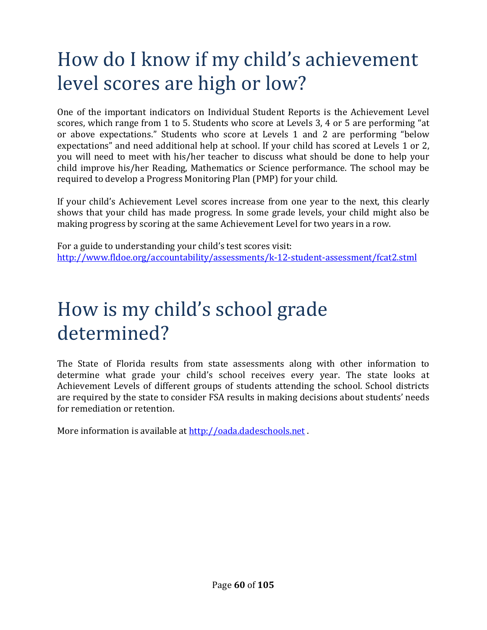# How do I know if my child's achievement level scores are high or low?

One of the important indicators on Individual Student Reports is the Achievement Level scores, which range from 1 to 5. Students who score at Levels 3, 4 or 5 are performing "at or above expectations." Students who score at Levels 1 and 2 are performing "below expectations" and need additional help at school. If your child has scored at Levels 1 or 2, you will need to meet with his/her teacher to discuss what should be done to help your child improve his/her Reading, Mathematics or Science performance. The school may be required to develop a Progress Monitoring Plan (PMP) for your child.

If your child's Achievement Level scores increase from one year to the next, this clearly shows that your child has made progress. In some grade levels, your child might also be making progress by scoring at the same Achievement Level for two years in a row.

For a guide to understanding your child's test scores visit: http://www.fldoe.org/accountability/assessments/k-12-student-assessment/fcat2.stml

## How is my child's school grade determined?

The State of Florida results from state assessments along with other information to determine what grade your child's school receives every year. The state looks at Achievement Levels of different groups of students attending the school. School districts are required by the state to consider FSA results in making decisions about students' needs for remediation or retention.

More information is available at http://oada.dadeschools.net.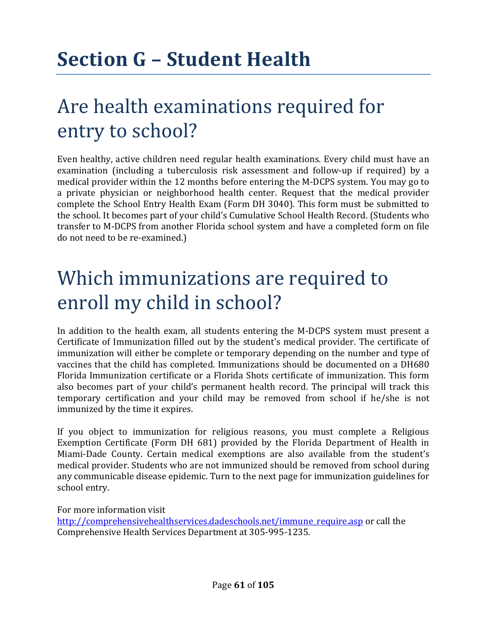# Are health examinations required for entry to school?

Even healthy, active children need regular health examinations. Every child must have an examination (including a tuberculosis risk assessment and follow-up if required) by a medical provider within the 12 months before entering the M-DCPS system. You may go to a private physician or neighborhood health center. Request that the medical provider complete the School Entry Health Exam (Form DH 3040). This form must be submitted to the school. It becomes part of your child's Cumulative School Health Record. (Students who transfer to M-DCPS from another Florida school system and have a completed form on file do not need to be re-examined.)

## Which immunizations are required to enroll my child in school?

In addition to the health exam, all students entering the M-DCPS system must present a Certificate of Immunization filled out by the student's medical provider. The certificate of immunization will either be complete or temporary depending on the number and type of vaccines that the child has completed. Immunizations should be documented on a DH680 Florida Immunization certificate or a Florida Shots certificate of immunization. This form also becomes part of your child's permanent health record. The principal will track this temporary certification and your child may be removed from school if he/she is not immunized by the time it expires.

If you object to immunization for religious reasons, you must complete a Religious Exemption Certificate (Form DH 681) provided by the Florida Department of Health in Miami-Dade County. Certain medical exemptions are also available from the student's medical provider. Students who are not immunized should be removed from school during any communicable disease epidemic. Turn to the next page for immunization guidelines for school entry.

For more information visit http://comprehensivehealthservices.dadeschools.net/immune\_require.asp or call the Comprehensive Health Services Department at 305-995-1235.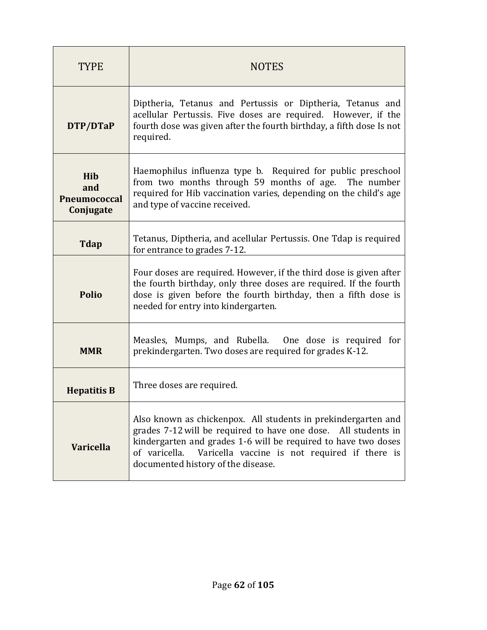| <b>TYPE</b>                                    | <b>NOTES</b>                                                                                                                                                                                                                                                                                              |  |  |
|------------------------------------------------|-----------------------------------------------------------------------------------------------------------------------------------------------------------------------------------------------------------------------------------------------------------------------------------------------------------|--|--|
| DTP/DTaP                                       | Diptheria, Tetanus and Pertussis or Diptheria, Tetanus and<br>acellular Pertussis. Five doses are required. However, if the<br>fourth dose was given after the fourth birthday, a fifth dose Is not<br>required.                                                                                          |  |  |
| Hib<br>and<br><b>Pneumococcal</b><br>Conjugate | Haemophilus influenza type b. Required for public preschool<br>from two months through 59 months of age. The number<br>required for Hib vaccination varies, depending on the child's age<br>and type of vaccine received.                                                                                 |  |  |
| <b>Tdap</b>                                    | Tetanus, Diptheria, and acellular Pertussis. One Tdap is required<br>for entrance to grades 7-12.                                                                                                                                                                                                         |  |  |
| <b>Polio</b>                                   | Four doses are required. However, if the third dose is given after<br>the fourth birthday, only three doses are required. If the fourth<br>dose is given before the fourth birthday, then a fifth dose is<br>needed for entry into kindergarten.                                                          |  |  |
| <b>MMR</b>                                     | Measles, Mumps, and Rubella. One dose is required for<br>prekindergarten. Two doses are required for grades K-12.                                                                                                                                                                                         |  |  |
| <b>Hepatitis B</b>                             | Three doses are required.                                                                                                                                                                                                                                                                                 |  |  |
| <b>Varicella</b>                               | Also known as chickenpox. All students in prekindergarten and<br>grades 7-12 will be required to have one dose. All students in<br>kindergarten and grades 1-6 will be required to have two doses<br>of varicella.<br>Varicella vaccine is not required if there is<br>documented history of the disease. |  |  |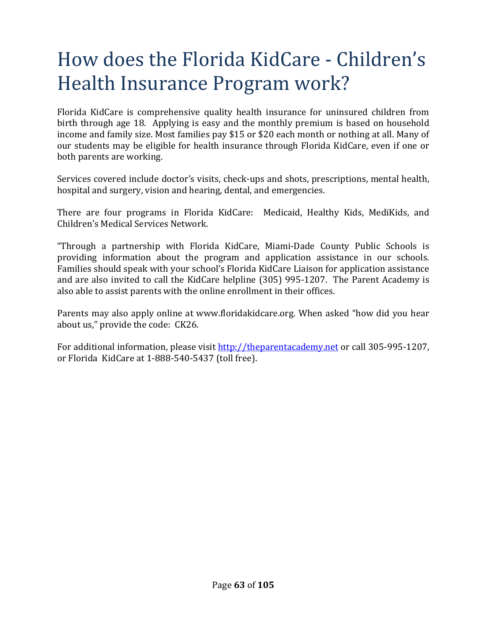# How does the Florida KidCare - Children's Health Insurance Program work?

Florida KidCare is comprehensive quality health insurance for uninsured children from birth through age 18. Applying is easy and the monthly premium is based on household income and family size. Most families pay \$15 or \$20 each month or nothing at all. Many of our students may be eligible for health insurance through Florida KidCare, even if one or both parents are working.

Services covered include doctor's visits, check-ups and shots, prescriptions, mental health, hospital and surgery, vision and hearing, dental, and emergencies.

There are four programs in Florida KidCare: Medicaid, Healthy Kids, MediKids, and Children's Medical Services Network.

"Through a partnership with Florida KidCare, Miami-Dade County Public Schools is providing information about the program and application assistance in our schools. Families should speak with your school's Florida KidCare Liaison for application assistance and are also invited to call the KidCare helpline (305) 995-1207. The Parent Academy is also able to assist parents with the online enrollment in their offices.

Parents may also apply online at www.floridakidcare.org. When asked "how did you hear about us," provide the code: CK26.

For additional information, please visit http://theparentacademy.net or call 305-995-1207, or Florida KidCare at 1-888-540-5437 (toll free).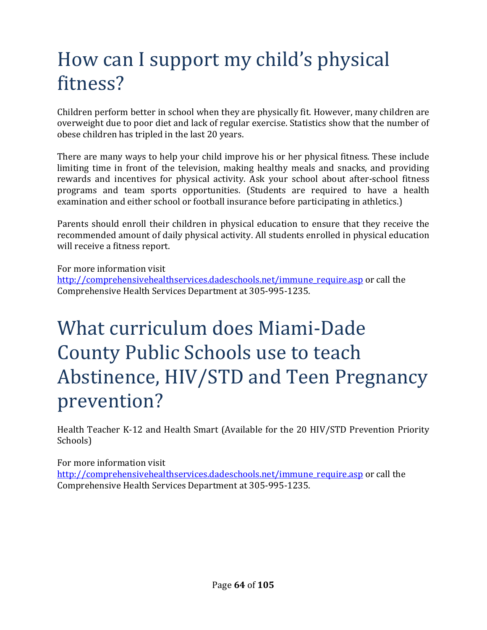## How can I support my child's physical fitness?

Children perform better in school when they are physically fit. However, many children are overweight due to poor diet and lack of regular exercise. Statistics show that the number of obese children has tripled in the last 20 years.

There are many ways to help your child improve his or her physical fitness. These include limiting time in front of the television, making healthy meals and snacks, and providing rewards and incentives for physical activity. Ask your school about after-school fitness programs and team sports opportunities. (Students are required to have a health examination and either school or football insurance before participating in athletics.)

Parents should enroll their children in physical education to ensure that they receive the recommended amount of daily physical activity. All students enrolled in physical education will receive a fitness report.

For more information visit

http://comprehensivehealthservices.dadeschools.net/immune\_require.asp or call the Comprehensive Health Services Department at 305-995-1235.

# What curriculum does Miami-Dade County Public Schools use to teach Abstinence, HIV/STD and Teen Pregnancy prevention?

Health Teacher K-12 and Health Smart (Available for the 20 HIV/STD Prevention Priority Schools)

For more information visit http://comprehensivehealthservices.dadeschools.net/immune\_require.asp or call the Comprehensive Health Services Department at 305-995-1235.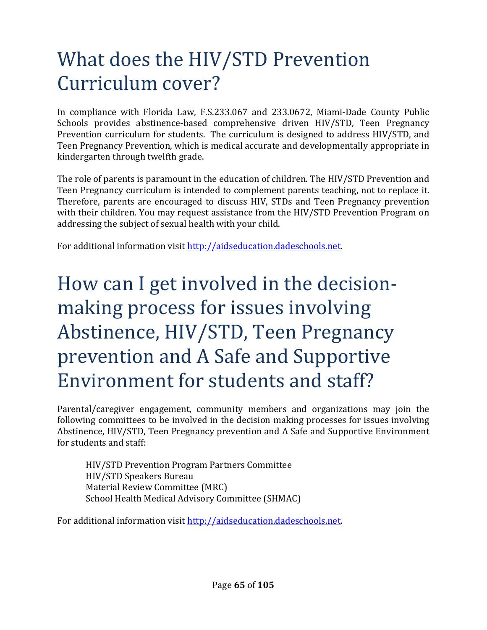## What does the HIV/STD Prevention Curriculum cover?

In compliance with Florida Law, F.S.233.067 and 233.0672, Miami-Dade County Public Schools provides abstinence-based comprehensive driven HIV/STD, Teen Pregnancy Prevention curriculum for students. The curriculum is designed to address HIV/STD, and Teen Pregnancy Prevention, which is medical accurate and developmentally appropriate in kindergarten through twelfth grade.

The role of parents is paramount in the education of children. The HIV/STD Prevention and Teen Pregnancy curriculum is intended to complement parents teaching, not to replace it. Therefore, parents are encouraged to discuss HIV, STDs and Teen Pregnancy prevention with their children. You may request assistance from the HIV/STD Prevention Program on addressing the subject of sexual health with your child.

For additional information visit http://aidseducation.dadeschools.net.

## How can I get involved in the decisionmaking process for issues involving Abstinence, HIV/STD, Teen Pregnancy prevention and A Safe and Supportive Environment for students and staff?

Parental/caregiver engagement, community members and organizations may join the following committees to be involved in the decision making processes for issues involving Abstinence, HIV/STD, Teen Pregnancy prevention and A Safe and Supportive Environment for students and staff:

HIV/STD Prevention Program Partners Committee HIV/STD Speakers Bureau Material Review Committee (MRC) School Health Medical Advisory Committee (SHMAC)

For additional information visit http://aidseducation.dadeschools.net.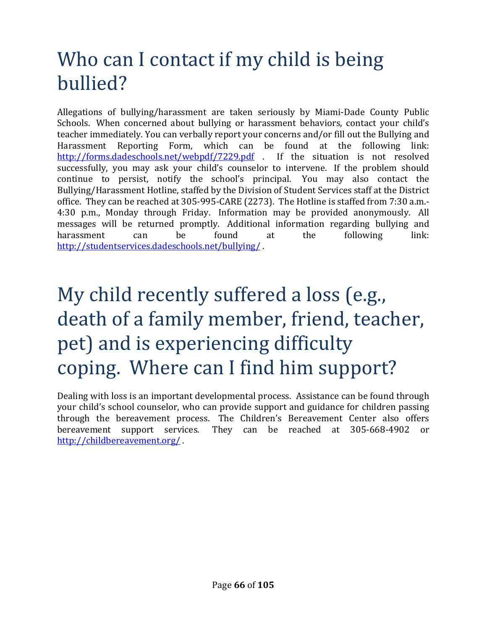## Who can I contact if my child is being bullied?

Allegations of bullying/harassment are taken seriously by Miami-Dade County Public Schools. When concerned about bullying or harassment behaviors, contact your child's teacher immediately. You can verbally report your concerns and/or fill out the Bullying and Harassment Reporting Form, which can be found at the following link: http://forms.dadeschools.net/webpdf/7229.pdf . If the situation is not resolved successfully, you may ask your child's counselor to intervene. If the problem should continue to persist, notify the school's principal. You may also contact the Bullying/Harassment Hotline, staffed by the Division of Student Services staff at the District office. They can be reached at 305-995-CARE (2273). The Hotline is staffed from 7:30 a.m.- 4:30 p.m., Monday through Friday. Information may be provided anonymously. All messages will be returned promptly. Additional information regarding bullying and harassment can be found at the following link: http://studentservices.dadeschools.net/bullying/ .

# My child recently suffered a loss (e.g., death of a family member, friend, teacher, pet) and is experiencing difficulty coping. Where can I find him support?

Dealing with loss is an important developmental process. Assistance can be found through your child's school counselor, who can provide support and guidance for children passing through the bereavement process. The Children's Bereavement Center also offers bereavement support services. They can be reached at 305-668-4902 or http://childbereavement.org/ .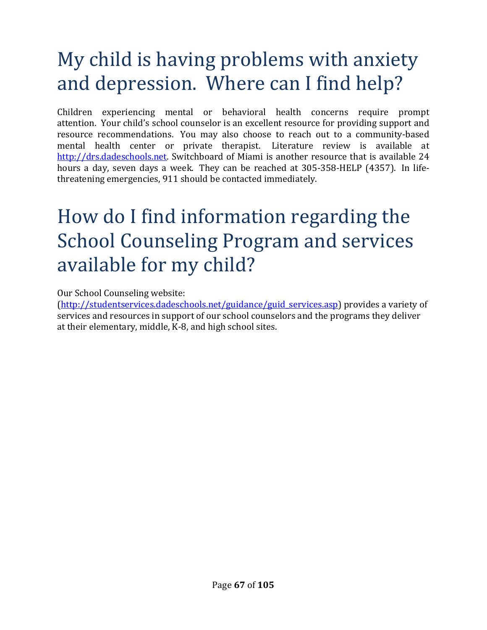## My child is having problems with anxiety and depression. Where can I find help?

Children experiencing mental or behavioral health concerns require prompt attention. Your child's school counselor is an excellent resource for providing support and resource recommendations. You may also choose to reach out to a community-based mental health center or private therapist. Literature review is available at http://drs.dadeschools.net. Switchboard of Miami is another resource that is available 24 hours a day, seven days a week. They can be reached at 305-358-HELP (4357). In lifethreatening emergencies, 911 should be contacted immediately.

## How do I find information regarding the School Counseling Program and services available for my child?

Our School Counseling website:

(http://studentservices.dadeschools.net/guidance/guid\_services.asp) provides a variety of services and resources in support of our school counselors and the programs they deliver at their elementary, middle, K-8, and high school sites.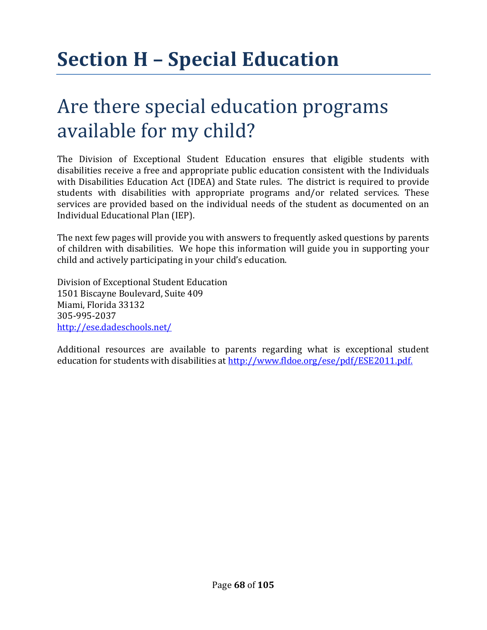# **Section H – Special Education**

## Are there special education programs available for my child?

The Division of Exceptional Student Education ensures that eligible students with disabilities receive a free and appropriate public education consistent with the Individuals with Disabilities Education Act (IDEA) and State rules. The district is required to provide students with disabilities with appropriate programs and/or related services. These services are provided based on the individual needs of the student as documented on an Individual Educational Plan (IEP).

The next few pages will provide you with answers to frequently asked questions by parents of children with disabilities. We hope this information will guide you in supporting your child and actively participating in your child's education.

Division of Exceptional Student Education 1501 Biscayne Boulevard, Suite 409 Miami, Florida 33132 305-995-2037 http://ese.dadeschools.net/

Additional resources are available to parents regarding what is exceptional student education for students with disabilities at http://www.fldoe.org/ese/pdf/ESE2011.pdf.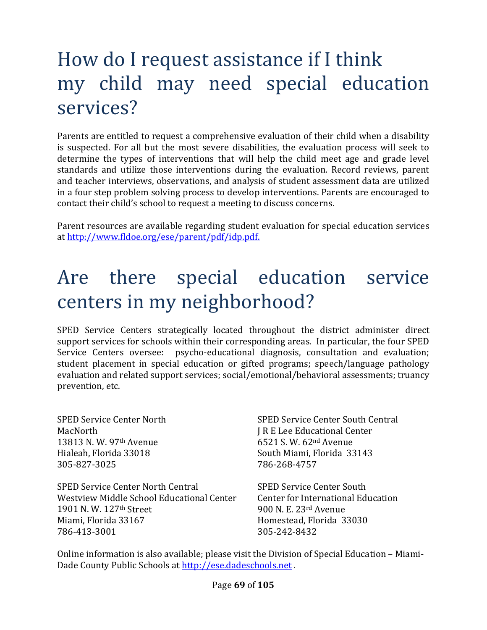## How do I request assistance if I think my child may need special education services?

Parents are entitled to request a comprehensive evaluation of their child when a disability is suspected. For all but the most severe disabilities, the evaluation process will seek to determine the types of interventions that will help the child meet age and grade level standards and utilize those interventions during the evaluation. Record reviews, parent and teacher interviews, observations, and analysis of student assessment data are utilized in a four step problem solving process to develop interventions. Parents are encouraged to contact their child's school to request a meeting to discuss concerns.

Parent resources are available regarding student evaluation for special education services at http://www.fldoe.org/ese/parent/pdf/idp.pdf.

## Are there special education service centers in my neighborhood?

SPED Service Centers strategically located throughout the district administer direct support services for schools within their corresponding areas. In particular, the four SPED Service Centers oversee: psycho-educational diagnosis, consultation and evaluation; student placement in special education or gifted programs; speech/language pathology evaluation and related support services; social/emotional/behavioral assessments; truancy prevention, etc.

MacNorth **J R E Lee Educational Center** 13813 N. W. 97th Avenue 6521 S. W. 62nd Avenue Hialeah, Florida 33018 South Miami, Florida 33143 305-827-3025 786-268-4757

SPED Service Center North Central SPED Service Center South Westview Middle School Educational Center Center for International Education 1901 N. W. 127th Street 900 N. E. 23rd Avenue Miami, Florida 33167 **Homestead, Florida 33030** 786-413-3001 305-242-8432

SPED Service Center North SPED Service Center South Central

Online information is also available; please visit the Division of Special Education – Miami-Dade County Public Schools at http://ese.dadeschools.net.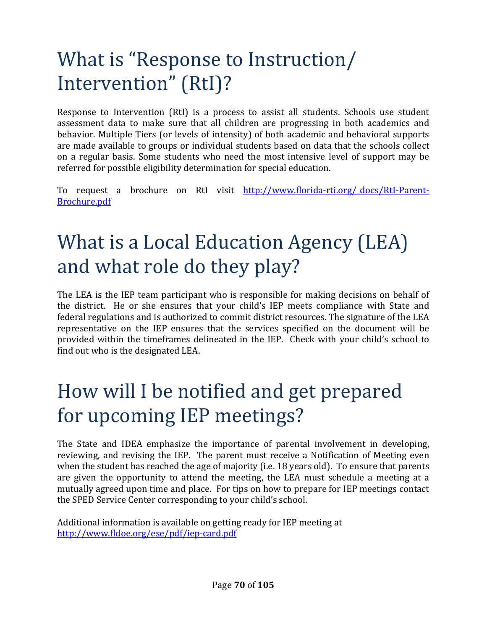# What is "Response to Instruction/ Intervention" (RtI)?

Response to Intervention (RtI) is a process to assist all students. Schools use student assessment data to make sure that all children are progressing in both academics and behavior. Multiple Tiers (or levels of intensity) of both academic and behavioral supports are made available to groups or individual students based on data that the schools collect on a regular basis. Some students who need the most intensive level of support may be referred for possible eligibility determination for special education.

To request a brochure on RtI visit http://www.florida-rti.org/\_docs/RtI-Parent-Brochure.pdf

## What is a Local Education Agency (LEA) and what role do they play?

The LEA is the IEP team participant who is responsible for making decisions on behalf of the district. He or she ensures that your child's IEP meets compliance with State and federal regulations and is authorized to commit district resources. The signature of the LEA representative on the IEP ensures that the services specified on the document will be provided within the timeframes delineated in the IEP. Check with your child's school to find out who is the designated LEA.

## How will I be notified and get prepared for upcoming IEP meetings?

The State and IDEA emphasize the importance of parental involvement in developing, reviewing, and revising the IEP. The parent must receive a Notification of Meeting even when the student has reached the age of majority (i.e. 18 years old). To ensure that parents are given the opportunity to attend the meeting, the LEA must schedule a meeting at a mutually agreed upon time and place. For tips on how to prepare for IEP meetings contact the SPED Service Center corresponding to your child's school.

Additional information is available on getting ready for IEP meeting at http://www.fldoe.org/ese/pdf/iep-card.pdf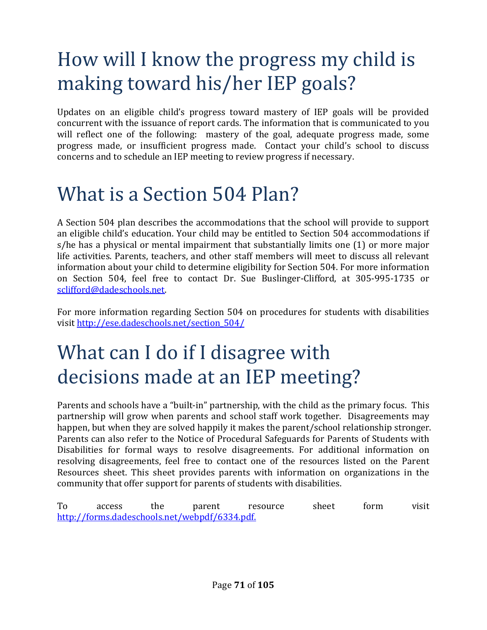# How will I know the progress my child is making toward his/her IEP goals?

Updates on an eligible child's progress toward mastery of IEP goals will be provided concurrent with the issuance of report cards. The information that is communicated to you will reflect one of the following: mastery of the goal, adequate progress made, some progress made, or insufficient progress made. Contact your child's school to discuss concerns and to schedule an IEP meeting to review progress if necessary.

#### What is a Section 504 Plan?

A Section 504 plan describes the accommodations that the school will provide to support an eligible child's education. Your child may be entitled to Section 504 accommodations if s/he has a physical or mental impairment that substantially limits one (1) or more major life activities. Parents, teachers, and other staff members will meet to discuss all relevant information about your child to determine eligibility for Section 504. For more information on Section 504, feel free to contact Dr. Sue Buslinger-Clifford, at 305-995-1735 or sclifford@dadeschools.net.

For more information regarding Section 504 on procedures for students with disabilities visit http://ese.dadeschools.net/section\_504/

## What can I do if I disagree with decisions made at an IEP meeting?

Parents and schools have a "built-in" partnership, with the child as the primary focus. This partnership will grow when parents and school staff work together. Disagreements may happen, but when they are solved happily it makes the parent/school relationship stronger. Parents can also refer to the Notice of Procedural Safeguards for Parents of Students with Disabilities for formal ways to resolve disagreements. For additional information on resolving disagreements, feel free to contact one of the resources listed on the Parent Resources sheet. This sheet provides parents with information on organizations in the community that offer support for parents of students with disabilities.

To access the parent resource sheet form visit http://forms.dadeschools.net/webpdf/6334.pdf.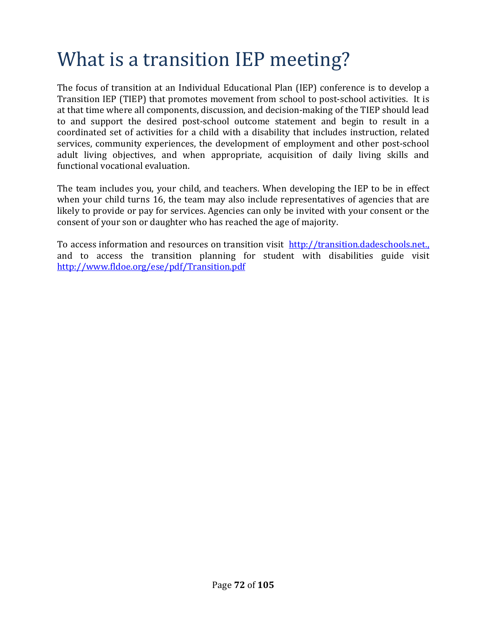## What is a transition IEP meeting?

The focus of transition at an Individual Educational Plan (IEP) conference is to develop a Transition IEP (TIEP) that promotes movement from school to post-school activities. It is at that time where all components, discussion, and decision-making of the TIEP should lead to and support the desired post-school outcome statement and begin to result in a coordinated set of activities for a child with a disability that includes instruction, related services, community experiences, the development of employment and other post-school adult living objectives, and when appropriate, acquisition of daily living skills and functional vocational evaluation.

The team includes you, your child, and teachers. When developing the IEP to be in effect when your child turns 16, the team may also include representatives of agencies that are likely to provide or pay for services. Agencies can only be invited with your consent or the consent of your son or daughter who has reached the age of majority.

To access information and resources on transition visit http://transition.dadeschools.net. and to access the transition planning for student with disabilities guide visit http://www.fldoe.org/ese/pdf/Transition.pdf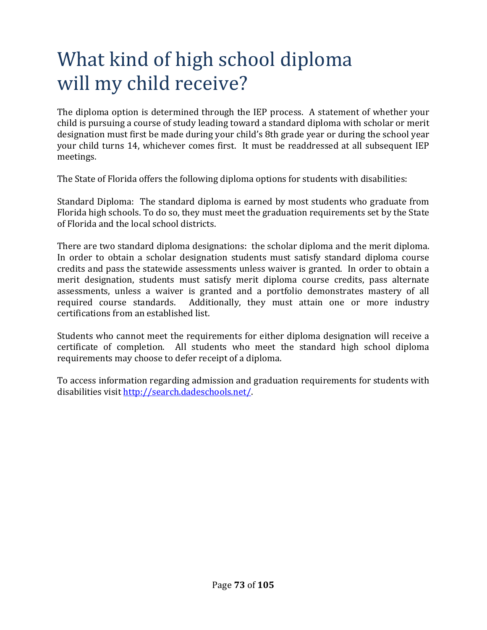## What kind of high school diploma will my child receive?

The diploma option is determined through the IEP process. A statement of whether your child is pursuing a course of study leading toward a standard diploma with scholar or merit designation must first be made during your child's 8th grade year or during the school year your child turns 14, whichever comes first. It must be readdressed at all subsequent IEP meetings.

The State of Florida offers the following diploma options for students with disabilities:

Standard Diploma: The standard diploma is earned by most students who graduate from Florida high schools. To do so, they must meet the graduation requirements set by the State of Florida and the local school districts.

There are two standard diploma designations: the scholar diploma and the merit diploma. In order to obtain a scholar designation students must satisfy standard diploma course credits and pass the statewide assessments unless waiver is granted. In order to obtain a merit designation, students must satisfy merit diploma course credits, pass alternate assessments, unless a waiver is granted and a portfolio demonstrates mastery of all required course standards. Additionally, they must attain one or more industry certifications from an established list.

Students who cannot meet the requirements for either diploma designation will receive a certificate of completion. All students who meet the standard high school diploma requirements may choose to defer receipt of a diploma.

To access information regarding admission and graduation requirements for students with disabilities visit http://search.dadeschools.net/.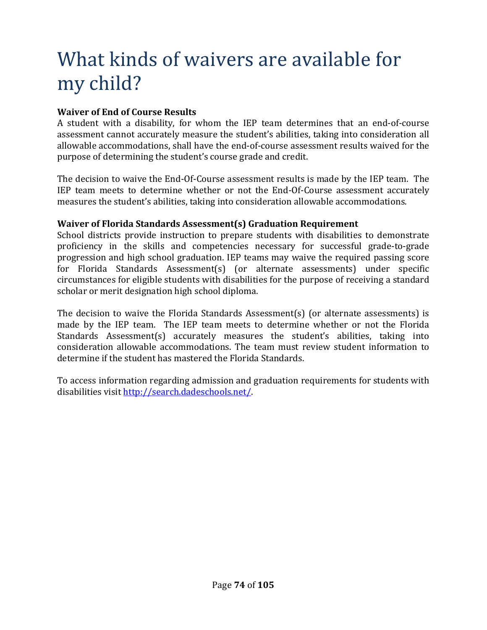### What kinds of waivers are available for my child?

#### **Waiver of End of Course Results**

A student with a disability, for whom the IEP team determines that an end-of-course assessment cannot accurately measure the student's abilities, taking into consideration all allowable accommodations, shall have the end-of-course assessment results waived for the purpose of determining the student's course grade and credit.

The decision to waive the End-Of-Course assessment results is made by the IEP team. The IEP team meets to determine whether or not the End-Of-Course assessment accurately measures the student's abilities, taking into consideration allowable accommodations.

#### **Waiver of Florida Standards Assessment(s) Graduation Requirement**

School districts provide instruction to prepare students with disabilities to demonstrate proficiency in the skills and competencies necessary for successful grade-to-grade progression and high school graduation. IEP teams may waive the required passing score for Florida Standards Assessment(s) (or alternate assessments) under specific circumstances for eligible students with disabilities for the purpose of receiving a standard scholar or merit designation high school diploma.

The decision to waive the Florida Standards Assessment(s) (or alternate assessments) is made by the IEP team. The IEP team meets to determine whether or not the Florida Standards Assessment(s) accurately measures the student's abilities, taking into consideration allowable accommodations. The team must review student information to determine if the student has mastered the Florida Standards.

To access information regarding admission and graduation requirements for students with disabilities visit http://search.dadeschools.net/.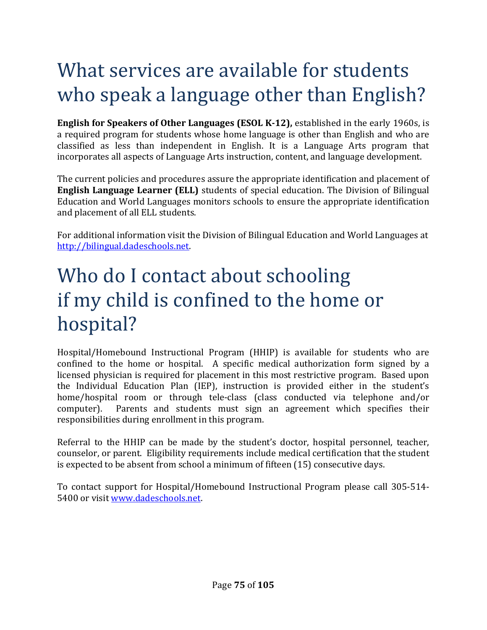## What services are available for students who speak a language other than English?

**English for Speakers of Other Languages (ESOL K-12),** established in the early 1960s, is a required program for students whose home language is other than English and who are classified as less than independent in English. It is a Language Arts program that incorporates all aspects of Language Arts instruction, content, and language development.

The current policies and procedures assure the appropriate identification and placement of **English Language Learner (ELL)** students of special education. The Division of Bilingual Education and World Languages monitors schools to ensure the appropriate identification and placement of all ELL students.

For additional information visit the Division of Bilingual Education and World Languages at http://bilingual.dadeschools.net.

## Who do I contact about schooling if my child is confined to the home or hospital?

Hospital/Homebound Instructional Program (HHIP) is available for students who are confined to the home or hospital. A specific medical authorization form signed by a licensed physician is required for placement in this most restrictive program. Based upon the Individual Education Plan (IEP), instruction is provided either in the student's home/hospital room or through tele-class (class conducted via telephone and/or computer). Parents and students must sign an agreement which specifies their responsibilities during enrollment in this program.

Referral to the HHIP can be made by the student's doctor, hospital personnel, teacher, counselor, or parent. Eligibility requirements include medical certification that the student is expected to be absent from school a minimum of fifteen (15) consecutive days.

To contact support for Hospital/Homebound Instructional Program please call 305-514- 5400 or visit www.dadeschools.net.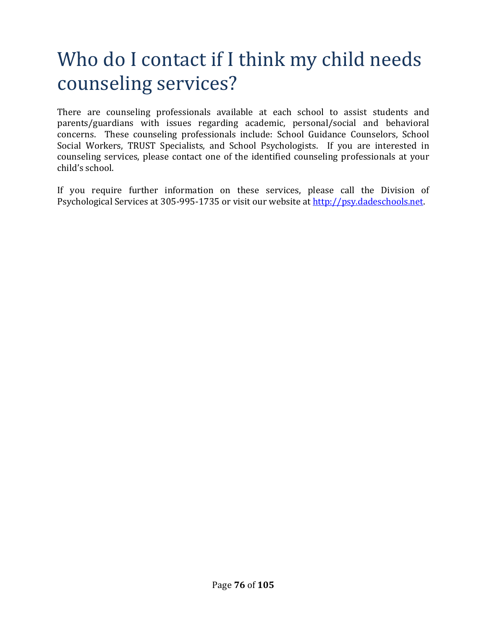### Who do I contact if I think my child needs counseling services?

There are counseling professionals available at each school to assist students and parents/guardians with issues regarding academic, personal/social and behavioral concerns. These counseling professionals include: School Guidance Counselors, School Social Workers, TRUST Specialists, and School Psychologists. If you are interested in counseling services, please contact one of the identified counseling professionals at your child's school.

If you require further information on these services, please call the Division of Psychological Services at 305-995-1735 or visit our website at http://psy.dadeschools.net.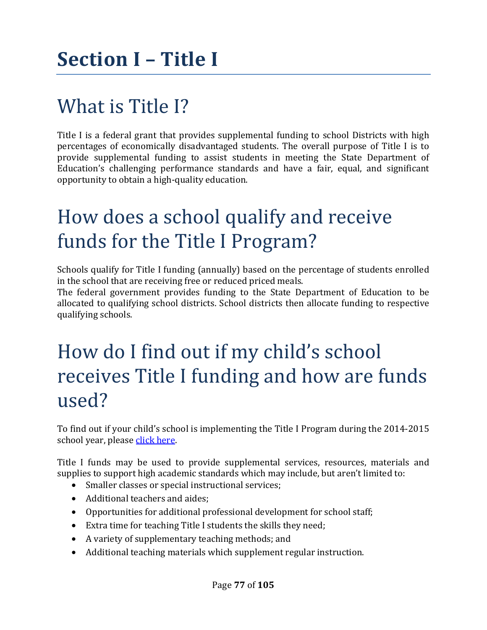## What is Title I?

Title I is a federal grant that provides supplemental funding to school Districts with high percentages of economically disadvantaged students. The overall purpose of Title I is to provide supplemental funding to assist students in meeting the State Department of Education's challenging performance standards and have a fair, equal, and significant opportunity to obtain a high-quality education.

### How does a school qualify and receive funds for the Title I Program?

Schools qualify for Title I funding (annually) based on the percentage of students enrolled in the school that are receiving free or reduced priced meals.

The federal government provides funding to the State Department of Education to be allocated to qualifying school districts. School districts then allocate funding to respective qualifying schools.

#### How do I find out if my child's school receives Title I funding and how are funds used?

To find out if your child's school is implementing the Title I Program during the 2014-2015 school year, please click here.

Title I funds may be used to provide supplemental services, resources, materials and supplies to support high academic standards which may include, but aren't limited to:

- Smaller classes or special instructional services;
- Additional teachers and aides;
- Opportunities for additional professional development for school staff;
- Extra time for teaching Title I students the skills they need;
- A variety of supplementary teaching methods; and
- Additional teaching materials which supplement regular instruction.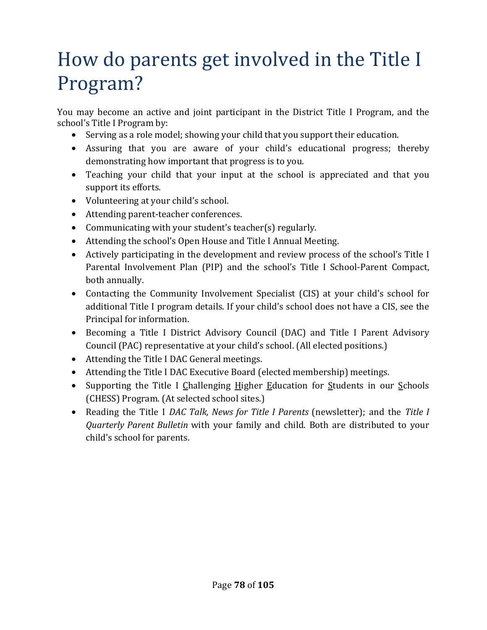### How do parents get involved in the Title I Program?

You may become an active and joint participant in the District Title I Program, and the school's Title I Program by:

- Serving as a role model; showing your child that you support their education.
- Assuring that you are aware of your child's educational progress; thereby demonstrating how important that progress is to you.
- Teaching your child that your input at the school is appreciated and that you support its efforts.
- Volunteering at your child's school.
- Attending parent-teacher conferences.
- Communicating with your student's teacher(s) regularly.
- Attending the school's Open House and Title I Annual Meeting.
- Actively participating in the development and review process of the school's Title I Parental Involvement Plan (PIP) and the school's Title I School-Parent Compact, both annually.
- Contacting the Community Involvement Specialist (CIS) at your child's school for additional Title I program details. If your child's school does not have a CIS, see the Principal for information.
- Becoming a Title I District Advisory Council (DAC) and Title I Parent Advisory Council (PAC) representative at your child's school. (All elected positions.)
- Attending the Title I DAC General meetings.
- Attending the Title I DAC Executive Board (elected membership) meetings.
- Supporting the Title I Challenging Higher Education for Students in our Schools (CHESS) Program. (At selected school sites.)
- Reading the Title I *DAC Talk, News for Title I Parents* (newsletter); and the *Title I Quarterly Parent Bulletin* with your family and child. Both are distributed to your child's school for parents.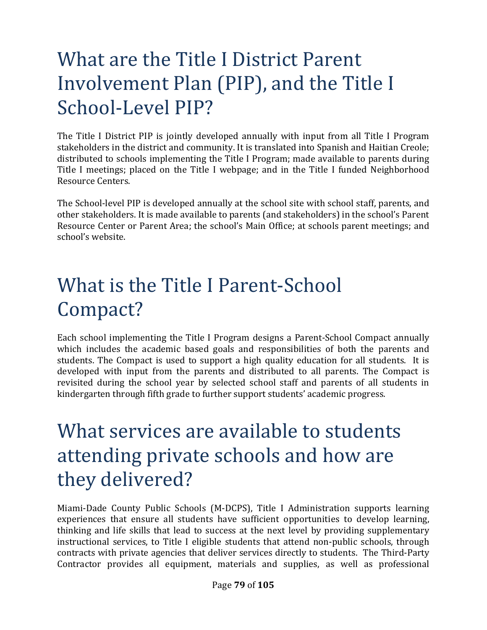## What are the Title I District Parent Involvement Plan (PIP), and the Title I School-Level PIP?

The Title I District PIP is jointly developed annually with input from all Title I Program stakeholders in the district and community. It is translated into Spanish and Haitian Creole; distributed to schools implementing the Title I Program; made available to parents during Title I meetings; placed on the Title I webpage; and in the Title I funded Neighborhood Resource Centers.

The School-level PIP is developed annually at the school site with school staff, parents, and other stakeholders. It is made available to parents (and stakeholders) in the school's Parent Resource Center or Parent Area; the school's Main Office; at schools parent meetings; and school's website.

## What is the Title I Parent-School Compact?

Each school implementing the Title I Program designs a Parent-School Compact annually which includes the academic based goals and responsibilities of both the parents and students. The Compact is used to support a high quality education for all students. It is developed with input from the parents and distributed to all parents. The Compact is revisited during the school year by selected school staff and parents of all students in kindergarten through fifth grade to further support students' academic progress.

#### What services are available to students attending private schools and how are they delivered?

Miami-Dade County Public Schools (M-DCPS), Title I Administration supports learning experiences that ensure all students have sufficient opportunities to develop learning, thinking and life skills that lead to success at the next level by providing supplementary instructional services, to Title I eligible students that attend non-public schools, through contracts with private agencies that deliver services directly to students. The Third-Party Contractor provides all equipment, materials and supplies, as well as professional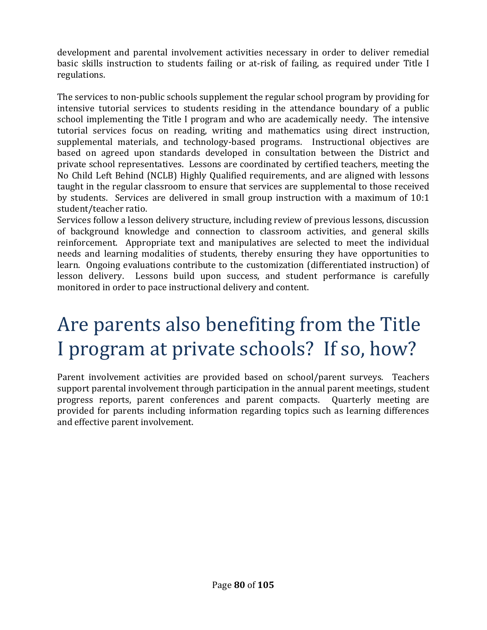development and parental involvement activities necessary in order to deliver remedial basic skills instruction to students failing or at-risk of failing, as required under Title I regulations.

The services to non-public schools supplement the regular school program by providing for intensive tutorial services to students residing in the attendance boundary of a public school implementing the Title I program and who are academically needy. The intensive tutorial services focus on reading, writing and mathematics using direct instruction, supplemental materials, and technology-based programs. Instructional objectives are based on agreed upon standards developed in consultation between the District and private school representatives. Lessons are coordinated by certified teachers, meeting the No Child Left Behind (NCLB) Highly Qualified requirements, and are aligned with lessons taught in the regular classroom to ensure that services are supplemental to those received by students. Services are delivered in small group instruction with a maximum of 10:1 student/teacher ratio.

Services follow a lesson delivery structure, including review of previous lessons, discussion of background knowledge and connection to classroom activities, and general skills reinforcement. Appropriate text and manipulatives are selected to meet the individual needs and learning modalities of students, thereby ensuring they have opportunities to learn. Ongoing evaluations contribute to the customization (differentiated instruction) of lesson delivery. Lessons build upon success, and student performance is carefully monitored in order to pace instructional delivery and content.

### Are parents also benefiting from the Title I program at private schools? If so, how?

Parent involvement activities are provided based on school/parent surveys. Teachers support parental involvement through participation in the annual parent meetings, student progress reports, parent conferences and parent compacts. Quarterly meeting are provided for parents including information regarding topics such as learning differences and effective parent involvement.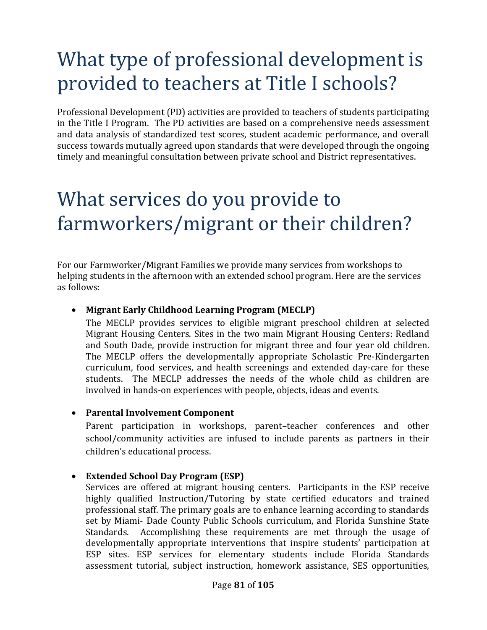## What type of professional development is provided to teachers at Title I schools?

Professional Development (PD) activities are provided to teachers of students participating in the Title I Program. The PD activities are based on a comprehensive needs assessment and data analysis of standardized test scores, student academic performance, and overall success towards mutually agreed upon standards that were developed through the ongoing timely and meaningful consultation between private school and District representatives.

## What services do you provide to farmworkers/migrant or their children?

For our Farmworker/Migrant Families we provide many services from workshops to helping students in the afternoon with an extended school program. Here are the services as follows:

#### • **Migrant Early Childhood Learning Program (MECLP)**

The MECLP provides services to eligible migrant preschool children at selected Migrant Housing Centers. Sites in the two main Migrant Housing Centers: Redland and South Dade, provide instruction for migrant three and four year old children. The MECLP offers the developmentally appropriate Scholastic Pre-Kindergarten curriculum, food services, and health screenings and extended day-care for these students. The MECLP addresses the needs of the whole child as children are involved in hands-on experiences with people, objects, ideas and events.

#### • **Parental Involvement Component**

Parent participation in workshops, parent–teacher conferences and other school/community activities are infused to include parents as partners in their children's educational process.

#### • **Extended School Day Program (ESP)**

Services are offered at migrant housing centers. Participants in the ESP receive highly qualified Instruction/Tutoring by state certified educators and trained professional staff. The primary goals are to enhance learning according to standards set by Miami- Dade County Public Schools curriculum, and Florida Sunshine State Standards. Accomplishing these requirements are met through the usage of developmentally appropriate interventions that inspire students' participation at ESP sites. ESP services for elementary students include Florida Standards assessment tutorial, subject instruction, homework assistance, SES opportunities,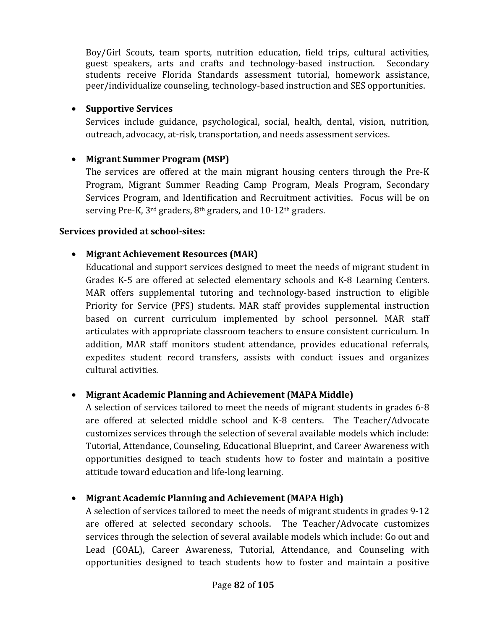Boy/Girl Scouts, team sports, nutrition education, field trips, cultural activities, guest speakers, arts and crafts and technology-based instruction. Secondary students receive Florida Standards assessment tutorial, homework assistance, peer/individualize counseling, technology-based instruction and SES opportunities.

#### • **Supportive Services**

Services include guidance, psychological, social, health, dental, vision, nutrition, outreach, advocacy, at-risk, transportation, and needs assessment services.

#### • **Migrant Summer Program (MSP)**

The services are offered at the main migrant housing centers through the Pre-K Program, Migrant Summer Reading Camp Program, Meals Program, Secondary Services Program, and Identification and Recruitment activities. Focus will be on serving Pre-K, 3<sup>rd</sup> graders, 8<sup>th</sup> graders, and 10-12<sup>th</sup> graders.

#### **Services provided at school-sites:**

#### • **Migrant Achievement Resources (MAR)**

Educational and support services designed to meet the needs of migrant student in Grades K-5 are offered at selected elementary schools and K-8 Learning Centers. MAR offers supplemental tutoring and technology-based instruction to eligible Priority for Service (PFS) students. MAR staff provides supplemental instruction based on current curriculum implemented by school personnel. MAR staff articulates with appropriate classroom teachers to ensure consistent curriculum. In addition, MAR staff monitors student attendance, provides educational referrals, expedites student record transfers, assists with conduct issues and organizes cultural activities.

#### • **Migrant Academic Planning and Achievement (MAPA Middle)**

A selection of services tailored to meet the needs of migrant students in grades 6-8 are offered at selected middle school and K-8 centers. The Teacher/Advocate customizes services through the selection of several available models which include: Tutorial, Attendance, Counseling, Educational Blueprint, and Career Awareness with opportunities designed to teach students how to foster and maintain a positive attitude toward education and life-long learning.

#### • **Migrant Academic Planning and Achievement (MAPA High)**

A selection of services tailored to meet the needs of migrant students in grades 9-12 are offered at selected secondary schools. The Teacher/Advocate customizes services through the selection of several available models which include: Go out and Lead (GOAL), Career Awareness, Tutorial, Attendance, and Counseling with opportunities designed to teach students how to foster and maintain a positive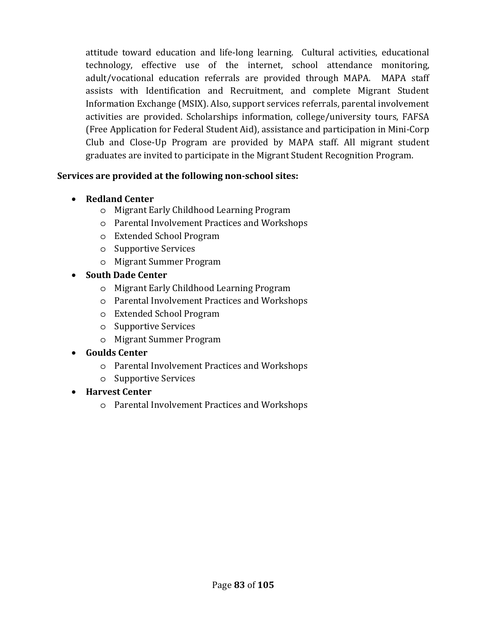attitude toward education and life-long learning. Cultural activities, educational technology, effective use of the internet, school attendance monitoring, adult/vocational education referrals are provided through MAPA. MAPA staff assists with Identification and Recruitment, and complete Migrant Student Information Exchange (MSIX). Also, support services referrals, parental involvement activities are provided. Scholarships information, college/university tours, FAFSA (Free Application for Federal Student Aid), assistance and participation in Mini-Corp Club and Close-Up Program are provided by MAPA staff. All migrant student graduates are invited to participate in the Migrant Student Recognition Program.

#### **Services are provided at the following non-school sites:**

- **Redland Center**
	- o Migrant Early Childhood Learning Program
	- o Parental Involvement Practices and Workshops
	- o Extended School Program
	- o Supportive Services
	- o Migrant Summer Program
- **South Dade Center**
	- o Migrant Early Childhood Learning Program
	- o Parental Involvement Practices and Workshops
	- o Extended School Program
	- o Supportive Services
	- o Migrant Summer Program

#### • **Goulds Center**

- o Parental Involvement Practices and Workshops
- o Supportive Services
- **Harvest Center**
	- o Parental Involvement Practices and Workshops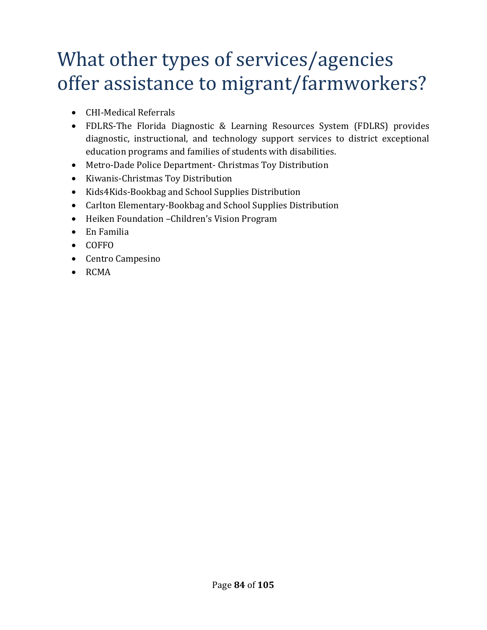### What other types of services/agencies offer assistance to migrant/farmworkers?

- CHI-Medical Referrals
- FDLRS-The Florida Diagnostic & Learning Resources System (FDLRS) provides diagnostic, instructional, and technology support services to district exceptional education programs and families of students with disabilities.
- Metro-Dade Police Department- Christmas Toy Distribution
- Kiwanis-Christmas Toy Distribution
- Kids4Kids-Bookbag and School Supplies Distribution
- Carlton Elementary-Bookbag and School Supplies Distribution
- Heiken Foundation –Children's Vision Program
- En Familia
- COFFO
- Centro Campesino
- RCMA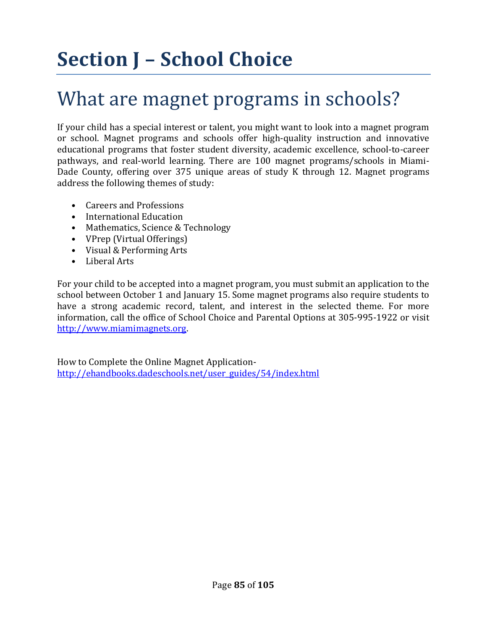# **Section J – School Choice**

#### What are magnet programs in schools?

If your child has a special interest or talent, you might want to look into a magnet program or school. Magnet programs and schools offer high-quality instruction and innovative educational programs that foster student diversity, academic excellence, school-to-career pathways, and real-world learning. There are 100 magnet programs/schools in Miami-Dade County, offering over 375 unique areas of study K through 12. Magnet programs address the following themes of study:

- Careers and Professions
- International Education
- Mathematics, Science & Technology
- VPrep (Virtual Offerings)
- Visual & Performing Arts
- Liberal Arts

For your child to be accepted into a magnet program, you must submit an application to the school between October 1 and January 15. Some magnet programs also require students to have a strong academic record, talent, and interest in the selected theme. For more information, call the office of School Choice and Parental Options at 305-995-1922 or visit http://www.miamimagnets.org.

How to Complete the Online Magnet Applicationhttp://ehandbooks.dadeschools.net/user\_guides/54/index.html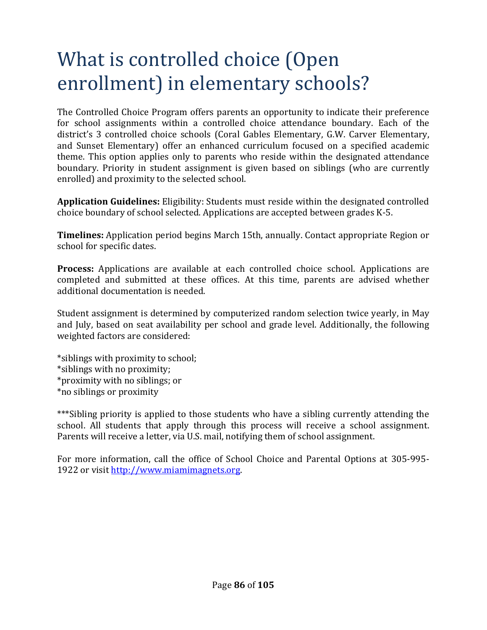### What is controlled choice (Open enrollment) in elementary schools?

The Controlled Choice Program offers parents an opportunity to indicate their preference for school assignments within a controlled choice attendance boundary. Each of the district's 3 controlled choice schools (Coral Gables Elementary, G.W. Carver Elementary, and Sunset Elementary) offer an enhanced curriculum focused on a specified academic theme. This option applies only to parents who reside within the designated attendance boundary. Priority in student assignment is given based on siblings (who are currently enrolled) and proximity to the selected school.

**Application Guidelines:** Eligibility: Students must reside within the designated controlled choice boundary of school selected. Applications are accepted between grades K-5.

**Timelines:** Application period begins March 15th, annually. Contact appropriate Region or school for specific dates.

**Process:** Applications are available at each controlled choice school. Applications are completed and submitted at these offices. At this time, parents are advised whether additional documentation is needed.

Student assignment is determined by computerized random selection twice yearly, in May and July, based on seat availability per school and grade level. Additionally, the following weighted factors are considered:

\*siblings with proximity to school; \*siblings with no proximity; \*proximity with no siblings; or \*no siblings or proximity

\*\*\*Sibling priority is applied to those students who have a sibling currently attending the school. All students that apply through this process will receive a school assignment. Parents will receive a letter, via U.S. mail, notifying them of school assignment.

For more information, call the office of School Choice and Parental Options at 305-995- 1922 or visit http://www.miamimagnets.org.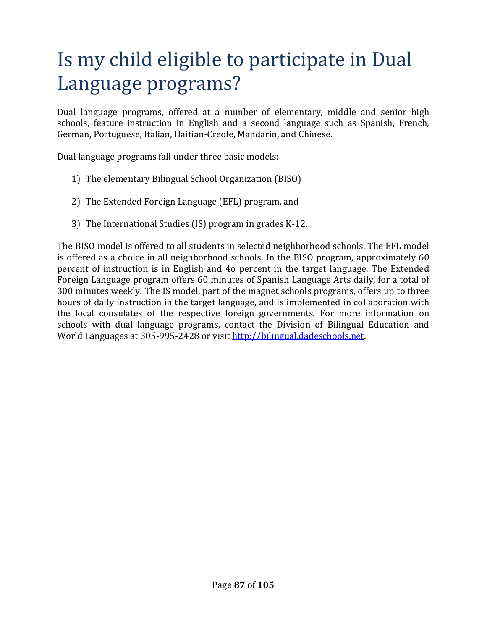## Is my child eligible to participate in Dual Language programs?

Dual language programs, offered at a number of elementary, middle and senior high schools, feature instruction in English and a second language such as Spanish, French, German, Portuguese, Italian, Haitian-Creole, Mandarin, and Chinese.

Dual language programs fall under three basic models:

- 1) The elementary Bilingual School Organization (BISO)
- 2) The Extended Foreign Language (EFL) program, and
- 3) The International Studies (IS) program in grades K-12.

The BISO model is offered to all students in selected neighborhood schools. The EFL model is offered as a choice in all neighborhood schools. In the BISO program, approximately 60 percent of instruction is in English and 4o percent in the target language. The Extended Foreign Language program offers 60 minutes of Spanish Language Arts daily, for a total of 300 minutes weekly. The IS model, part of the magnet schools programs, offers up to three hours of daily instruction in the target language, and is implemented in collaboration with the local consulates of the respective foreign governments. For more information on schools with dual language programs, contact the Division of Bilingual Education and World Languages at 305-995-2428 or visit http://bilingual.dadeschools.net.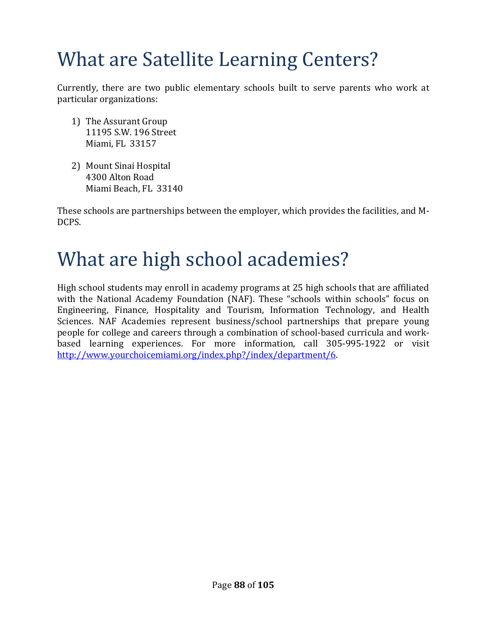## What are Satellite Learning Centers?

Currently, there are two public elementary schools built to serve parents who work at particular organizations:

- 1) The Assurant Group 11195 S.W. 196 Street Miami, FL 33157
- 2) Mount Sinai Hospital 4300 Alton Road Miami Beach, FL 33140

These schools are partnerships between the employer, which provides the facilities, and M-DCPS.

#### What are high school academies?

High school students may enroll in academy programs at 25 high schools that are affiliated with the National Academy Foundation (NAF). These "schools within schools" focus on Engineering, Finance, Hospitality and Tourism, Information Technology, and Health Sciences. NAF Academies represent business/school partnerships that prepare young people for college and careers through a combination of school-based curricula and workbased learning experiences. For more information, call 305-995-1922 or visit http://www.yourchoicemiami.org/index.php?/index/department/6.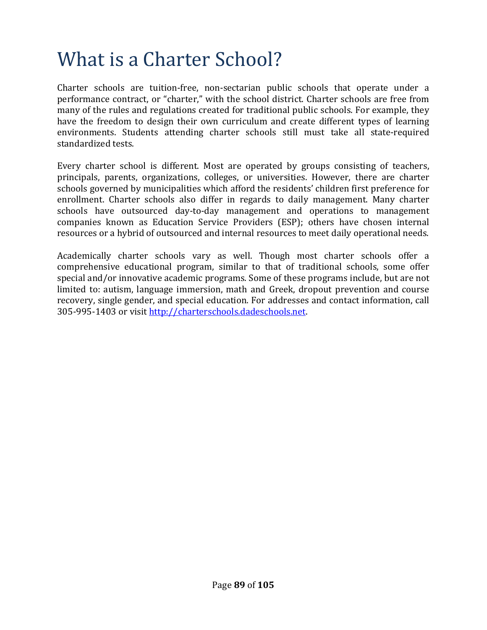### What is a Charter School?

Charter schools are tuition-free, non-sectarian public schools that operate under a performance contract, or "charter," with the school district. Charter schools are free from many of the rules and regulations created for traditional public schools. For example, they have the freedom to design their own curriculum and create different types of learning environments. Students attending charter schools still must take all state-required standardized tests.

Every charter school is different. Most are operated by groups consisting of teachers, principals, parents, organizations, colleges, or universities. However, there are charter schools governed by municipalities which afford the residents' children first preference for enrollment. Charter schools also differ in regards to daily management. Many charter schools have outsourced day-to-day management and operations to management companies known as Education Service Providers (ESP); others have chosen internal resources or a hybrid of outsourced and internal resources to meet daily operational needs.

Academically charter schools vary as well. Though most charter schools offer a comprehensive educational program, similar to that of traditional schools, some offer special and/or innovative academic programs. Some of these programs include, but are not limited to: autism, language immersion, math and Greek, dropout prevention and course recovery, single gender, and special education. For addresses and contact information, call 305-995-1403 or visit http://charterschools.dadeschools.net.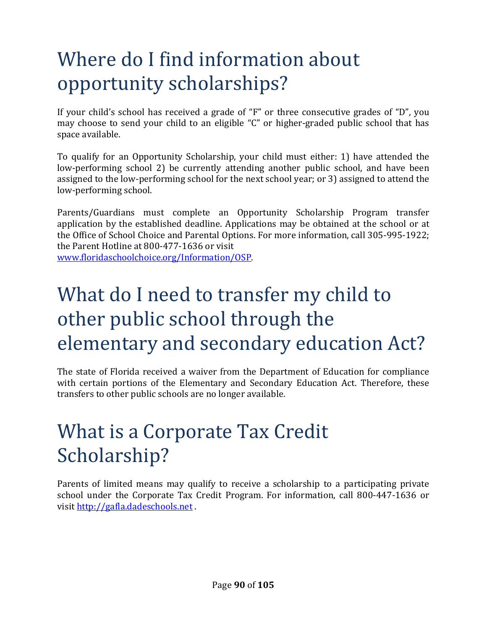## Where do I find information about opportunity scholarships?

If your child's school has received a grade of "F" or three consecutive grades of "D", you may choose to send your child to an eligible "C" or higher-graded public school that has space available.

To qualify for an Opportunity Scholarship, your child must either: 1) have attended the low-performing school 2) be currently attending another public school, and have been assigned to the low-performing school for the next school year; or 3) assigned to attend the low-performing school.

Parents/Guardians must complete an Opportunity Scholarship Program transfer application by the established deadline. Applications may be obtained at the school or at the Office of School Choice and Parental Options. For more information, call 305-995-1922; the Parent Hotline at 800-477-1636 or visit

www.floridaschoolchoice.org/Information/OSP.

## What do I need to transfer my child to other public school through the elementary and secondary education Act?

The state of Florida received a waiver from the Department of Education for compliance with certain portions of the Elementary and Secondary Education Act. Therefore, these transfers to other public schools are no longer available.

## What is a Corporate Tax Credit Scholarship?

Parents of limited means may qualify to receive a scholarship to a participating private school under the Corporate Tax Credit Program. For information, call 800-447-1636 or visit http://gafla.dadeschools.net .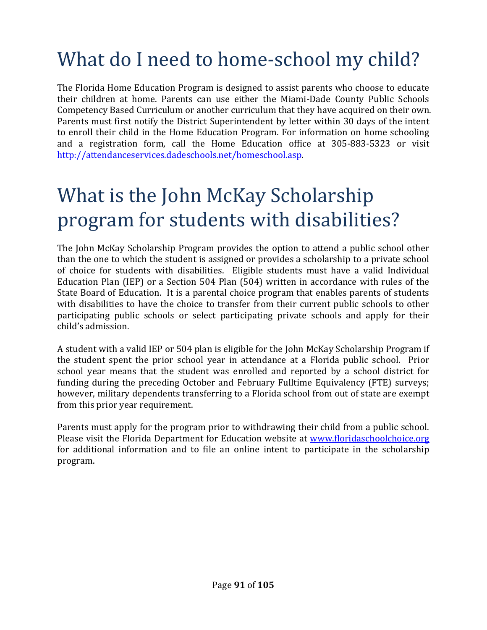## What do I need to home-school my child?

The Florida Home Education Program is designed to assist parents who choose to educate their children at home. Parents can use either the Miami-Dade County Public Schools Competency Based Curriculum or another curriculum that they have acquired on their own. Parents must first notify the District Superintendent by letter within 30 days of the intent to enroll their child in the Home Education Program. For information on home schooling and a registration form, call the Home Education office at 305-883-5323 or visit http://attendanceservices.dadeschools.net/homeschool.asp.

## What is the John McKay Scholarship program for students with disabilities?

The John McKay Scholarship Program provides the option to attend a public school other than the one to which the student is assigned or provides a scholarship to a private school of choice for students with disabilities. Eligible students must have a valid Individual Education Plan (IEP) or a Section 504 Plan (504) written in accordance with rules of the State Board of Education. It is a parental choice program that enables parents of students with disabilities to have the choice to transfer from their current public schools to other participating public schools or select participating private schools and apply for their child's admission.

A student with a valid IEP or 504 plan is eligible for the John McKay Scholarship Program if the student spent the prior school year in attendance at a Florida public school. Prior school year means that the student was enrolled and reported by a school district for funding during the preceding October and February Fulltime Equivalency (FTE) surveys; however, military dependents transferring to a Florida school from out of state are exempt from this prior year requirement.

Parents must apply for the program prior to withdrawing their child from a public school. Please visit the Florida Department for Education website at www.floridaschoolchoice.org for additional information and to file an online intent to participate in the scholarship program.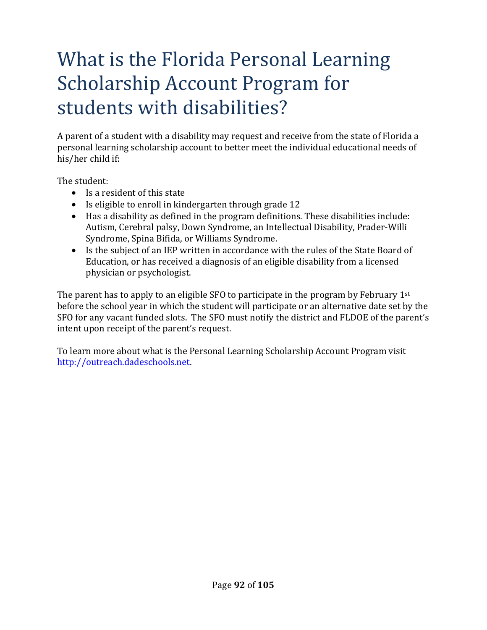## What is the Florida Personal Learning Scholarship Account Program for students with disabilities?

A parent of a student with a disability may request and receive from the state of Florida a personal learning scholarship account to better meet the individual educational needs of his/her child if:

The student:

- Is a resident of this state
- Is eligible to enroll in kindergarten through grade 12
- Has a disability as defined in the program definitions. These disabilities include: Autism, Cerebral palsy, Down Syndrome, an Intellectual Disability, Prader-Willi Syndrome, Spina Bifida, or Williams Syndrome.
- Is the subject of an IEP written in accordance with the rules of the State Board of Education, or has received a diagnosis of an eligible disability from a licensed physician or psychologist.

The parent has to apply to an eligible SFO to participate in the program by February  $1<sup>st</sup>$ before the school year in which the student will participate or an alternative date set by the SFO for any vacant funded slots. The SFO must notify the district and FLDOE of the parent's intent upon receipt of the parent's request.

To learn more about what is the Personal Learning Scholarship Account Program visit http://outreach.dadeschools.net.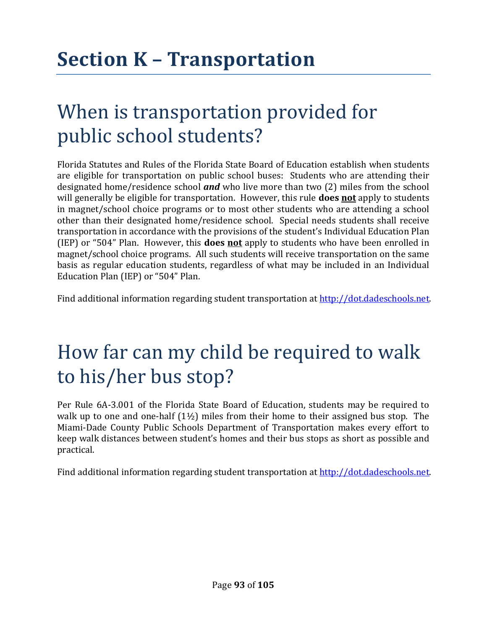## **Section K – Transportation**

#### When is transportation provided for public school students?

Florida Statutes and Rules of the Florida State Board of Education establish when students are eligible for transportation on public school buses: Students who are attending their designated home/residence school *and* who live more than two (2) miles from the school will generally be eligible for transportation. However, this rule **does not** apply to students in magnet/school choice programs or to most other students who are attending a school other than their designated home/residence school. Special needs students shall receive transportation in accordance with the provisions of the student's Individual Education Plan (IEP) or "504" Plan. However, this **does not** apply to students who have been enrolled in magnet/school choice programs. All such students will receive transportation on the same basis as regular education students, regardless of what may be included in an Individual Education Plan (IEP) or "504" Plan.

Find additional information regarding student transportation at http://dot.dadeschools.net.

#### How far can my child be required to walk to his/her bus stop?

Per Rule 6A-3.001 of the Florida State Board of Education, students may be required to walk up to one and one-half  $(1\frac{1}{2})$  miles from their home to their assigned bus stop. The Miami-Dade County Public Schools Department of Transportation makes every effort to keep walk distances between student's homes and their bus stops as short as possible and practical.

Find additional information regarding student transportation at http://dot.dadeschools.net.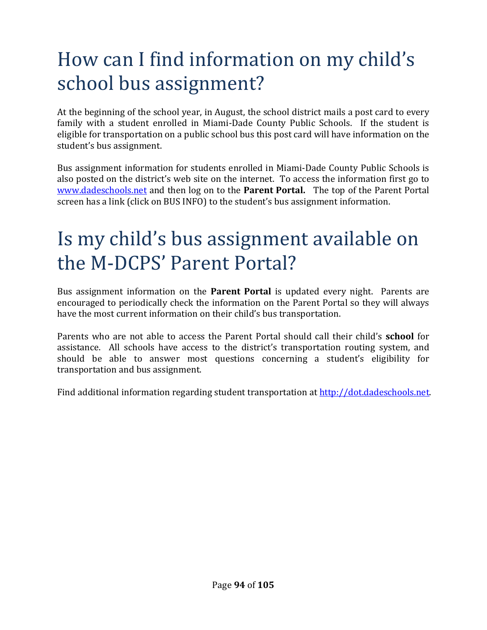## How can I find information on my child's school bus assignment?

At the beginning of the school year, in August, the school district mails a post card to every family with a student enrolled in Miami-Dade County Public Schools. If the student is eligible for transportation on a public school bus this post card will have information on the student's bus assignment.

Bus assignment information for students enrolled in Miami-Dade County Public Schools is also posted on the district's web site on the internet. To access the information first go to www.dadeschools.net and then log on to the **Parent Portal.** The top of the Parent Portal screen has a link (click on BUS INFO) to the student's bus assignment information.

#### Is my child's bus assignment available on the M-DCPS' Parent Portal?

Bus assignment information on the **Parent Portal** is updated every night. Parents are encouraged to periodically check the information on the Parent Portal so they will always have the most current information on their child's bus transportation.

Parents who are not able to access the Parent Portal should call their child's **school** for assistance. All schools have access to the district's transportation routing system, and should be able to answer most questions concerning a student's eligibility for transportation and bus assignment.

Find additional information regarding student transportation at http://dot.dadeschools.net.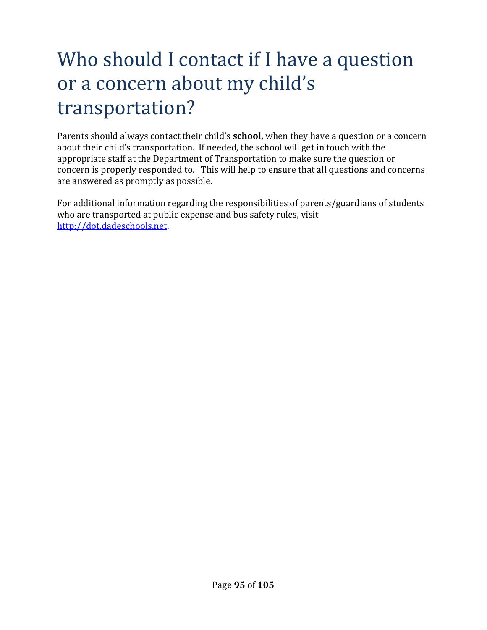## Who should I contact if I have a question or a concern about my child's transportation?

Parents should always contact their child's **school,** when they have a question or a concern about their child's transportation. If needed, the school will get in touch with the appropriate staff at the Department of Transportation to make sure the question or concern is properly responded to. This will help to ensure that all questions and concerns are answered as promptly as possible.

For additional information regarding the responsibilities of parents/guardians of students who are transported at public expense and bus safety rules, visit http://dot.dadeschools.net.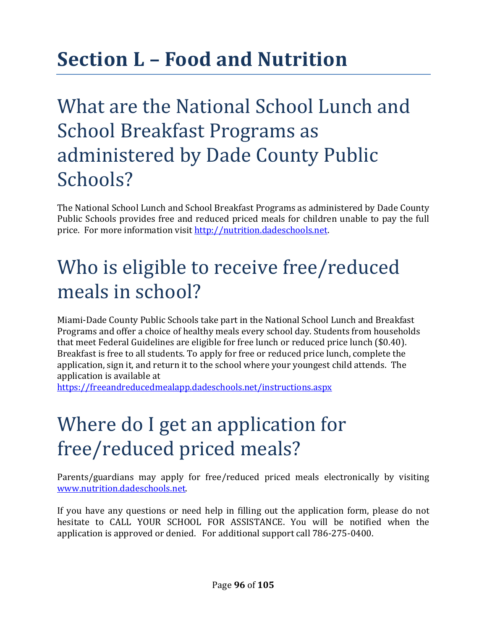## **Section L – Food and Nutrition**

## What are the National School Lunch and School Breakfast Programs as administered by Dade County Public Schools?

The National School Lunch and School Breakfast Programs as administered by Dade County Public Schools provides free and reduced priced meals for children unable to pay the full price. For more information visit http://nutrition.dadeschools.net.

### Who is eligible to receive free/reduced meals in school?

Miami-Dade County Public Schools take part in the National School Lunch and Breakfast Programs and offer a choice of healthy meals every school day. Students from households that meet Federal Guidelines are eligible for free lunch or reduced price lunch (\$0.40). Breakfast is free to all students. To apply for free or reduced price lunch, complete the application, sign it, and return it to the school where your youngest child attends. The application is available at

https://freeandreducedmealapp.dadeschools.net/instructions.aspx

## Where do I get an application for free/reduced priced meals?

Parents/guardians may apply for free/reduced priced meals electronically by visiting www.nutrition.dadeschools.net.

If you have any questions or need help in filling out the application form, please do not hesitate to CALL YOUR SCHOOL FOR ASSISTANCE. You will be notified when the application is approved or denied. For additional support call 786-275-0400.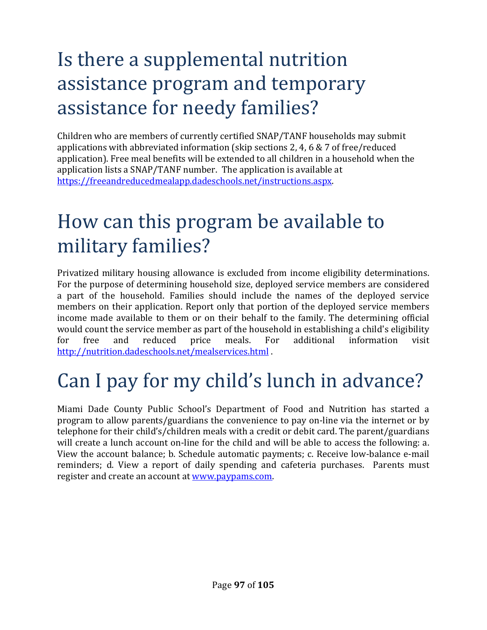## Is there a supplemental nutrition assistance program and temporary assistance for needy families?

Children who are members of currently certified SNAP/TANF households may submit applications with abbreviated information (skip sections 2, 4, 6 & 7 of free/reduced application). Free meal benefits will be extended to all children in a household when the application lists a SNAP/TANF number. The application is available at https://freeandreducedmealapp.dadeschools.net/instructions.aspx.

#### How can this program be available to military families?

Privatized military housing allowance is excluded from income eligibility determinations. For the purpose of determining household size, deployed service members are considered a part of the household. Families should include the names of the deployed service members on their application. Report only that portion of the deployed service members income made available to them or on their behalf to the family. The determining official would count the service member as part of the household in establishing a child's eligibility for free and reduced price meals. For additional information visit http://nutrition.dadeschools.net/mealservices.html .

## Can I pay for my child's lunch in advance?

Miami Dade County Public School's Department of Food and Nutrition has started a program to allow parents/guardians the convenience to pay on-line via the internet or by telephone for their child's/children meals with a credit or debit card. The parent/guardians will create a lunch account on-line for the child and will be able to access the following: a. View the account balance; b. Schedule automatic payments; c. Receive low-balance e-mail reminders; d. View a report of daily spending and cafeteria purchases. Parents must register and create an account at www.paypams.com.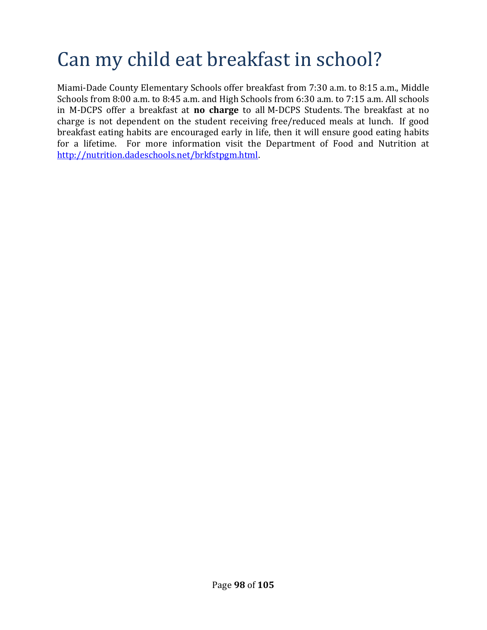## Can my child eat breakfast in school?

Miami-Dade County Elementary Schools offer breakfast from 7:30 a.m. to 8:15 a.m., Middle Schools from 8:00 a.m. to 8:45 a.m. and High Schools from 6:30 a.m. to 7:15 a.m. All schools in M-DCPS offer a breakfast at **no charge** to all M-DCPS Students. The breakfast at no charge is not dependent on the student receiving free/reduced meals at lunch. If good breakfast eating habits are encouraged early in life, then it will ensure good eating habits for a lifetime. For more information visit the Department of Food and Nutrition at http://nutrition.dadeschools.net/brkfstpgm.html.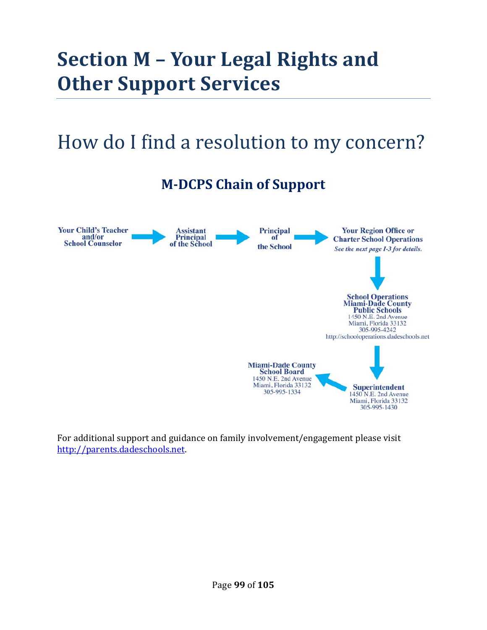## **Section M – Your Legal Rights and Other Support Services**

#### How do I find a resolution to my concern?

#### **M-DCPS Chain of Support**



For additional support and guidance on family involvement/engagement please visit http://parents.dadeschools.net.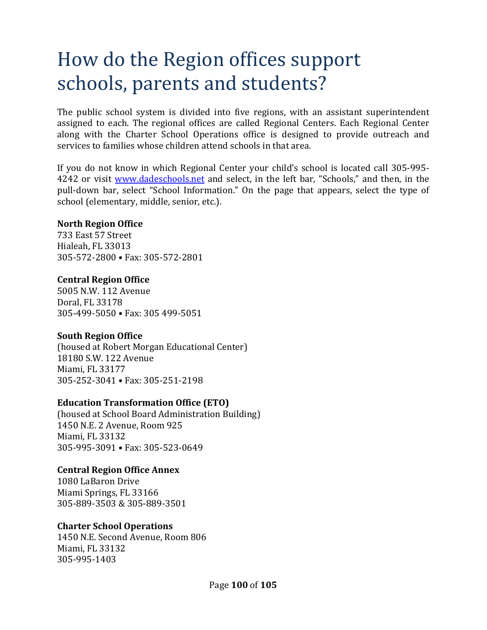### How do the Region offices support schools, parents and students?

The public school system is divided into five regions, with an assistant superintendent assigned to each. The regional offices are called Regional Centers. Each Regional Center along with the Charter School Operations office is designed to provide outreach and services to families whose children attend schools in that area.

If you do not know in which Regional Center your child's school is located call 305-995- 4242 or visit www.dadeschools.net and select, in the left bar, "Schools," and then, in the pull-down bar, select "School Information." On the page that appears, select the type of school (elementary, middle, senior, etc.).

#### **North Region Office**

733 East 57 Street Hialeah, FL 33013 305-572-2800 • Fax: 305-572-2801

#### **Central Region Office**

5005 N.W. 112 Avenue Doral, FL 33178 305-499-5050 • Fax: 305 499-5051

#### **South Region Office**

(housed at Robert Morgan Educational Center) 18180 S.W. 122 Avenue Miami, FL 33177 305-252-3041 • Fax: 305-251-2198

#### **Education Transformation Office (ETO)**

(housed at School Board Administration Building) 1450 N.E. 2 Avenue, Room 925 Miami, FL 33132 305-995-3091 • Fax: 305-523-0649

#### **Central Region Office Annex**

1080 LaBaron Drive Miami Springs, FL 33166 305-889-3503 & 305-889-3501

#### **Charter School Operations**

1450 N.E. Second Avenue, Room 806 Miami, FL 33132 305-995-1403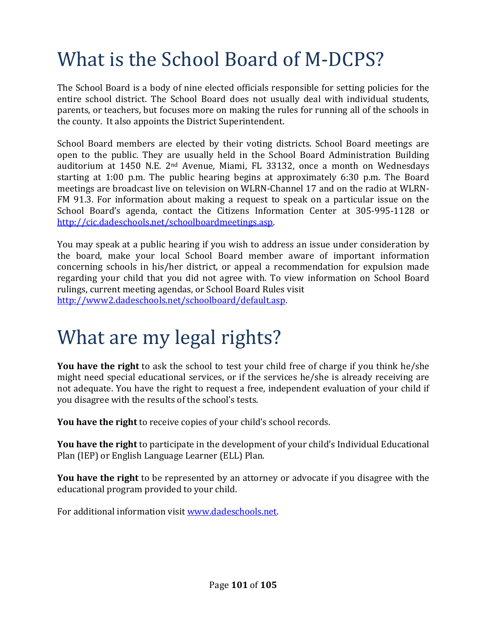## What is the School Board of M-DCPS?

The School Board is a body of nine elected officials responsible for setting policies for the entire school district. The School Board does not usually deal with individual students, parents, or teachers, but focuses more on making the rules for running all of the schools in the county. It also appoints the District Superintendent.

School Board members are elected by their voting districts. School Board meetings are open to the public. They are usually held in the School Board Administration Building auditorium at 1450 N.E. 2nd Avenue, Miami, FL 33132, once a month on Wednesdays starting at 1:00 p.m. The public hearing begins at approximately 6:30 p.m. The Board meetings are broadcast live on television on WLRN-Channel 17 and on the radio at WLRN-FM 91.3. For information about making a request to speak on a particular issue on the School Board's agenda, contact the Citizens Information Center at 305-995-1128 or http://cic.dadeschools.net/schoolboardmeetings.asp.

You may speak at a public hearing if you wish to address an issue under consideration by the board, make your local School Board member aware of important information concerning schools in his/her district, or appeal a recommendation for expulsion made regarding your child that you did not agree with. To view information on School Board rulings, current meeting agendas, or School Board Rules visit http://www2.dadeschools.net/schoolboard/default.asp.

### What are my legal rights?

**You have the right** to ask the school to test your child free of charge if you think he/she might need special educational services, or if the services he/she is already receiving are not adequate. You have the right to request a free, independent evaluation of your child if you disagree with the results of the school's tests.

**You have the right** to receive copies of your child's school records.

**You have the right** to participate in the development of your child's Individual Educational Plan (IEP) or English Language Learner (ELL) Plan.

**You have the right** to be represented by an attorney or advocate if you disagree with the educational program provided to your child.

For additional information visit www.dadeschools.net.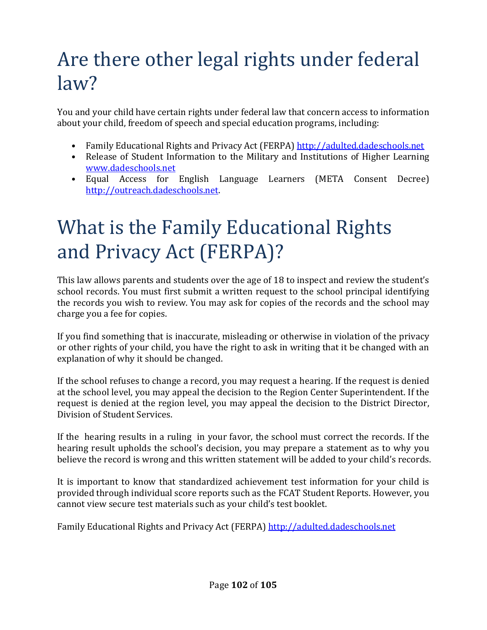## Are there other legal rights under federal law?

You and your child have certain rights under federal law that concern access to information about your child, freedom of speech and special education programs, including:

- Family Educational Rights and Privacy Act (FERPA) http://adulted.dadeschools.net
- Release of Student Information to the Military and Institutions of Higher Learning www.dadeschools.net
- Equal Access for English Language Learners (META Consent Decree) http://outreach.dadeschools.net.

## What is the Family Educational Rights and Privacy Act (FERPA)?

This law allows parents and students over the age of 18 to inspect and review the student's school records. You must first submit a written request to the school principal identifying the records you wish to review. You may ask for copies of the records and the school may charge you a fee for copies.

If you find something that is inaccurate, misleading or otherwise in violation of the privacy or other rights of your child, you have the right to ask in writing that it be changed with an explanation of why it should be changed.

If the school refuses to change a record, you may request a hearing. If the request is denied at the school level, you may appeal the decision to the Region Center Superintendent. If the request is denied at the region level, you may appeal the decision to the District Director, Division of Student Services.

If the hearing results in a ruling in your favor, the school must correct the records. If the hearing result upholds the school's decision, you may prepare a statement as to why you believe the record is wrong and this written statement will be added to your child's records.

It is important to know that standardized achievement test information for your child is provided through individual score reports such as the FCAT Student Reports. However, you cannot view secure test materials such as your child's test booklet.

Family Educational Rights and Privacy Act (FERPA) http://adulted.dadeschools.net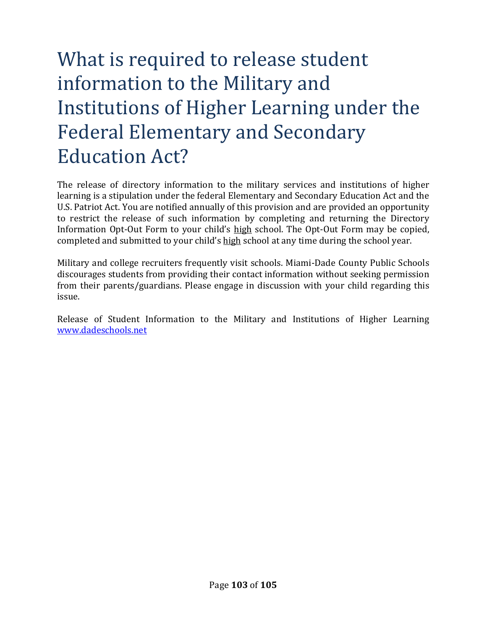## What is required to release student information to the Military and Institutions of Higher Learning under the Federal Elementary and Secondary Education Act?

The release of directory information to the military services and institutions of higher learning is a stipulation under the federal Elementary and Secondary Education Act and the U.S. Patriot Act. You are notified annually of this provision and are provided an opportunity to restrict the release of such information by completing and returning the Directory Information Opt-Out Form to your child's high school. The Opt-Out Form may be copied, completed and submitted to your child's high school at any time during the school year.

Military and college recruiters frequently visit schools. Miami-Dade County Public Schools discourages students from providing their contact information without seeking permission from their parents/guardians. Please engage in discussion with your child regarding this issue.

Release of Student Information to the Military and Institutions of Higher Learning www.dadeschools.net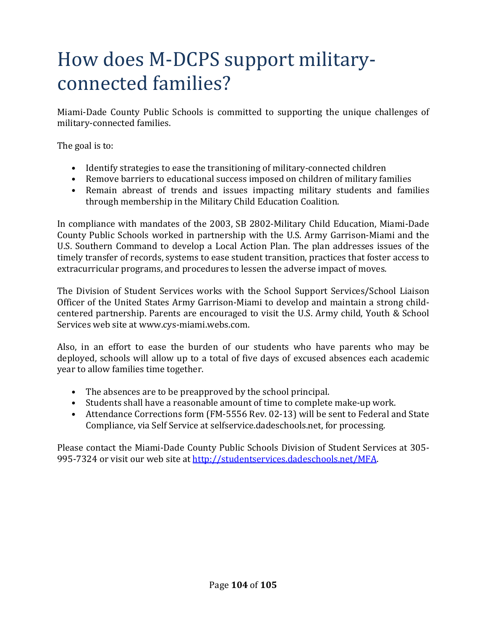### How does M-DCPS support militaryconnected families?

Miami-Dade County Public Schools is committed to supporting the unique challenges of military-connected families.

The goal is to:

- Identify strategies to ease the transitioning of military-connected children
- Remove barriers to educational success imposed on children of military families
- Remain abreast of trends and issues impacting military students and families through membership in the Military Child Education Coalition.

In compliance with mandates of the 2003, SB 2802-Military Child Education, Miami-Dade County Public Schools worked in partnership with the U.S. Army Garrison-Miami and the U.S. Southern Command to develop a Local Action Plan. The plan addresses issues of the timely transfer of records, systems to ease student transition, practices that foster access to extracurricular programs, and procedures to lessen the adverse impact of moves.

The Division of Student Services works with the School Support Services/School Liaison Officer of the United States Army Garrison-Miami to develop and maintain a strong childcentered partnership. Parents are encouraged to visit the U.S. Army child, Youth & School Services web site at www.cys-miami.webs.com.

Also, in an effort to ease the burden of our students who have parents who may be deployed, schools will allow up to a total of five days of excused absences each academic year to allow families time together.

- The absences are to be preapproved by the school principal.
- Students shall have a reasonable amount of time to complete make-up work.
- Attendance Corrections form (FM-5556 Rev. 02-13) will be sent to Federal and State Compliance, via Self Service at selfservice.dadeschools.net, for processing.

Please contact the Miami-Dade County Public Schools Division of Student Services at 305- 995-7324 or visit our web site at http://studentservices.dadeschools.net/MFA.